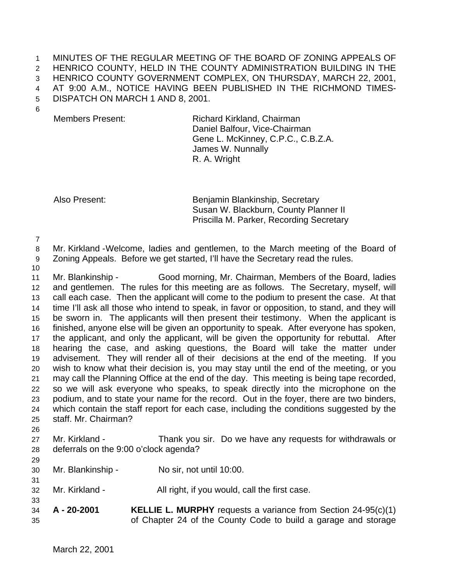MINUTES OF THE REGULAR MEETING OF THE BOARD OF ZONING APPEALS OF HENRICO COUNTY, HELD IN THE COUNTY ADMINISTRATION BUILDING IN THE HENRICO COUNTY GOVERNMENT COMPLEX, ON THURSDAY, MARCH 22, 2001, AT 9:00 A.M., NOTICE HAVING BEEN PUBLISHED IN THE RICHMOND TIMES-DISPATCH ON MARCH 1 AND 8, 2001.

Members Present: Richard Kirkland, Chairman Daniel Balfour, Vice-Chairman Gene L. McKinney, C.P.C., C.B.Z.A. James W. Nunnally R. A. Wright

Also Present: Benjamin Blankinship, Secretary Susan W. Blackburn, County Planner II Priscilla M. Parker, Recording Secretary

Mr. Kirkland -Welcome, ladies and gentlemen, to the March meeting of the Board of

- Zoning Appeals. Before we get started, I'll have the Secretary read the rules.
- 

 Mr. Blankinship - Good morning, Mr. Chairman, Members of the Board, ladies and gentlemen. The rules for this meeting are as follows. The Secretary, myself, will call each case. Then the applicant will come to the podium to present the case. At that time I'll ask all those who intend to speak, in favor or opposition, to stand, and they will be sworn in. The applicants will then present their testimony. When the applicant is finished, anyone else will be given an opportunity to speak. After everyone has spoken, the applicant, and only the applicant, will be given the opportunity for rebuttal. After hearing the case, and asking questions, the Board will take the matter under advisement. They will render all of their decisions at the end of the meeting. If you wish to know what their decision is, you may stay until the end of the meeting, or you may call the Planning Office at the end of the day. This meeting is being tape recorded, so we will ask everyone who speaks, to speak directly into the microphone on the podium, and to state your name for the record. Out in the foyer, there are two binders, which contain the staff report for each case, including the conditions suggested by the staff. Mr. Chairman? 

- Mr. Kirkland Thank you sir. Do we have any requests for withdrawals or deferrals on the 9:00 o'clock agenda?
- Mr. Blankinship No sir, not until 10:00.
- Mr. Kirkland All right, if you would, call the first case.
- **A 20-2001 KELLIE L. MURPHY** requests a variance from Section 24-95(c)(1) of Chapter 24 of the County Code to build a garage and storage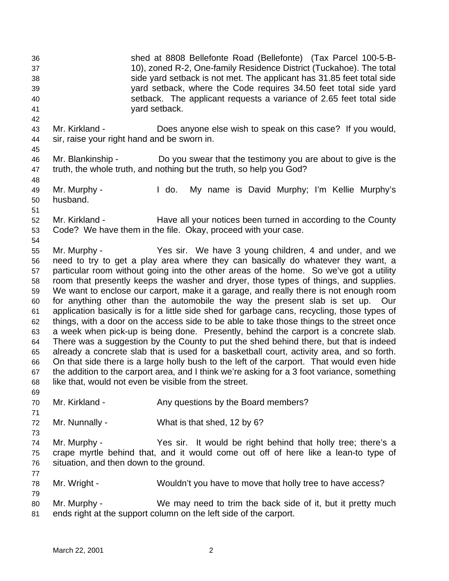shed at 8808 Bellefonte Road (Bellefonte) (Tax Parcel 100-5-B- 10), zoned R-2, One-family Residence District (Tuckahoe). The total side yard setback is not met. The applicant has 31.85 feet total side yard setback, where the Code requires 34.50 feet total side yard setback. The applicant requests a variance of 2.65 feet total side yard setback. Mr. Kirkland - Does anyone else wish to speak on this case? If you would, sir, raise your right hand and be sworn in. Mr. Blankinship - Do you swear that the testimony you are about to give is the truth, the whole truth, and nothing but the truth, so help you God? Mr. Murphy - I do. My name is David Murphy; I'm Kellie Murphy's husband. 

 Mr. Kirkland - Have all your notices been turned in according to the County Code? We have them in the file. Okay, proceed with your case.

 Mr. Murphy - Yes sir. We have 3 young children, 4 and under, and we need to try to get a play area where they can basically do whatever they want, a particular room without going into the other areas of the home. So we've got a utility room that presently keeps the washer and dryer, those types of things, and supplies. We want to enclose our carport, make it a garage, and really there is not enough room for anything other than the automobile the way the present slab is set up. Our application basically is for a little side shed for garbage cans, recycling, those types of things, with a door on the access side to be able to take those things to the street once a week when pick-up is being done. Presently, behind the carport is a concrete slab. There was a suggestion by the County to put the shed behind there, but that is indeed already a concrete slab that is used for a basketball court, activity area, and so forth. On that side there is a large holly bush to the left of the carport. That would even hide the addition to the carport area, and I think we're asking for a 3 foot variance, something like that, would not even be visible from the street.

70 Mr. Kirkland - Any questions by the Board members?

Mr. Nunnally - What is that shed, 12 by 6?

 Mr. Murphy - Yes sir. It would be right behind that holly tree; there's a crape myrtle behind that, and it would come out off of here like a lean-to type of situation, and then down to the ground.

Mr. Wright - Wouldn't you have to move that holly tree to have access?

 Mr. Murphy - We may need to trim the back side of it, but it pretty much ends right at the support column on the left side of the carport.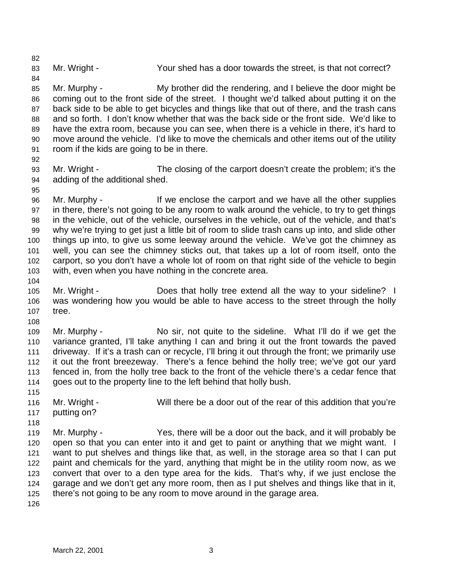83 Mr. Wright - Your shed has a door towards the street, is that not correct?

 Mr. Murphy - My brother did the rendering, and I believe the door might be coming out to the front side of the street. I thought we'd talked about putting it on the back side to be able to get bicycles and things like that out of there, and the trash cans and so forth. I don't know whether that was the back side or the front side. We'd like to have the extra room, because you can see, when there is a vehicle in there, it's hard to move around the vehicle. I'd like to move the chemicals and other items out of the utility room if the kids are going to be in there.

 Mr. Wright - The closing of the carport doesn't create the problem; it's the adding of the additional shed.

 Mr. Murphy - If we enclose the carport and we have all the other supplies in there, there's not going to be any room to walk around the vehicle, to try to get things in the vehicle, out of the vehicle, ourselves in the vehicle, out of the vehicle, and that's why we're trying to get just a little bit of room to slide trash cans up into, and slide other things up into, to give us some leeway around the vehicle. We've got the chimney as well, you can see the chimney sticks out, that takes up a lot of room itself, onto the carport, so you don't have a whole lot of room on that right side of the vehicle to begin with, even when you have nothing in the concrete area.

- Mr. Wright Does that holly tree extend all the way to your sideline? I was wondering how you would be able to have access to the street through the holly tree.
- 

- Mr. Murphy No sir, not quite to the sideline. What I'll do if we get the variance granted, I'll take anything I can and bring it out the front towards the paved driveway. If it's a trash can or recycle, I'll bring it out through the front; we primarily use it out the front breezeway. There's a fence behind the holly tree; we've got our yard fenced in, from the holly tree back to the front of the vehicle there's a cedar fence that goes out to the property line to the left behind that holly bush.
- 
- Mr. Wright Will there be a door out of the rear of this addition that you're putting on?
- 

 Mr. Murphy - Yes, there will be a door out the back, and it will probably be open so that you can enter into it and get to paint or anything that we might want. I want to put shelves and things like that, as well, in the storage area so that I can put paint and chemicals for the yard, anything that might be in the utility room now, as we convert that over to a den type area for the kids. That's why, if we just enclose the garage and we don't get any more room, then as I put shelves and things like that in it, there's not going to be any room to move around in the garage area.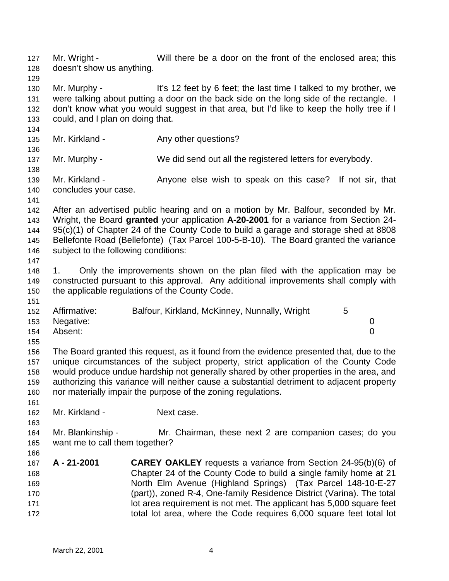Mr. Wright - Will there be a door on the front of the enclosed area; this doesn't show us anything. Mr. Murphy - It's 12 feet by 6 feet; the last time I talked to my brother, we were talking about putting a door on the back side on the long side of the rectangle. I don't know what you would suggest in that area, but I'd like to keep the holly tree if I could, and I plan on doing that. 135 Mr. Kirkland - Any other questions? Mr. Murphy - We did send out all the registered letters for everybody. Mr. Kirkland - Anyone else wish to speak on this case? If not sir, that concludes your case. After an advertised public hearing and on a motion by Mr. Balfour, seconded by Mr. Wright, the Board **granted** your application **A-20-2001** for a variance from Section 24- 95(c)(1) of Chapter 24 of the County Code to build a garage and storage shed at 8808 Bellefonte Road (Bellefonte) (Tax Parcel 100-5-B-10). The Board granted the variance subject to the following conditions: 1. Only the improvements shown on the plan filed with the application may be constructed pursuant to this approval. Any additional improvements shall comply with the applicable regulations of the County Code. Affirmative: Balfour, Kirkland, McKinney, Nunnally, Wright 5 Negative: 0 Absent: 0 The Board granted this request, as it found from the evidence presented that, due to the unique circumstances of the subject property, strict application of the County Code would produce undue hardship not generally shared by other properties in the area, and authorizing this variance will neither cause a substantial detriment to adjacent property nor materially impair the purpose of the zoning regulations. Mr. Kirkland - Next case. Mr. Blankinship - Mr. Chairman, these next 2 are companion cases; do you want me to call them together? **A - 21-2001 CAREY OAKLEY** requests a variance from Section 24-95(b)(6) of Chapter 24 of the County Code to build a single family home at 21 North Elm Avenue (Highland Springs) (Tax Parcel 148-10-E-27 (part)), zoned R-4, One-family Residence District (Varina). The total **171 lot area requirement is not met. The applicant has 5,000 square feet** total lot area, where the Code requires 6,000 square feet total lot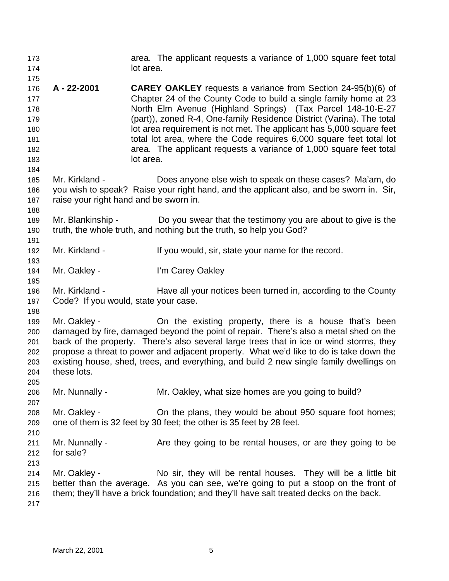| 173<br>174                                                  |                                                          | area. The applicant requests a variance of 1,000 square feet total<br>lot area.                                                                                                                                                                                                                                                                                                                                                                                                                                    |
|-------------------------------------------------------------|----------------------------------------------------------|--------------------------------------------------------------------------------------------------------------------------------------------------------------------------------------------------------------------------------------------------------------------------------------------------------------------------------------------------------------------------------------------------------------------------------------------------------------------------------------------------------------------|
| 175<br>176<br>177<br>178<br>179<br>180<br>181<br>182<br>183 | A - 22-2001                                              | <b>CAREY OAKLEY</b> requests a variance from Section 24-95(b)(6) of<br>Chapter 24 of the County Code to build a single family home at 23<br>North Elm Avenue (Highland Springs) (Tax Parcel 148-10-E-27<br>(part)), zoned R-4, One-family Residence District (Varina). The total<br>lot area requirement is not met. The applicant has 5,000 square feet<br>total lot area, where the Code requires 6,000 square feet total lot<br>area. The applicant requests a variance of 1,000 square feet total<br>lot area. |
| 184<br>185<br>186<br>187<br>188                             | Mr. Kirkland -<br>raise your right hand and be sworn in. | Does anyone else wish to speak on these cases? Ma'am, do<br>you wish to speak? Raise your right hand, and the applicant also, and be sworn in. Sir,                                                                                                                                                                                                                                                                                                                                                                |
| 189<br>190<br>191                                           | Mr. Blankinship -                                        | Do you swear that the testimony you are about to give is the<br>truth, the whole truth, and nothing but the truth, so help you God?                                                                                                                                                                                                                                                                                                                                                                                |
| 192                                                         | Mr. Kirkland -                                           | If you would, sir, state your name for the record.                                                                                                                                                                                                                                                                                                                                                                                                                                                                 |
| 193<br>194<br>195                                           | Mr. Oakley -                                             | I'm Carey Oakley                                                                                                                                                                                                                                                                                                                                                                                                                                                                                                   |
| 196<br>197                                                  | Mr. Kirkland -<br>Code? If you would, state your case.   | Have all your notices been turned in, according to the County                                                                                                                                                                                                                                                                                                                                                                                                                                                      |
| 198<br>199<br>200<br>201<br>202<br>203<br>204<br>205        | Mr. Oakley -<br>these lots.                              | On the existing property, there is a house that's been<br>damaged by fire, damaged beyond the point of repair. There's also a metal shed on the<br>back of the property. There's also several large trees that in ice or wind storms, they<br>propose a threat to power and adjacent property. What we'd like to do is take down the<br>existing house, shed, trees, and everything, and build 2 new single family dwellings on                                                                                    |
| 206<br>207                                                  | Mr. Nunnally -                                           | Mr. Oakley, what size homes are you going to build?                                                                                                                                                                                                                                                                                                                                                                                                                                                                |
| 208<br>209<br>210                                           | Mr. Oakley -                                             | On the plans, they would be about 950 square foot homes;<br>one of them is 32 feet by 30 feet; the other is 35 feet by 28 feet.                                                                                                                                                                                                                                                                                                                                                                                    |
| 211<br>212<br>213                                           | Mr. Nunnally -<br>for sale?                              | Are they going to be rental houses, or are they going to be                                                                                                                                                                                                                                                                                                                                                                                                                                                        |
| 214<br>215<br>216<br>217                                    | Mr. Oakley -                                             | No sir, they will be rental houses. They will be a little bit<br>better than the average. As you can see, we're going to put a stoop on the front of<br>them; they'll have a brick foundation; and they'll have salt treated decks on the back.                                                                                                                                                                                                                                                                    |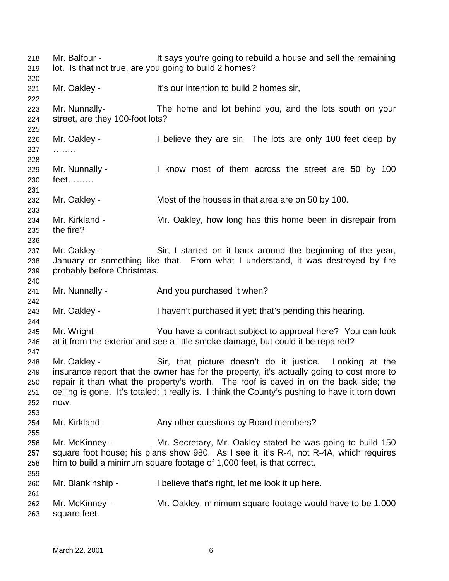Mr. Balfour - It says you're going to rebuild a house and sell the remaining lot. Is that not true, are you going to build 2 homes? Mr. Oakley - It's our intention to build 2 homes sir, Mr. Nunnally- The home and lot behind you, and the lots south on your street, are they 100-foot lots? 226 Mr. Oakley - I believe they are sir. The lots are only 100 feet deep by …….. 229 Mr. Nunnally - I know most of them across the street are 50 by 100 feet……… Mr. Oakley - Most of the houses in that area are on 50 by 100. Mr. Kirkland - Mr. Oakley, how long has this home been in disrepair from the fire? Mr. Oakley - Sir, I started on it back around the beginning of the year, January or something like that. From what I understand, it was destroyed by fire probably before Christmas. 241 Mr. Nunnally - And you purchased it when? Mr. Oakley - I haven't purchased it yet; that's pending this hearing. Mr. Wright - You have a contract subject to approval here? You can look at it from the exterior and see a little smoke damage, but could it be repaired? Mr. Oakley - Sir, that picture doesn't do it justice. Looking at the insurance report that the owner has for the property, it's actually going to cost more to repair it than what the property's worth. The roof is caved in on the back side; the ceiling is gone. It's totaled; it really is. I think the County's pushing to have it torn down now. 254 Mr. Kirkland - Any other questions by Board members? Mr. McKinney - Mr. Secretary, Mr. Oakley stated he was going to build 150 square foot house; his plans show 980. As I see it, it's R-4, not R-4A, which requires him to build a minimum square footage of 1,000 feet, is that correct. Mr. Blankinship - I believe that's right, let me look it up here. Mr. McKinney - Mr. Oakley, minimum square footage would have to be 1,000 square feet.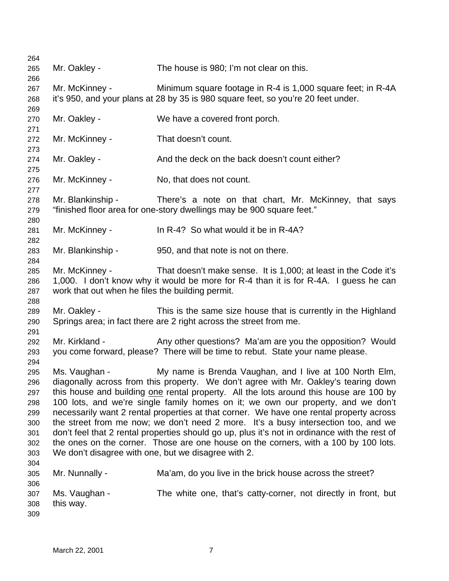| 264        |                                                                                               |                                                                                      |  |  |  |
|------------|-----------------------------------------------------------------------------------------------|--------------------------------------------------------------------------------------|--|--|--|
| 265        | Mr. Oakley -                                                                                  | The house is 980; I'm not clear on this.                                             |  |  |  |
| 266        |                                                                                               |                                                                                      |  |  |  |
| 267        | Mr. McKinney -                                                                                | Minimum square footage in R-4 is 1,000 square feet; in R-4A                          |  |  |  |
| 268        |                                                                                               | it's 950, and your plans at 28 by 35 is 980 square feet, so you're 20 feet under.    |  |  |  |
| 269        |                                                                                               |                                                                                      |  |  |  |
| 270        | Mr. Oakley -                                                                                  | We have a covered front porch.                                                       |  |  |  |
| 271        |                                                                                               |                                                                                      |  |  |  |
| 272        | Mr. McKinney -                                                                                | That doesn't count.                                                                  |  |  |  |
| 273        |                                                                                               |                                                                                      |  |  |  |
| 274        | Mr. Oakley -                                                                                  | And the deck on the back doesn't count either?                                       |  |  |  |
| 275        | Mr. McKinney -                                                                                | No, that does not count.                                                             |  |  |  |
| 276<br>277 |                                                                                               |                                                                                      |  |  |  |
| 278        | Mr. Blankinship -                                                                             | There's a note on that chart, Mr. McKinney, that says                                |  |  |  |
| 279        |                                                                                               | "finished floor area for one-story dwellings may be 900 square feet."                |  |  |  |
| 280        |                                                                                               |                                                                                      |  |  |  |
| 281        | Mr. McKinney -                                                                                | In R-4? So what would it be in R-4A?                                                 |  |  |  |
| 282        |                                                                                               |                                                                                      |  |  |  |
| 283        | Mr. Blankinship -                                                                             | 950, and that note is not on there.                                                  |  |  |  |
| 284        |                                                                                               |                                                                                      |  |  |  |
| 285        | Mr. McKinney -                                                                                | That doesn't make sense. It is 1,000; at least in the Code it's                      |  |  |  |
| 286        |                                                                                               | 1,000. I don't know why it would be more for R-4 than it is for R-4A. I guess he can |  |  |  |
| 287        | work that out when he files the building permit.                                              |                                                                                      |  |  |  |
| 288        |                                                                                               |                                                                                      |  |  |  |
| 289        | Mr. Oakley -                                                                                  | This is the same size house that is currently in the Highland                        |  |  |  |
| 290        |                                                                                               | Springs area; in fact there are 2 right across the street from me.                   |  |  |  |
| 291        |                                                                                               |                                                                                      |  |  |  |
| 292        | Mr. Kirkland -                                                                                | Any other questions? Ma'am are you the opposition? Would                             |  |  |  |
| 293        |                                                                                               | you come forward, please? There will be time to rebut. State your name please.       |  |  |  |
| 294        |                                                                                               |                                                                                      |  |  |  |
| 295        | Ms. Vaughan -                                                                                 | My name is Brenda Vaughan, and I live at 100 North Elm,                              |  |  |  |
| 296        |                                                                                               | diagonally across from this property. We don't agree with Mr. Oakley's tearing down  |  |  |  |
| 297        | this house and building one rental property. All the lots around this house are 100 by        |                                                                                      |  |  |  |
| 298        |                                                                                               | 100 lots, and we're single family homes on it; we own our property, and we don't     |  |  |  |
| 299        | necessarily want 2 rental properties at that corner. We have one rental property across       |                                                                                      |  |  |  |
| 300        | the street from me now; we don't need 2 more. It's a busy intersection too, and we            |                                                                                      |  |  |  |
| 301        | don't feel that 2 rental properties should go up, plus it's not in ordinance with the rest of |                                                                                      |  |  |  |
| 302        |                                                                                               | the ones on the corner. Those are one house on the corners, with a 100 by 100 lots.  |  |  |  |
| 303        |                                                                                               | We don't disagree with one, but we disagree with 2.                                  |  |  |  |
| 304        |                                                                                               |                                                                                      |  |  |  |
| 305        | Mr. Nunnally -                                                                                | Ma'am, do you live in the brick house across the street?                             |  |  |  |
| 306        |                                                                                               |                                                                                      |  |  |  |
| 307        | Ms. Vaughan -                                                                                 | The white one, that's catty-corner, not directly in front, but                       |  |  |  |
| 308        | this way.                                                                                     |                                                                                      |  |  |  |
| 309        |                                                                                               |                                                                                      |  |  |  |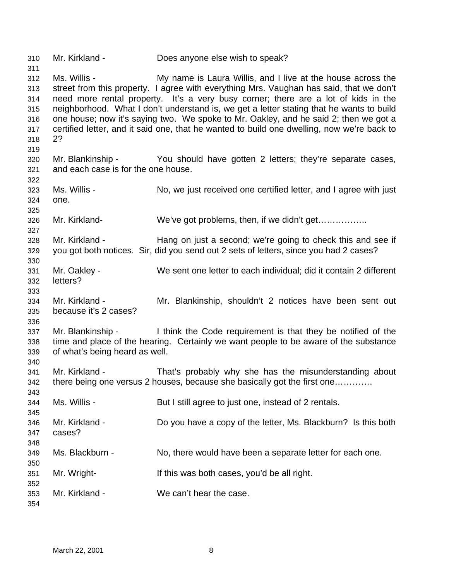Mr. Kirkland - Does anyone else wish to speak?

 Ms. Willis - My name is Laura Willis, and I live at the house across the street from this property. I agree with everything Mrs. Vaughan has said, that we don't need more rental property. It's a very busy corner; there are a lot of kids in the neighborhood. What I don't understand is, we get a letter stating that he wants to build one house; now it's saying two. We spoke to Mr. Oakley, and he said 2; then we got a certified letter, and it said one, that he wanted to build one dwelling, now we're back to 2? 

 Mr. Blankinship - You should have gotten 2 letters; they're separate cases, and each case is for the one house.

 Ms. Willis - No, we just received one certified letter, and I agree with just one.

Mr. Kirkland- We've got problems, then, if we didn't get……………..

 Mr. Kirkland - Hang on just a second; we're going to check this and see if you got both notices. Sir, did you send out 2 sets of letters, since you had 2 cases? 

- Mr. Oakley We sent one letter to each individual; did it contain 2 different letters?
- Mr. Kirkland - Mr. Blankinship, shouldn't 2 notices have been sent out because it's 2 cases?
- 

 Mr. Blankinship - I think the Code requirement is that they be notified of the time and place of the hearing. Certainly we want people to be aware of the substance of what's being heard as well.

 Mr. Kirkland - That's probably why she has the misunderstanding about there being one versus 2 houses, because she basically got the first one………….

 Ms. Willis - But I still agree to just one, instead of 2 rentals. Mr. Kirkland - Do you have a copy of the letter, Ms. Blackburn? Is this both cases? 

Ms. Blackburn - No, there would have been a separate letter for each one.

Mr. Wright- If this was both cases, you'd be all right.

Mr. Kirkland - We can't hear the case.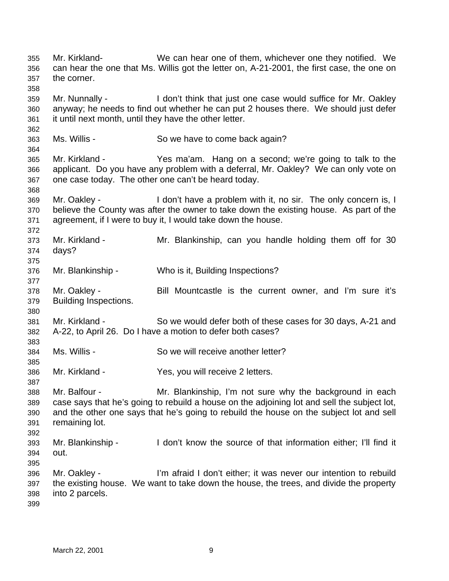Mr. Kirkland- We can hear one of them, whichever one they notified. We can hear the one that Ms. Willis got the letter on, A-21-2001, the first case, the one on the corner. Mr. Nunnally - I don't think that just one case would suffice for Mr. Oakley anyway; he needs to find out whether he can put 2 houses there. We should just defer it until next month, until they have the other letter. Ms. Willis - So we have to come back again? Mr. Kirkland - Yes ma'am. Hang on a second; we're going to talk to the applicant. Do you have any problem with a deferral, Mr. Oakley? We can only vote on one case today. The other one can't be heard today. Mr. Oakley - I don't have a problem with it, no sir. The only concern is, I believe the County was after the owner to take down the existing house. As part of the agreement, if I were to buy it, I would take down the house. Mr. Kirkland - Mr. Blankinship, can you handle holding them off for 30 days? Mr. Blankinship - Who is it, Building Inspections? Mr. Oakley - Bill Mountcastle is the current owner, and I'm sure it's Building Inspections. Mr. Kirkland - So we would defer both of these cases for 30 days, A-21 and A-22, to April 26. Do I have a motion to defer both cases? Ms. Willis - So we will receive another letter? Mr. Kirkland - Yes, you will receive 2 letters. Mr. Balfour - Mr. Blankinship, I'm not sure why the background in each case says that he's going to rebuild a house on the adjoining lot and sell the subject lot, and the other one says that he's going to rebuild the house on the subject lot and sell remaining lot. Mr. Blankinship - I don't know the source of that information either; I'll find it out. Mr. Oakley - I'm afraid I don't either; it was never our intention to rebuild the existing house. We want to take down the house, the trees, and divide the property into 2 parcels.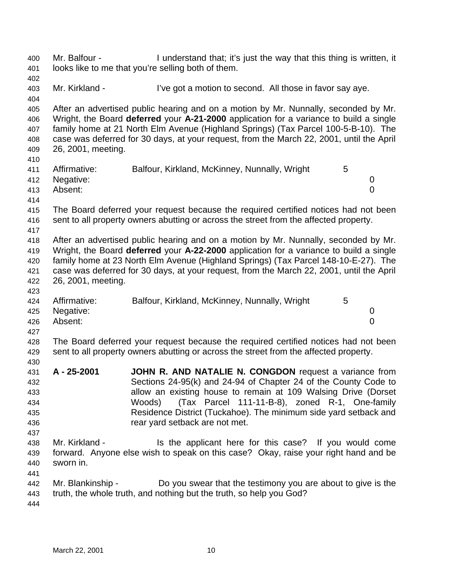Mr. Balfour - I understand that; it's just the way that this thing is written, it looks like to me that you're selling both of them. 403 Mr. Kirkland - I've got a motion to second. All those in favor say aye. After an advertised public hearing and on a motion by Mr. Nunnally, seconded by Mr. Wright, the Board **deferred** your **A-21-2000** application for a variance to build a single family home at 21 North Elm Avenue (Highland Springs) (Tax Parcel 100-5-B-10). The case was deferred for 30 days, at your request, from the March 22, 2001, until the April 26, 2001, meeting. 411 Affirmative: Balfour, Kirkland, McKinney, Nunnally, Wright 5 Negative: 0 Absent: 0 The Board deferred your request because the required certified notices had not been sent to all property owners abutting or across the street from the affected property. After an advertised public hearing and on a motion by Mr. Nunnally, seconded by Mr. Wright, the Board **deferred** your **A-22-2000** application for a variance to build a single family home at 23 North Elm Avenue (Highland Springs) (Tax Parcel 148-10-E-27). The case was deferred for 30 days, at your request, from the March 22, 2001, until the April 26, 2001, meeting. 424 Affirmative: Balfour, Kirkland, McKinney, Nunnally, Wright 5 Negative: 0 Absent: 0 The Board deferred your request because the required certified notices had not been sent to all property owners abutting or across the street from the affected property. **A - 25-2001 JOHN R. AND NATALIE N. CONGDON** request a variance from Sections 24-95(k) and 24-94 of Chapter 24 of the County Code to allow an existing house to remain at 109 Walsing Drive (Dorset Woods) (Tax Parcel 111-11-B-8), zoned R-1, One-family Residence District (Tuckahoe). The minimum side yard setback and rear yard setback are not met. Mr. Kirkland - Is the applicant here for this case? If you would come forward. Anyone else wish to speak on this case? Okay, raise your right hand and be sworn in. Mr. Blankinship - Do you swear that the testimony you are about to give is the truth, the whole truth, and nothing but the truth, so help you God?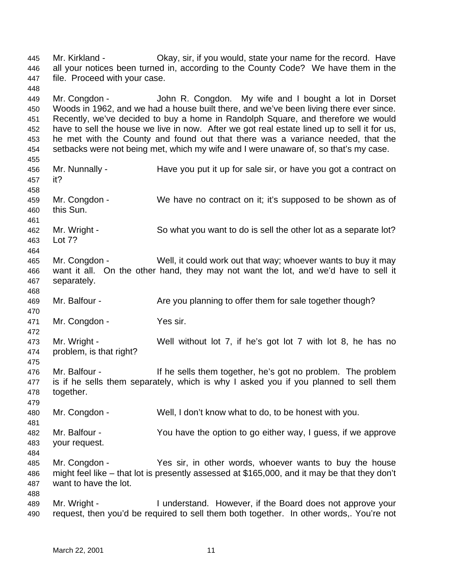Mr. Kirkland - Okay, sir, if you would, state your name for the record. Have all your notices been turned in, according to the County Code? We have them in the file. Proceed with your case. Mr. Congdon - John R. Congdon. My wife and I bought a lot in Dorset Woods in 1962, and we had a house built there, and we've been living there ever since. Recently, we've decided to buy a home in Randolph Square, and therefore we would have to sell the house we live in now. After we got real estate lined up to sell it for us, he met with the County and found out that there was a variance needed, that the setbacks were not being met, which my wife and I were unaware of, so that's my case. Mr. Nunnally - Have you put it up for sale sir, or have you got a contract on it? Mr. Congdon - We have no contract on it; it's supposed to be shown as of this Sun. Mr. Wright - So what you want to do is sell the other lot as a separate lot? Lot 7? Mr. Congdon - Well, it could work out that way; whoever wants to buy it may want it all. On the other hand, they may not want the lot, and we'd have to sell it separately. 469 Mr. Balfour - Are you planning to offer them for sale together though? Mr. Congdon - Yes sir. Mr. Wright - Well without lot 7, if he's got lot 7 with lot 8, he has no problem, is that right? Mr. Balfour - If he sells them together, he's got no problem. The problem is if he sells them separately, which is why I asked you if you planned to sell them together. Mr. Congdon - Well, I don't know what to do, to be honest with you. Mr. Balfour - You have the option to go either way, I guess, if we approve your request. Mr. Congdon - Yes sir, in other words, whoever wants to buy the house might feel like – that lot is presently assessed at \$165,000, and it may be that they don't want to have the lot. Mr. Wright - I understand. However, if the Board does not approve your request, then you'd be required to sell them both together. In other words,. You're not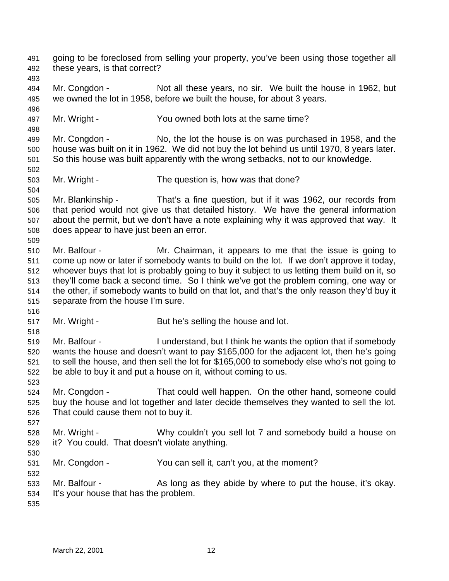going to be foreclosed from selling your property, you've been using those together all these years, is that correct?

 Mr. Congdon - Not all these years, no sir. We built the house in 1962, but we owned the lot in 1958, before we built the house, for about 3 years.

Mr. Wright - You owned both lots at the same time?

 Mr. Congdon - No, the lot the house is on was purchased in 1958, and the house was built on it in 1962. We did not buy the lot behind us until 1970, 8 years later. So this house was built apparently with the wrong setbacks, not to our knowledge.

- Mr. Wright The question is, how was that done?
- Mr. Blankinship That's a fine question, but if it was 1962, our records from that period would not give us that detailed history. We have the general information about the permit, but we don't have a note explaining why it was approved that way. It does appear to have just been an error.
- Mr. Balfour Mr. Chairman, it appears to me that the issue is going to come up now or later if somebody wants to build on the lot. If we don't approve it today, whoever buys that lot is probably going to buy it subject to us letting them build on it, so they'll come back a second time. So I think we've got the problem coming, one way or the other, if somebody wants to build on that lot, and that's the only reason they'd buy it separate from the house I'm sure.
- 517 Mr. Wright - But he's selling the house and lot.
- Mr. Balfour - I understand, but I think he wants the option that if somebody wants the house and doesn't want to pay \$165,000 for the adjacent lot, then he's going to sell the house, and then sell the lot for \$165,000 to somebody else who's not going to be able to buy it and put a house on it, without coming to us.
- Mr. Congdon - That could well happen. On the other hand, someone could buy the house and lot together and later decide themselves they wanted to sell the lot. That could cause them not to buy it.
- Mr. Wright Why couldn't you sell lot 7 and somebody build a house on it? You could. That doesn't violate anything.
- Mr. Congdon You can sell it, can't you, at the moment?
- 533 Mr. Balfour As long as they abide by where to put the house, it's okay. It's your house that has the problem.
-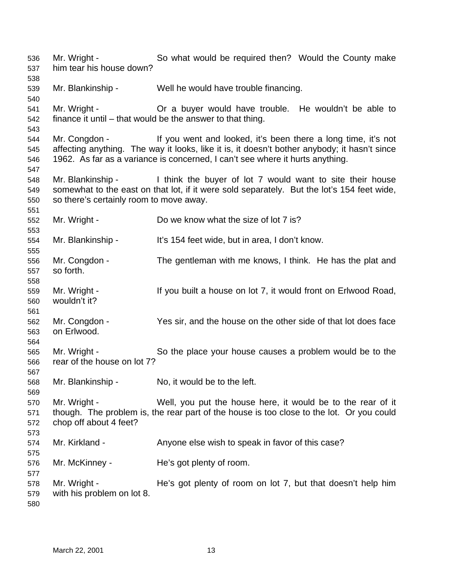Mr. Wright - So what would be required then? Would the County make him tear his house down? Mr. Blankinship - Well he would have trouble financing. Mr. Wright - Or a buyer would have trouble. He wouldn't be able to finance it until – that would be the answer to that thing. Mr. Congdon - If you went and looked, it's been there a long time, it's not affecting anything. The way it looks, like it is, it doesn't bother anybody; it hasn't since 1962. As far as a variance is concerned, I can't see where it hurts anything. Mr. Blankinship - I think the buyer of lot 7 would want to site their house somewhat to the east on that lot, if it were sold separately. But the lot's 154 feet wide, so there's certainly room to move away. Mr. Wright - Do we know what the size of lot 7 is? Mr. Blankinship - It's 154 feet wide, but in area, I don't know. Mr. Congdon - The gentleman with me knows, I think. He has the plat and so forth. Mr. Wright - If you built a house on lot 7, it would front on Erlwood Road, wouldn't it? Mr. Congdon - Yes sir, and the house on the other side of that lot does face on Erlwood. Mr. Wright - So the place your house causes a problem would be to the rear of the house on lot 7? Mr. Blankinship - No, it would be to the left. Mr. Wright - Well, you put the house here, it would be to the rear of it though. The problem is, the rear part of the house is too close to the lot. Or you could chop off about 4 feet? 574 Mr. Kirkland - Anyone else wish to speak in favor of this case? Mr. McKinney - He's got plenty of room. Mr. Wright - He's got plenty of room on lot 7, but that doesn't help him with his problem on lot 8.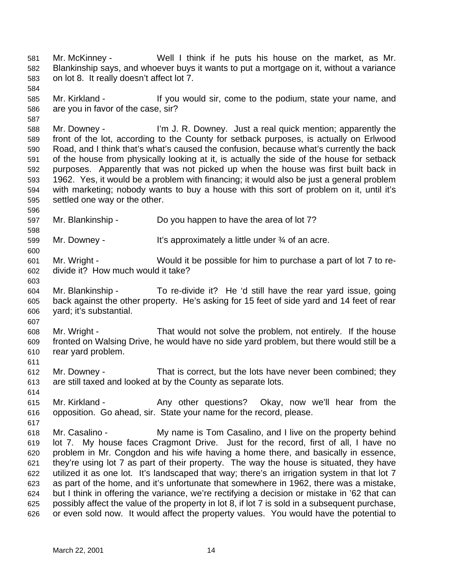Mr. McKinney - Well I think if he puts his house on the market, as Mr. Blankinship says, and whoever buys it wants to put a mortgage on it, without a variance on lot 8. It really doesn't affect lot 7.

 Mr. Kirkland - If you would sir, come to the podium, state your name, and are you in favor of the case, sir?

 Mr. Downey - I'm J. R. Downey. Just a real quick mention; apparently the front of the lot, according to the County for setback purposes, is actually on Erlwood Road, and I think that's what's caused the confusion, because what's currently the back of the house from physically looking at it, is actually the side of the house for setback purposes. Apparently that was not picked up when the house was first built back in 1962. Yes, it would be a problem with financing; it would also be just a general problem with marketing; nobody wants to buy a house with this sort of problem on it, until it's settled one way or the other.

 Mr. Blankinship - Do you happen to have the area of lot 7?

Mr. Downey - It's approximately a little under ¾ of an acre.

 Mr. Wright - Would it be possible for him to purchase a part of lot 7 to re-divide it? How much would it take?

 Mr. Blankinship - To re-divide it? He 'd still have the rear yard issue, going back against the other property. He's asking for 15 feet of side yard and 14 feet of rear yard; it's substantial.

 Mr. Wright - That would not solve the problem, not entirely. If the house fronted on Walsing Drive, he would have no side yard problem, but there would still be a rear yard problem.

 Mr. Downey - That is correct, but the lots have never been combined; they are still taxed and looked at by the County as separate lots.

 Mr. Kirkland - Any other questions? Okay, now we'll hear from the opposition. Go ahead, sir. State your name for the record, please.

 Mr. Casalino - My name is Tom Casalino, and I live on the property behind lot 7. My house faces Cragmont Drive. Just for the record, first of all, I have no problem in Mr. Congdon and his wife having a home there, and basically in essence, they're using lot 7 as part of their property. The way the house is situated, they have utilized it as one lot. It's landscaped that way; there's an irrigation system in that lot 7 as part of the home, and it's unfortunate that somewhere in 1962, there was a mistake, but I think in offering the variance, we're rectifying a decision or mistake in '62 that can possibly affect the value of the property in lot 8, if lot 7 is sold in a subsequent purchase, or even sold now. It would affect the property values. You would have the potential to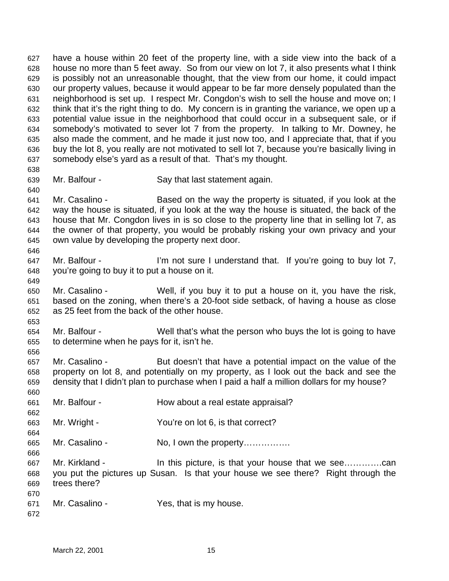have a house within 20 feet of the property line, with a side view into the back of a house no more than 5 feet away. So from our view on lot 7, it also presents what I think is possibly not an unreasonable thought, that the view from our home, it could impact our property values, because it would appear to be far more densely populated than the neighborhood is set up. I respect Mr. Congdon's wish to sell the house and move on; I think that it's the right thing to do. My concern is in granting the variance, we open up a potential value issue in the neighborhood that could occur in a subsequent sale, or if somebody's motivated to sever lot 7 from the property. In talking to Mr. Downey, he also made the comment, and he made it just now too, and I appreciate that, that if you buy the lot 8, you really are not motivated to sell lot 7, because you're basically living in somebody else's yard as a result of that. That's my thought. 

- Mr. Balfour Say that last statement again.
- Mr. Casalino Based on the way the property is situated, if you look at the way the house is situated, if you look at the way the house is situated, the back of the house that Mr. Congdon lives in is so close to the property line that in selling lot 7, as the owner of that property, you would be probably risking your own privacy and your own value by developing the property next door.
- 647 Mr. Balfour I'm not sure I understand that. If you're going to buy lot 7, you're going to buy it to put a house on it.
- Mr. Casalino Well, if you buy it to put a house on it, you have the risk, based on the zoning, when there's a 20-foot side setback, of having a house as close as 25 feet from the back of the other house.
- Mr. Balfour Well that's what the person who buys the lot is going to have to determine when he pays for it, isn't he.
- Mr. Casalino But doesn't that have a potential impact on the value of the property on lot 8, and potentially on my property, as I look out the back and see the density that I didn't plan to purchase when I paid a half a million dollars for my house?
- Mr. Balfour How about a real estate appraisal?
- Mr. Wright You're on lot 6, is that correct?
- 665 Mr. Casalino No, I own the property................
- Mr. Kirkland In this picture, is that your house that we see………….can you put the pictures up Susan. Is that your house we see there? Right through the trees there?
- Mr. Casalino Yes, that is my house.
-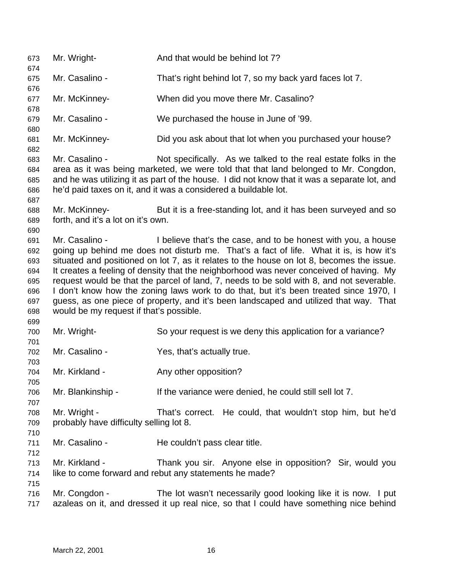Mr. Wright- And that would be behind lot 7? Mr. Casalino - That's right behind lot 7, so my back yard faces lot 7. Mr. McKinney- When did you move there Mr. Casalino? Mr. Casalino - We purchased the house in June of '99. Mr. McKinney- Did you ask about that lot when you purchased your house? Mr. Casalino - Not specifically. As we talked to the real estate folks in the area as it was being marketed, we were told that that land belonged to Mr. Congdon, and he was utilizing it as part of the house. I did not know that it was a separate lot, and he'd paid taxes on it, and it was a considered a buildable lot. Mr. McKinney- But it is a free-standing lot, and it has been surveyed and so forth, and it's a lot on it's own. Mr. Casalino - I believe that's the case, and to be honest with you, a house going up behind me does not disturb me. That's a fact of life. What it is, is how it's situated and positioned on lot 7, as it relates to the house on lot 8, becomes the issue. It creates a feeling of density that the neighborhood was never conceived of having. My request would be that the parcel of land, 7, needs to be sold with 8, and not severable. I don't know how the zoning laws work to do that, but it's been treated since 1970, I guess, as one piece of property, and it's been landscaped and utilized that way. That would be my request if that's possible. Mr. Wright- So your request is we deny this application for a variance? Mr. Casalino - Yes, that's actually true. Mr. Kirkland - Any other opposition? Mr. Blankinship - If the variance were denied, he could still sell lot 7. Mr. Wright - That's correct. He could, that wouldn't stop him, but he'd probably have difficulty selling lot 8. 711 Mr. Casalino - He couldn't pass clear title. Mr. Kirkland - Thank you sir. Anyone else in opposition? Sir, would you like to come forward and rebut any statements he made? Mr. Congdon - The lot wasn't necessarily good looking like it is now. I put azaleas on it, and dressed it up real nice, so that I could have something nice behind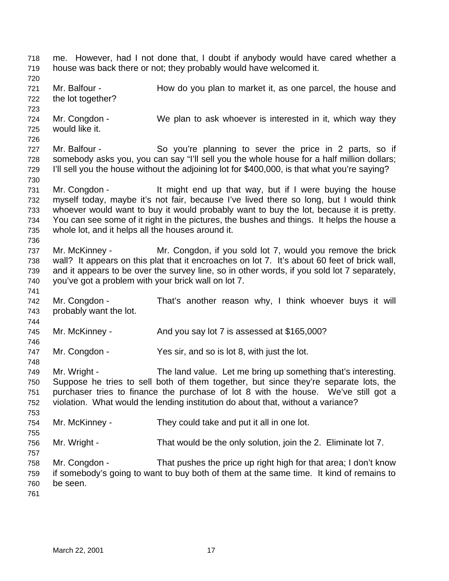me. However, had I not done that, I doubt if anybody would have cared whether a house was back there or not; they probably would have welcomed it. Mr. Balfour - How do you plan to market it, as one parcel, the house and the lot together? Mr. Congdon - We plan to ask whoever is interested in it, which way they would like it. Mr. Balfour - So you're planning to sever the price in 2 parts, so if somebody asks you, you can say "I'll sell you the whole house for a half million dollars; I'll sell you the house without the adjoining lot for \$400,000, is that what you're saying? Mr. Congdon - It might end up that way, but if I were buying the house myself today, maybe it's not fair, because I've lived there so long, but I would think whoever would want to buy it would probably want to buy the lot, because it is pretty. You can see some of it right in the pictures, the bushes and things. It helps the house a whole lot, and it helps all the houses around it. Mr. McKinney - Mr. Congdon, if you sold lot 7, would you remove the brick wall? It appears on this plat that it encroaches on lot 7. It's about 60 feet of brick wall, and it appears to be over the survey line, so in other words, if you sold lot 7 separately, you've got a problem with your brick wall on lot 7. Mr. Congdon - That's another reason why, I think whoever buys it will probably want the lot. Mr. McKinney - And you say lot 7 is assessed at \$165,000? Mr. Congdon - Yes sir, and so is lot 8, with just the lot. Mr. Wright - The land value. Let me bring up something that's interesting. Suppose he tries to sell both of them together, but since they're separate lots, the purchaser tries to finance the purchase of lot 8 with the house. We've still got a violation. What would the lending institution do about that, without a variance? Mr. McKinney - They could take and put it all in one lot. Mr. Wright - That would be the only solution, join the 2. Eliminate lot 7. Mr. Congdon - That pushes the price up right high for that area; I don't know if somebody's going to want to buy both of them at the same time. It kind of remains to be seen.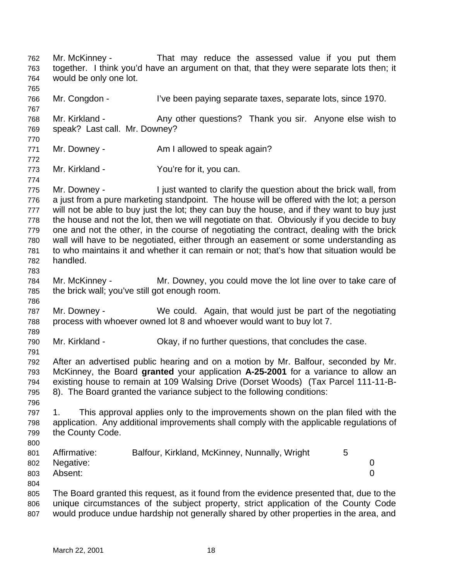Mr. McKinney - That may reduce the assessed value if you put them together. I think you'd have an argument on that, that they were separate lots then; it would be only one lot. Mr. Congdon - I've been paying separate taxes, separate lots, since 1970. 768 Mr. Kirkland - Any other questions? Thank you sir. Anyone else wish to speak? Last call. Mr. Downey? 771 Mr. Downey - Am I allowed to speak again? Mr. Kirkland - You're for it, you can. Mr. Downey - I just wanted to clarify the question about the brick wall, from a just from a pure marketing standpoint. The house will be offered with the lot; a person will not be able to buy just the lot; they can buy the house, and if they want to buy just the house and not the lot, then we will negotiate on that. Obviously if you decide to buy one and not the other, in the course of negotiating the contract, dealing with the brick wall will have to be negotiated, either through an easement or some understanding as to who maintains it and whether it can remain or not; that's how that situation would be handled. Mr. McKinney - Mr. Downey, you could move the lot line over to take care of the brick wall; you've still got enough room. Mr. Downey - We could. Again, that would just be part of the negotiating process with whoever owned lot 8 and whoever would want to buy lot 7. Mr. Kirkland - Okay, if no further questions, that concludes the case. After an advertised public hearing and on a motion by Mr. Balfour, seconded by Mr. McKinney, the Board **granted** your application **A-25-2001** for a variance to allow an existing house to remain at 109 Walsing Drive (Dorset Woods) (Tax Parcel 111-11-B- 8). The Board granted the variance subject to the following conditions: 1. This approval applies only to the improvements shown on the plan filed with the application. Any additional improvements shall comply with the applicable regulations of the County Code. 801 Affirmative: Balfour, Kirkland, McKinney, Nunnally, Wright 5 Negative: 0 Absent: 0 The Board granted this request, as it found from the evidence presented that, due to the unique circumstances of the subject property, strict application of the County Code would produce undue hardship not generally shared by other properties in the area, and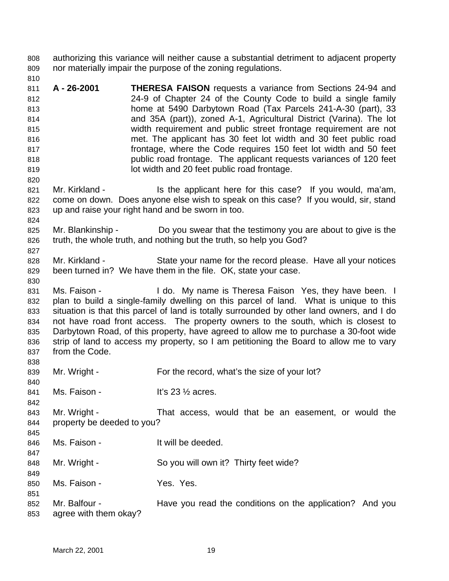authorizing this variance will neither cause a substantial detriment to adjacent property nor materially impair the purpose of the zoning regulations.

- **A 26-2001 THERESA FAISON** requests a variance from Sections 24-94 and 24-9 of Chapter 24 of the County Code to build a single family home at 5490 Darbytown Road (Tax Parcels 241-A-30 (part), 33 and 35A (part)), zoned A-1, Agricultural District (Varina). The lot width requirement and public street frontage requirement are not met. The applicant has 30 feet lot width and 30 feet public road frontage, where the Code requires 150 feet lot width and 50 feet public road frontage. The applicant requests variances of 120 feet lot width and 20 feet public road frontage.
- 821 Mr. Kirkland Is the applicant here for this case? If you would, ma'am, come on down. Does anyone else wish to speak on this case? If you would, sir, stand up and raise your right hand and be sworn in too.
- Mr. Blankinship Do you swear that the testimony you are about to give is the truth, the whole truth, and nothing but the truth, so help you God?
- Mr. Kirkland State your name for the record please. Have all your notices been turned in? We have them in the file. OK, state your case.
- 831 Ms. Faison I do. My name is Theresa Faison Yes, they have been. I plan to build a single-family dwelling on this parcel of land. What is unique to this situation is that this parcel of land is totally surrounded by other land owners, and I do not have road front access. The property owners to the south, which is closest to Darbytown Road, of this property, have agreed to allow me to purchase a 30-foot wide strip of land to access my property, so I am petitioning the Board to allow me to vary from the Code.
- 839 Mr. Wright - For the record, what's the size of your lot?
- 841 Ms. Faison It's 23 1/2 acres.
- Mr. Wright That access, would that be an easement, or would the property be deeded to you?
- Ms. Faison It will be deeded.
- 848 Mr. Wright So you will own it? Thirty feet wide?
- 850 Ms. Faison Yes. Yes.
- Mr. Balfour - Have you read the conditions on the application? And you agree with them okay?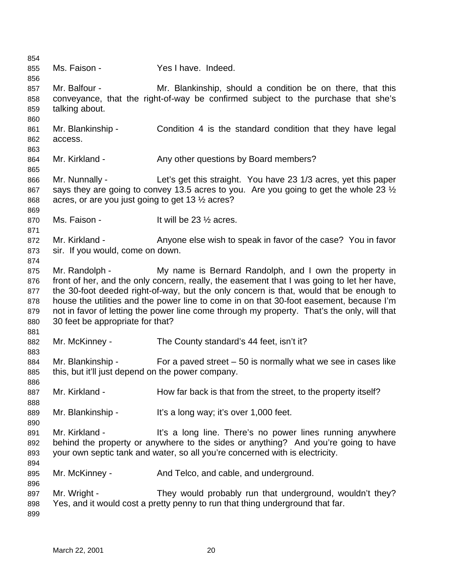Ms. Faison - Yes I have. Indeed. Mr. Balfour - Mr. Blankinship, should a condition be on there, that this conveyance, that the right-of-way be confirmed subject to the purchase that she's talking about. 861 Mr. Blankinship - Condition 4 is the standard condition that they have legal access. Mr. Kirkland - Any other questions by Board members? Mr. Nunnally - Let's get this straight. You have 23 1/3 acres, yet this paper 867 says they are going to convey 13.5 acres to you. Are you going to get the whole 23  $\frac{1}{2}$  acres, or are you just going to get 13 ½ acres? 870 Ms. Faison - It will be 23 1/2 acres. 872 Mr. Kirkland - Anyone else wish to speak in favor of the case? You in favor sir. If you would, come on down. Mr. Randolph - My name is Bernard Randolph, and I own the property in front of her, and the only concern, really, the easement that I was going to let her have, the 30-foot deeded right-of-way, but the only concern is that, would that be enough to house the utilities and the power line to come in on that 30-foot easement, because I'm not in favor of letting the power line come through my property. That's the only, will that 30 feet be appropriate for that? 882 Mr. McKinney - The County standard's 44 feet, isn't it? Mr. Blankinship - For a paved street – 50 is normally what we see in cases like this, but it'll just depend on the power company. 887 Mr. Kirkland - How far back is that from the street, to the property itself? 889 Mr. Blankinship - It's a long way; it's over 1,000 feet. 891 Mr. Kirkland - It's a long line. There's no power lines running anywhere behind the property or anywhere to the sides or anything? And you're going to have your own septic tank and water, so all you're concerned with is electricity. Mr. McKinney - And Telco, and cable, and underground. Mr. Wright - They would probably run that underground, wouldn't they? Yes, and it would cost a pretty penny to run that thing underground that far.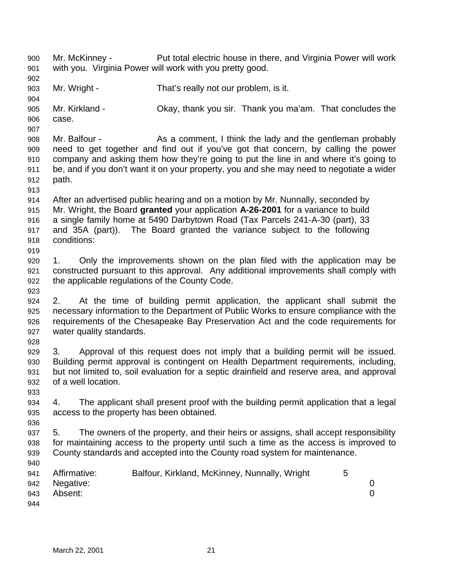Mr. McKinney - Put total electric house in there, and Virginia Power will work with you. Virginia Power will work with you pretty good. Mr. Wright - That's really not our problem, is it. Mr. Kirkland - Okay, thank you sir. Thank you ma'am. That concludes the case. Mr. Balfour - As a comment, I think the lady and the gentleman probably need to get together and find out if you've got that concern, by calling the power company and asking them how they're going to put the line in and where it's going to be, and if you don't want it on your property, you and she may need to negotiate a wider path. After an advertised public hearing and on a motion by Mr. Nunnally, seconded by Mr. Wright, the Board **granted** your application **A-26-2001** for a variance to build a single family home at 5490 Darbytown Road (Tax Parcels 241-A-30 (part), 33 and 35A (part)). The Board granted the variance subject to the following conditions: 1. Only the improvements shown on the plan filed with the application may be constructed pursuant to this approval. Any additional improvements shall comply with the applicable regulations of the County Code. 2. At the time of building permit application, the applicant shall submit the necessary information to the Department of Public Works to ensure compliance with the requirements of the Chesapeake Bay Preservation Act and the code requirements for water quality standards. 3. Approval of this request does not imply that a building permit will be issued. Building permit approval is contingent on Health Department requirements, including, but not limited to, soil evaluation for a septic drainfield and reserve area, and approval of a well location. 4. The applicant shall present proof with the building permit application that a legal access to the property has been obtained. 5. The owners of the property, and their heirs or assigns, shall accept responsibility for maintaining access to the property until such a time as the access is improved to County standards and accepted into the County road system for maintenance. Affirmative: Balfour, Kirkland, McKinney, Nunnally, Wright 5 Negative: 0 Absent: 0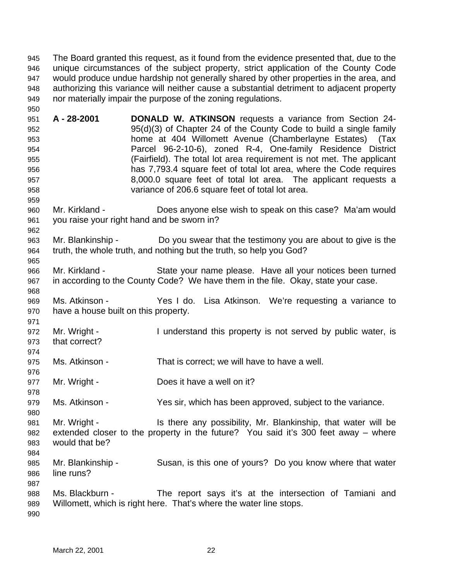The Board granted this request, as it found from the evidence presented that, due to the unique circumstances of the subject property, strict application of the County Code would produce undue hardship not generally shared by other properties in the area, and authorizing this variance will neither cause a substantial detriment to adjacent property nor materially impair the purpose of the zoning regulations.

 **A - 28-2001 DONALD W. ATKINSON** requests a variance from Section 24- 95(d)(3) of Chapter 24 of the County Code to build a single family home at 404 Willomett Avenue (Chamberlayne Estates) (Tax Parcel 96-2-10-6), zoned R-4, One-family Residence District (Fairfield). The total lot area requirement is not met. The applicant has 7,793.4 square feet of total lot area, where the Code requires 8,000.0 square feet of total lot area. The applicant requests a variance of 206.6 square feet of total lot area.

- Mr. Kirkland Does anyone else wish to speak on this case? Ma'am would you raise your right hand and be sworn in?
- Mr. Blankinship Do you swear that the testimony you are about to give is the truth, the whole truth, and nothing but the truth, so help you God?
- Mr. Kirkland State your name please. Have all your notices been turned in according to the County Code? We have them in the file. Okay, state your case.
- Ms. Atkinson Yes I do. Lisa Atkinson. We're requesting a variance to have a house built on this property.
- Mr. Wright I understand this property is not served by public water, is that correct?
- Ms. Atkinson That is correct; we will have to have a well.
- 977 Mr. Wright Does it have a well on it?
- Ms. Atkinson Yes sir, which has been approved, subject to the variance.

 Mr. Wright - Is there any possibility, Mr. Blankinship, that water will be extended closer to the property in the future? You said it's 300 feet away – where would that be? 

- Mr. Blankinship Susan, is this one of yours? Do you know where that water line runs?
- Ms. Blackburn - The report says it's at the intersection of Tamiani and Willomett, which is right here. That's where the water line stops.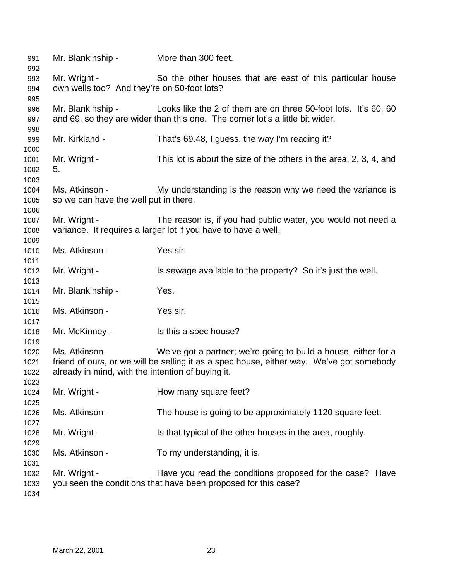| 991<br>992 | Mr. Blankinship -                                              | More than 300 feet.                                                                      |  |  |  |
|------------|----------------------------------------------------------------|------------------------------------------------------------------------------------------|--|--|--|
| 993<br>994 | Mr. Wright -<br>own wells too? And they're on 50-foot lots?    | So the other houses that are east of this particular house                               |  |  |  |
| 995        |                                                                |                                                                                          |  |  |  |
| 996        | Mr. Blankinship -                                              | Looks like the 2 of them are on three 50-foot lots. It's 60, 60                          |  |  |  |
| 997<br>998 |                                                                | and 69, so they are wider than this one. The corner lot's a little bit wider.            |  |  |  |
| 999        | Mr. Kirkland -                                                 | That's 69.48, I guess, the way I'm reading it?                                           |  |  |  |
| 1000       |                                                                |                                                                                          |  |  |  |
| 1001       | Mr. Wright -                                                   | This lot is about the size of the others in the area, 2, 3, 4, and                       |  |  |  |
| 1002       | 5.                                                             |                                                                                          |  |  |  |
| 1003       |                                                                |                                                                                          |  |  |  |
| 1004       | Ms. Atkinson -                                                 | My understanding is the reason why we need the variance is                               |  |  |  |
| 1005       | so we can have the well put in there.                          |                                                                                          |  |  |  |
| 1006       |                                                                |                                                                                          |  |  |  |
| 1007       | Mr. Wright -                                                   | The reason is, if you had public water, you would not need a                             |  |  |  |
| 1008       | variance. It requires a larger lot if you have to have a well. |                                                                                          |  |  |  |
| 1009       |                                                                |                                                                                          |  |  |  |
| 1010       | Ms. Atkinson -                                                 | Yes sir.                                                                                 |  |  |  |
| 1011       |                                                                |                                                                                          |  |  |  |
| 1012       | Mr. Wright -                                                   | Is sewage available to the property? So it's just the well.                              |  |  |  |
| 1013       |                                                                |                                                                                          |  |  |  |
| 1014       | Mr. Blankinship -                                              | Yes.                                                                                     |  |  |  |
| 1015       |                                                                |                                                                                          |  |  |  |
| 1016       | Ms. Atkinson -                                                 | Yes sir.                                                                                 |  |  |  |
| 1017       |                                                                |                                                                                          |  |  |  |
| 1018       | Mr. McKinney -                                                 | Is this a spec house?                                                                    |  |  |  |
| 1019       |                                                                |                                                                                          |  |  |  |
| 1020       | Ms. Atkinson -                                                 | We've got a partner; we're going to build a house, either for a                          |  |  |  |
| 1021       |                                                                | friend of ours, or we will be selling it as a spec house, either way. We've got somebody |  |  |  |
| 1022       | already in mind, with the intention of buying it.              |                                                                                          |  |  |  |
| 1023       |                                                                |                                                                                          |  |  |  |
| 1024       | Mr. Wright -                                                   | How many square feet?                                                                    |  |  |  |
| 1025       |                                                                |                                                                                          |  |  |  |
| 1026       | Ms. Atkinson -                                                 | The house is going to be approximately 1120 square feet.                                 |  |  |  |
| 1027       |                                                                |                                                                                          |  |  |  |
| 1028       | Mr. Wright -                                                   | Is that typical of the other houses in the area, roughly.                                |  |  |  |
| 1029       |                                                                |                                                                                          |  |  |  |
| 1030       | Ms. Atkinson -                                                 | To my understanding, it is.                                                              |  |  |  |
| 1031       |                                                                |                                                                                          |  |  |  |
| 1032       | Mr. Wright -                                                   | Have you read the conditions proposed for the case? Have                                 |  |  |  |
| 1033       |                                                                | you seen the conditions that have been proposed for this case?                           |  |  |  |
| 1034       |                                                                |                                                                                          |  |  |  |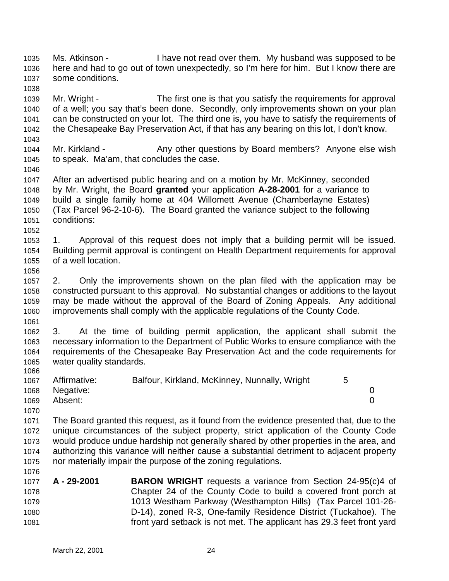Ms. Atkinson - I have not read over them. My husband was supposed to be here and had to go out of town unexpectedly, so I'm here for him. But I know there are some conditions. 

 Mr. Wright - The first one is that you satisfy the requirements for approval of a well; you say that's been done. Secondly, only improvements shown on your plan can be constructed on your lot. The third one is, you have to satisfy the requirements of the Chesapeake Bay Preservation Act, if that has any bearing on this lot, I don't know.

1044 Mr. Kirkland - Any other questions by Board members? Anyone else wish to speak. Ma'am, that concludes the case.

 After an advertised public hearing and on a motion by Mr. McKinney, seconded by Mr. Wright, the Board **granted** your application **A-28-2001** for a variance to build a single family home at 404 Willomett Avenue (Chamberlayne Estates) (Tax Parcel 96-2-10-6). The Board granted the variance subject to the following conditions:

 1. Approval of this request does not imply that a building permit will be issued. Building permit approval is contingent on Health Department requirements for approval of a well location.

 2. Only the improvements shown on the plan filed with the application may be constructed pursuant to this approval. No substantial changes or additions to the layout may be made without the approval of the Board of Zoning Appeals. Any additional improvements shall comply with the applicable regulations of the County Code.

 3. At the time of building permit application, the applicant shall submit the necessary information to the Department of Public Works to ensure compliance with the requirements of the Chesapeake Bay Preservation Act and the code requirements for water quality standards. 

| 1067 | Affirmative:   | Balfour, Kirkland, McKinney, Nunnally, Wright |  |
|------|----------------|-----------------------------------------------|--|
|      | 1068 Negative: |                                               |  |
| 1069 | Absent:        |                                               |  |
| 1070 |                |                                               |  |

 The Board granted this request, as it found from the evidence presented that, due to the unique circumstances of the subject property, strict application of the County Code would produce undue hardship not generally shared by other properties in the area, and authorizing this variance will neither cause a substantial detriment to adjacent property nor materially impair the purpose of the zoning regulations.

 **A - 29-2001 BARON WRIGHT** requests a variance from Section 24-95(c)4 of Chapter 24 of the County Code to build a covered front porch at 1013 Westham Parkway (Westhampton Hills) (Tax Parcel 101-26- D-14), zoned R-3, One-family Residence District (Tuckahoe). The front yard setback is not met. The applicant has 29.3 feet front yard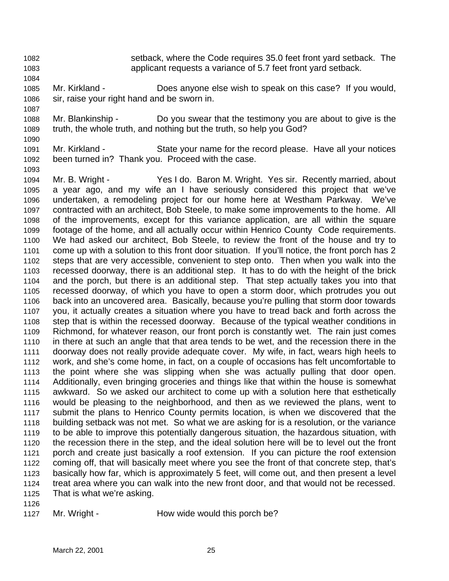- setback, where the Code requires 35.0 feet front yard setback. The
	- applicant requests a variance of 5.7 feet front yard setback.
	- Mr. Kirkland Does anyone else wish to speak on this case? If you would, sir, raise your right hand and be sworn in.
	- Mr. Blankinship Do you swear that the testimony you are about to give is the truth, the whole truth, and nothing but the truth, so help you God?
	- Mr. Kirkland State your name for the record please. Have all your notices been turned in? Thank you. Proceed with the case.
	- Mr. B. Wright Yes I do. Baron M. Wright. Yes sir. Recently married, about a year ago, and my wife an I have seriously considered this project that we've undertaken, a remodeling project for our home here at Westham Parkway. We've contracted with an architect, Bob Steele, to make some improvements to the home. All of the improvements, except for this variance application, are all within the square footage of the home, and all actually occur within Henrico County Code requirements. We had asked our architect, Bob Steele, to review the front of the house and try to come up with a solution to this front door situation. If you'll notice, the front porch has 2 steps that are very accessible, convenient to step onto. Then when you walk into the recessed doorway, there is an additional step. It has to do with the height of the brick and the porch, but there is an additional step. That step actually takes you into that recessed doorway, of which you have to open a storm door, which protrudes you out back into an uncovered area. Basically, because you're pulling that storm door towards you, it actually creates a situation where you have to tread back and forth across the step that is within the recessed doorway. Because of the typical weather conditions in Richmond, for whatever reason, our front porch is constantly wet. The rain just comes in there at such an angle that that area tends to be wet, and the recession there in the doorway does not really provide adequate cover. My wife, in fact, wears high heels to work, and she's come home, in fact, on a couple of occasions has felt uncomfortable to the point where she was slipping when she was actually pulling that door open. Additionally, even bringing groceries and things like that within the house is somewhat awkward. So we asked our architect to come up with a solution here that esthetically would be pleasing to the neighborhood, and then as we reviewed the plans, went to submit the plans to Henrico County permits location, is when we discovered that the building setback was not met. So what we are asking for is a resolution, or the variance to be able to improve this potentially dangerous situation, the hazardous situation, with the recession there in the step, and the ideal solution here will be to level out the front porch and create just basically a roof extension. If you can picture the roof extension coming off, that will basically meet where you see the front of that concrete step, that's basically how far, which is approximately 5 feet, will come out, and then present a level treat area where you can walk into the new front door, and that would not be recessed. That is what we're asking.
	-

1127 Mr. Wright - How wide would this porch be?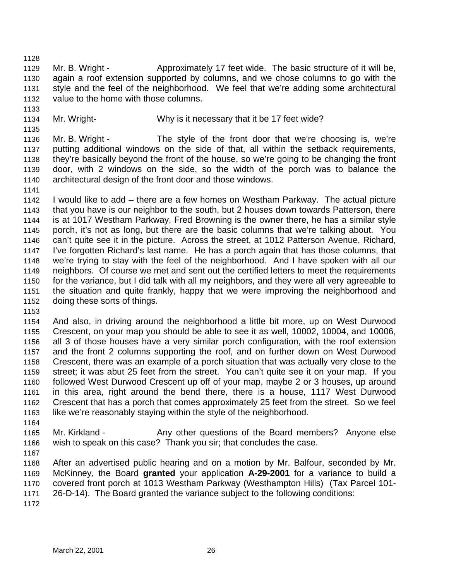1129 Mr. B. Wright - Approximately 17 feet wide. The basic structure of it will be, again a roof extension supported by columns, and we chose columns to go with the style and the feel of the neighborhood. We feel that we're adding some architectural value to the home with those columns.

Mr. Wright- Why is it necessary that it be 17 feet wide?

 Mr. B. Wright - The style of the front door that we're choosing is, we're putting additional windows on the side of that, all within the setback requirements, they're basically beyond the front of the house, so we're going to be changing the front door, with 2 windows on the side, so the width of the porch was to balance the architectural design of the front door and those windows.

 I would like to add – there are a few homes on Westham Parkway. The actual picture that you have is our neighbor to the south, but 2 houses down towards Patterson, there is at 1017 Westham Parkway, Fred Browning is the owner there, he has a similar style porch, it's not as long, but there are the basic columns that we're talking about. You can't quite see it in the picture. Across the street, at 1012 Patterson Avenue, Richard, I've forgotten Richard's last name. He has a porch again that has those columns, that we're trying to stay with the feel of the neighborhood. And I have spoken with all our neighbors. Of course we met and sent out the certified letters to meet the requirements for the variance, but I did talk with all my neighbors, and they were all very agreeable to the situation and quite frankly, happy that we were improving the neighborhood and doing these sorts of things.

 And also, in driving around the neighborhood a little bit more, up on West Durwood Crescent, on your map you should be able to see it as well, 10002, 10004, and 10006, all 3 of those houses have a very similar porch configuration, with the roof extension and the front 2 columns supporting the roof, and on further down on West Durwood Crescent, there was an example of a porch situation that was actually very close to the street; it was abut 25 feet from the street. You can't quite see it on your map. If you followed West Durwood Crescent up off of your map, maybe 2 or 3 houses, up around in this area, right around the bend there, there is a house, 1117 West Durwood Crescent that has a porch that comes approximately 25 feet from the street. So we feel like we're reasonably staying within the style of the neighborhood.

1165 Mr. Kirkland - Any other questions of the Board members? Anyone else wish to speak on this case? Thank you sir; that concludes the case.

 After an advertised public hearing and on a motion by Mr. Balfour, seconded by Mr. McKinney, the Board **granted** your application **A-29-2001** for a variance to build a covered front porch at 1013 Westham Parkway (Westhampton Hills) (Tax Parcel 101- 26-D-14). The Board granted the variance subject to the following conditions: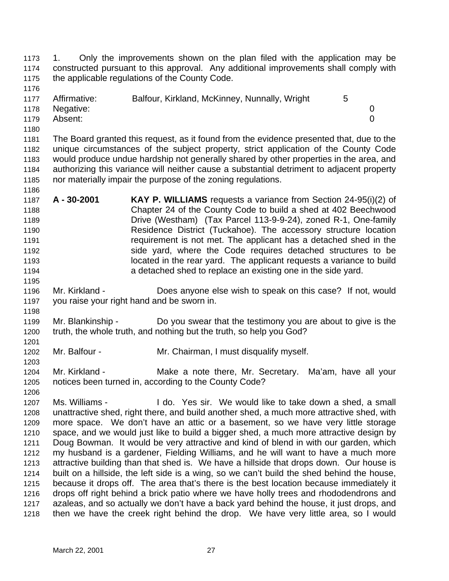1. Only the improvements shown on the plan filed with the application may be constructed pursuant to this approval. Any additional improvements shall comply with the applicable regulations of the County Code.

| 1177 | Affirmative:   | Balfour, Kirkland, McKinney, Nunnally, Wright | 5 |  |
|------|----------------|-----------------------------------------------|---|--|
|      | 1178 Negative: |                                               |   |  |
| 1179 | Absent:        |                                               |   |  |
| 1180 |                |                                               |   |  |

 The Board granted this request, as it found from the evidence presented that, due to the unique circumstances of the subject property, strict application of the County Code would produce undue hardship not generally shared by other properties in the area, and authorizing this variance will neither cause a substantial detriment to adjacent property nor materially impair the purpose of the zoning regulations.

- **A 30-2001 KAY P. WILLIAMS** requests a variance from Section 24-95(i)(2) of Chapter 24 of the County Code to build a shed at 402 Beechwood Drive (Westham) (Tax Parcel 113-9-9-24), zoned R-1, One-family Residence District (Tuckahoe). The accessory structure location requirement is not met. The applicant has a detached shed in the side yard, where the Code requires detached structures to be located in the rear yard. The applicant requests a variance to build a detached shed to replace an existing one in the side yard.
- Mr. Kirkland Does anyone else wish to speak on this case? If not, would you raise your right hand and be sworn in.
- Mr. Blankinship Do you swear that the testimony you are about to give is the truth, the whole truth, and nothing but the truth, so help you God?
- Mr. Balfour Mr. Chairman, I must disqualify myself.
- 1204 Mr. Kirkland The Make a note there, Mr. Secretary. Ma'am, have all your notices been turned in, according to the County Code?
- Ms. Williams I do. Yes sir. We would like to take down a shed, a small unattractive shed, right there, and build another shed, a much more attractive shed, with more space. We don't have an attic or a basement, so we have very little storage space, and we would just like to build a bigger shed, a much more attractive design by Doug Bowman. It would be very attractive and kind of blend in with our garden, which my husband is a gardener, Fielding Williams, and he will want to have a much more attractive building than that shed is. We have a hillside that drops down. Our house is built on a hillside, the left side is a wing, so we can't build the shed behind the house, because it drops off. The area that's there is the best location because immediately it drops off right behind a brick patio where we have holly trees and rhododendrons and azaleas, and so actually we don't have a back yard behind the house, it just drops, and then we have the creek right behind the drop. We have very little area, so I would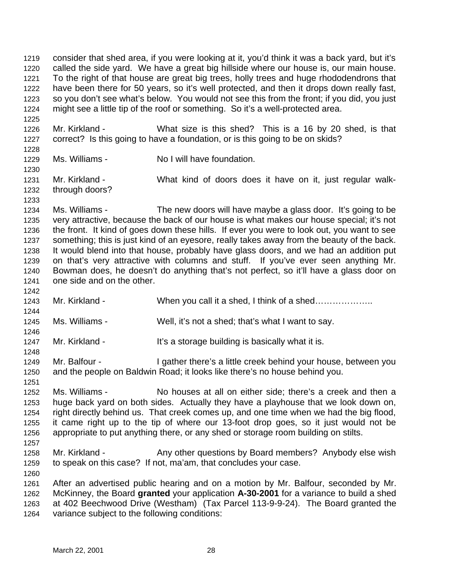called the side yard. We have a great big hillside where our house is, our main house. To the right of that house are great big trees, holly trees and huge rhododendrons that have been there for 50 years, so it's well protected, and then it drops down really fast, so you don't see what's below. You would not see this from the front; if you did, you just might see a little tip of the roof or something. So it's a well-protected area. Mr. Kirkland - What size is this shed? This is a 16 by 20 shed, is that correct? Is this going to have a foundation, or is this going to be on skids? Ms. Williams - No I will have foundation. Mr. Kirkland - What kind of doors does it have on it, just regular walk- through doors? Ms. Williams - The new doors will have maybe a glass door. It's going to be very attractive, because the back of our house is what makes our house special; it's not the front. It kind of goes down these hills. If ever you were to look out, you want to see something; this is just kind of an eyesore, really takes away from the beauty of the back. It would blend into that house, probably have glass doors, and we had an addition put on that's very attractive with columns and stuff. If you've ever seen anything Mr. Bowman does, he doesn't do anything that's not perfect, so it'll have a glass door on one side and on the other. 1243 Mr. Kirkland - When you call it a shed, I think of a shed.................. Ms. Williams - Well, it's not a shed; that's what I want to say. 1247 Mr. Kirkland - It's a storage building is basically what it is. Mr. Balfour - I gather there's a little creek behind your house, between you and the people on Baldwin Road; it looks like there's no house behind you. Ms. Williams - No houses at all on either side; there's a creek and then a huge back yard on both sides. Actually they have a playhouse that we look down on, right directly behind us. That creek comes up, and one time when we had the big flood, it came right up to the tip of where our 13-foot drop goes, so it just would not be appropriate to put anything there, or any shed or storage room building on stilts. 1258 Mr. Kirkland - Any other questions by Board members? Anybody else wish to speak on this case? If not, ma'am, that concludes your case. After an advertised public hearing and on a motion by Mr. Balfour, seconded by Mr.

consider that shed area, if you were looking at it, you'd think it was a back yard, but it's

 McKinney, the Board **granted** your application **A-30-2001** for a variance to build a shed at 402 Beechwood Drive (Westham) (Tax Parcel 113-9-9-24). The Board granted the variance subject to the following conditions: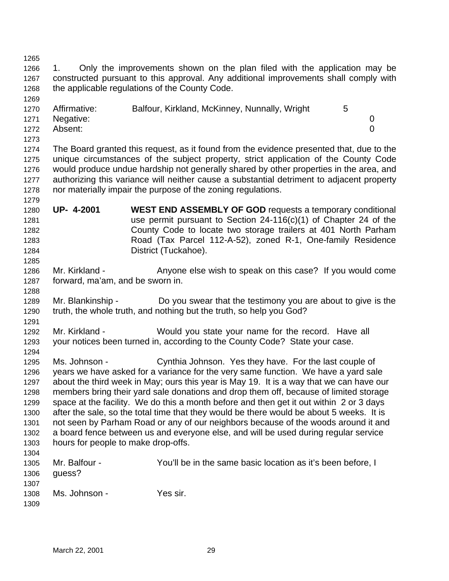the applicable regulations of the County Code. 1270 Affirmative: Balfour, Kirkland, McKinney, Nunnally, Wright 5 Negative: 0 Absent: 0 The Board granted this request, as it found from the evidence presented that, due to the unique circumstances of the subject property, strict application of the County Code would produce undue hardship not generally shared by other properties in the area, and authorizing this variance will neither cause a substantial detriment to adjacent property nor materially impair the purpose of the zoning regulations. **UP- 4-2001 WEST END ASSEMBLY OF GOD** requests a temporary conditional use permit pursuant to Section 24-116(c)(1) of Chapter 24 of the County Code to locate two storage trailers at 401 North Parham Road (Tax Parcel 112-A-52), zoned R-1, One-family Residence District (Tuckahoe). 1286 Mr. Kirkland - Anyone else wish to speak on this case? If you would come forward, ma'am, and be sworn in. Mr. Blankinship - Do you swear that the testimony you are about to give is the truth, the whole truth, and nothing but the truth, so help you God? Mr. Kirkland - Would you state your name for the record. Have all your notices been turned in, according to the County Code? State your case. Ms. Johnson - Cynthia Johnson. Yes they have. For the last couple of years we have asked for a variance for the very same function. We have a yard sale about the third week in May; ours this year is May 19. It is a way that we can have our members bring their yard sale donations and drop them off, because of limited storage space at the facility. We do this a month before and then get it out within 2 or 3 days after the sale, so the total time that they would be there would be about 5 weeks. It is not seen by Parham Road or any of our neighbors because of the woods around it and a board fence between us and everyone else, and will be used during regular service hours for people to make drop-offs. Mr. Balfour - You'll be in the same basic location as it's been before, I guess? Ms. Johnson - Yes sir.

 1. Only the improvements shown on the plan filed with the application may be constructed pursuant to this approval. Any additional improvements shall comply with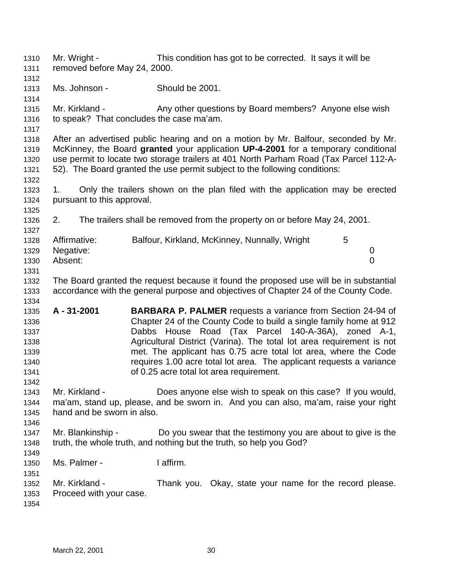Mr. Wright - This condition has got to be corrected. It says it will be removed before May 24, 2000. Ms. Johnson - Should be 2001. 1315 Mr. Kirkland - Any other questions by Board members? Anyone else wish to speak? That concludes the case ma'am. After an advertised public hearing and on a motion by Mr. Balfour, seconded by Mr. McKinney, the Board **granted** your application **UP-4-2001** for a temporary conditional use permit to locate two storage trailers at 401 North Parham Road (Tax Parcel 112-A- 52). The Board granted the use permit subject to the following conditions: 1. Only the trailers shown on the plan filed with the application may be erected pursuant to this approval. 2. The trailers shall be removed from the property on or before May 24, 2001. 1328 Affirmative: Balfour, Kirkland, McKinney, Nunnally, Wright 5 Negative: 0 Absent: 0 The Board granted the request because it found the proposed use will be in substantial accordance with the general purpose and objectives of Chapter 24 of the County Code. **A - 31-2001 BARBARA P. PALMER** requests a variance from Section 24-94 of Chapter 24 of the County Code to build a single family home at 912 Dabbs House Road (Tax Parcel 140-A-36A), zoned A-1, Agricultural District (Varina). The total lot area requirement is not met. The applicant has 0.75 acre total lot area, where the Code requires 1.00 acre total lot area. The applicant requests a variance of 0.25 acre total lot area requirement. Mr. Kirkland - Does anyone else wish to speak on this case? If you would, ma'am, stand up, please, and be sworn in. And you can also, ma'am, raise your right hand and be sworn in also. Mr. Blankinship - Do you swear that the testimony you are about to give is the truth, the whole truth, and nothing but the truth, so help you God? Ms. Palmer - I affirm. Mr. Kirkland - Thank you. Okay, state your name for the record please. Proceed with your case.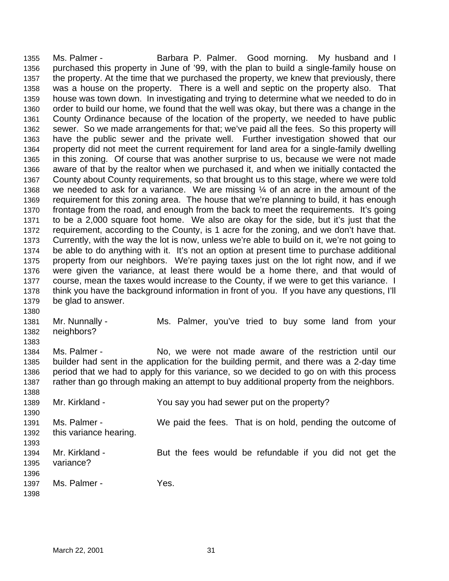1355 Ms. Palmer - The Barbara P. Palmer. Good morning. My husband and I purchased this property in June of '99, with the plan to build a single-family house on the property. At the time that we purchased the property, we knew that previously, there was a house on the property. There is a well and septic on the property also. That house was town down. In investigating and trying to determine what we needed to do in order to build our home, we found that the well was okay, but there was a change in the County Ordinance because of the location of the property, we needed to have public sewer. So we made arrangements for that; we've paid all the fees. So this property will have the public sewer and the private well. Further investigation showed that our property did not meet the current requirement for land area for a single-family dwelling in this zoning. Of course that was another surprise to us, because we were not made aware of that by the realtor when we purchased it, and when we initially contacted the County about County requirements, so that brought us to this stage, where we were told 1368 we needed to ask for a variance. We are missing  $\frac{1}{4}$  of an acre in the amount of the requirement for this zoning area. The house that we're planning to build, it has enough frontage from the road, and enough from the back to meet the requirements. It's going to be a 2,000 square foot home. We also are okay for the side, but it's just that the requirement, according to the County, is 1 acre for the zoning, and we don't have that. Currently, with the way the lot is now, unless we're able to build on it, we're not going to be able to do anything with it. It's not an option at present time to purchase additional property from our neighbors. We're paying taxes just on the lot right now, and if we were given the variance, at least there would be a home there, and that would of course, mean the taxes would increase to the County, if we were to get this variance. I think you have the background information in front of you. If you have any questions, I'll be glad to answer. Mr. Nunnally - Ms. Palmer, you've tried to buy some land from your neighbors? 1384 Ms. Palmer - No, we were not made aware of the restriction until our builder had sent in the application for the building permit, and there was a 2-day time period that we had to apply for this variance, so we decided to go on with this process 1387 rather than go through making an attempt to buy additional property from the neighbors. Mr. Kirkland - You say you had sewer put on the property? Ms. Palmer - We paid the fees. That is on hold, pending the outcome of this variance hearing. 1394 Mr. Kirkland - But the fees would be refundable if you did not get the variance?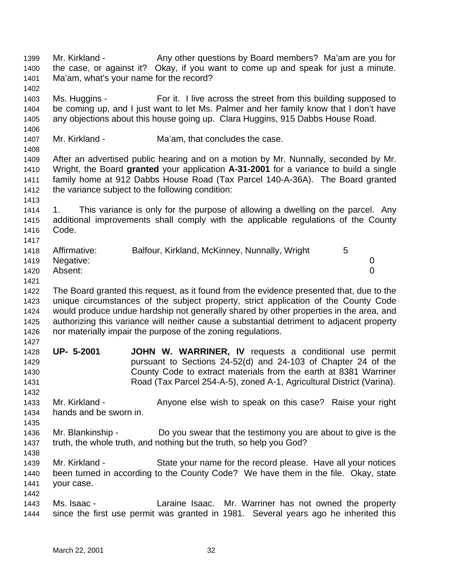1399 Mr. Kirkland - Any other questions by Board members? Ma'am are you for the case, or against it? Okay, if you want to come up and speak for just a minute. Ma'am, what's your name for the record? Ms. Huggins - For it. I live across the street from this building supposed to be coming up, and I just want to let Ms. Palmer and her family know that I don't have any objections about this house going up. Clara Huggins, 915 Dabbs House Road. 1407 Mr. Kirkland - Ma'am, that concludes the case. After an advertised public hearing and on a motion by Mr. Nunnally, seconded by Mr. Wright, the Board **granted** your application **A-31-2001** for a variance to build a single family home at 912 Dabbs House Road (Tax Parcel 140-A-36A). The Board granted the variance subject to the following condition: 1. This variance is only for the purpose of allowing a dwelling on the parcel. Any additional improvements shall comply with the applicable regulations of the County Code. 1418 Affirmative: Balfour, Kirkland, McKinney, Nunnally, Wright 5 Negative: 0 Absent: 0 The Board granted this request, as it found from the evidence presented that, due to the unique circumstances of the subject property, strict application of the County Code would produce undue hardship not generally shared by other properties in the area, and authorizing this variance will neither cause a substantial detriment to adjacent property nor materially impair the purpose of the zoning regulations. **UP- 5-2001 JOHN W. WARRINER, IV** requests a conditional use permit pursuant to Sections 24-52(d) and 24-103 of Chapter 24 of the County Code to extract materials from the earth at 8381 Warriner Road (Tax Parcel 254-A-5), zoned A-1, Agricultural District (Varina). 1433 Mr. Kirkland - Anyone else wish to speak on this case? Raise your right hands and be sworn in. Mr. Blankinship - Do you swear that the testimony you are about to give is the truth, the whole truth, and nothing but the truth, so help you God? Mr. Kirkland - State your name for the record please. Have all your notices been turned in according to the County Code? We have them in the file. Okay, state your case. Ms. Isaac - Laraine Isaac. Mr. Warriner has not owned the property since the first use permit was granted in 1981. Several years ago he inherited this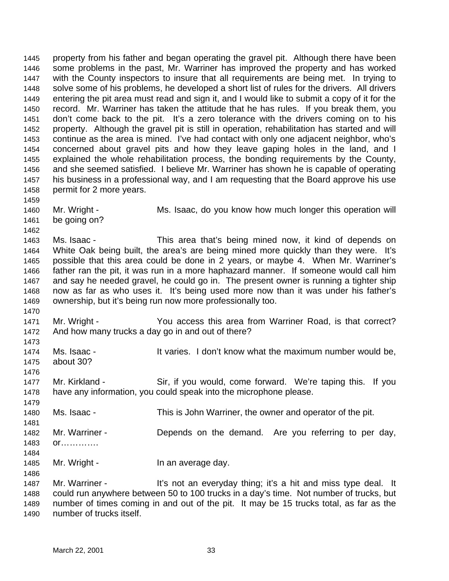property from his father and began operating the gravel pit. Although there have been some problems in the past, Mr. Warriner has improved the property and has worked with the County inspectors to insure that all requirements are being met. In trying to solve some of his problems, he developed a short list of rules for the drivers. All drivers entering the pit area must read and sign it, and I would like to submit a copy of it for the record. Mr. Warriner has taken the attitude that he has rules. If you break them, you don't come back to the pit. It's a zero tolerance with the drivers coming on to his property. Although the gravel pit is still in operation, rehabilitation has started and will continue as the area is mined. I've had contact with only one adjacent neighbor, who's concerned about gravel pits and how they leave gaping holes in the land, and I explained the whole rehabilitation process, the bonding requirements by the County, and she seemed satisfied. I believe Mr. Warriner has shown he is capable of operating his business in a professional way, and I am requesting that the Board approve his use permit for 2 more years. Mr. Wright - Ms. Isaac, do you know how much longer this operation will be going on? Ms. Isaac - This area that's being mined now, it kind of depends on White Oak being built, the area's are being mined more quickly than they were. It's possible that this area could be done in 2 years, or maybe 4. When Mr. Warriner's father ran the pit, it was run in a more haphazard manner. If someone would call him and say he needed gravel, he could go in. The present owner is running a tighter ship now as far as who uses it. It's being used more now than it was under his father's ownership, but it's being run now more professionally too. Mr. Wright - You access this area from Warriner Road, is that correct? And how many trucks a day go in and out of there? 1474 Ms. Isaac - It varies. I don't know what the maximum number would be, about 30? Mr. Kirkland - Sir, if you would, come forward. We're taping this. If you have any information, you could speak into the microphone please. Ms. Isaac - This is John Warriner, the owner and operator of the pit. 1482 Mr. Warriner - Depends on the demand. Are you referring to per day, or…………. 1485 Mr. Wright - In an average day. 1487 Mr. Warriner - It's not an everyday thing; it's a hit and miss type deal. It could run anywhere between 50 to 100 trucks in a day's time. Not number of trucks, but number of times coming in and out of the pit. It may be 15 trucks total, as far as the

number of trucks itself.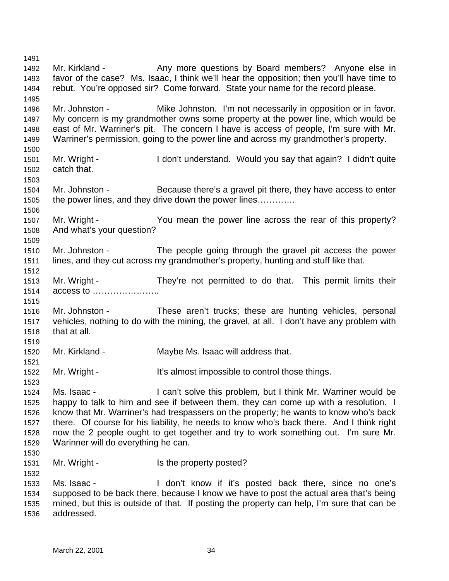1492 Mr. Kirkland - Any more questions by Board members? Anyone else in favor of the case? Ms. Isaac, I think we'll hear the opposition; then you'll have time to rebut. You're opposed sir? Come forward. State your name for the record please. 1496 Mr. Johnston - Mike Johnston. I'm not necessarily in opposition or in favor. My concern is my grandmother owns some property at the power line, which would be east of Mr. Warriner's pit. The concern I have is access of people, I'm sure with Mr. Warriner's permission, going to the power line and across my grandmother's property. Mr. Wright - I don't understand. Would you say that again? I didn't quite catch that. Mr. Johnston - Because there's a gravel pit there, they have access to enter the power lines, and they drive down the power lines…………. Mr. Wright - You mean the power line across the rear of this property? And what's your question? Mr. Johnston - The people going through the gravel pit access the power lines, and they cut across my grandmother's property, hunting and stuff like that. Mr. Wright - They're not permitted to do that. This permit limits their access to ………………….. Mr. Johnston - These aren't trucks; these are hunting vehicles, personal vehicles, nothing to do with the mining, the gravel, at all. I don't have any problem with that at all. Mr. Kirkland - Maybe Ms. Isaac will address that. 1522 Mr. Wright - It's almost impossible to control those things. Ms. Isaac - I can't solve this problem, but I think Mr. Warriner would be happy to talk to him and see if between them, they can come up with a resolution. I know that Mr. Warriner's had trespassers on the property; he wants to know who's back there. Of course for his liability, he needs to know who's back there. And I think right now the 2 people ought to get together and try to work something out. I'm sure Mr. Warinner will do everything he can. 1531 Mr. Wright - Is the property posted? Ms. Isaac - I don't know if it's posted back there, since no one's supposed to be back there, because I know we have to post the actual area that's being mined, but this is outside of that. If posting the property can help, I'm sure that can be addressed.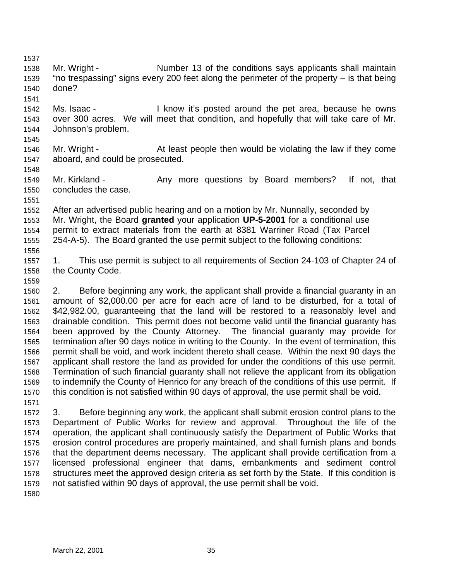- 1538 Mr. Wright Number 13 of the conditions says applicants shall maintain "no trespassing" signs every 200 feet along the perimeter of the property – is that being done?
- Ms. Isaac I know it's posted around the pet area, because he owns over 300 acres. We will meet that condition, and hopefully that will take care of Mr. Johnson's problem.
- Mr. Wright At least people then would be violating the law if they come aboard, and could be prosecuted.
- 1549 Mr. Kirkland Any more questions by Board members? If not, that concludes the case.
- 

 After an advertised public hearing and on a motion by Mr. Nunnally, seconded by Mr. Wright, the Board **granted** your application **UP-5-2001** for a conditional use permit to extract materials from the earth at 8381 Warriner Road (Tax Parcel 254-A-5). The Board granted the use permit subject to the following conditions: 

 1. This use permit is subject to all requirements of Section 24-103 of Chapter 24 of the County Code.

 2. Before beginning any work, the applicant shall provide a financial guaranty in an amount of \$2,000.00 per acre for each acre of land to be disturbed, for a total of \$42,982.00, guaranteeing that the land will be restored to a reasonably level and drainable condition. This permit does not become valid until the financial guaranty has been approved by the County Attorney. The financial guaranty may provide for termination after 90 days notice in writing to the County. In the event of termination, this permit shall be void, and work incident thereto shall cease. Within the next 90 days the applicant shall restore the land as provided for under the conditions of this use permit. Termination of such financial guaranty shall not relieve the applicant from its obligation to indemnify the County of Henrico for any breach of the conditions of this use permit. If this condition is not satisfied within 90 days of approval, the use permit shall be void. 

 3. Before beginning any work, the applicant shall submit erosion control plans to the Department of Public Works for review and approval. Throughout the life of the operation, the applicant shall continuously satisfy the Department of Public Works that erosion control procedures are properly maintained, and shall furnish plans and bonds that the department deems necessary. The applicant shall provide certification from a licensed professional engineer that dams, embankments and sediment control structures meet the approved design criteria as set forth by the State. If this condition is not satisfied within 90 days of approval, the use permit shall be void.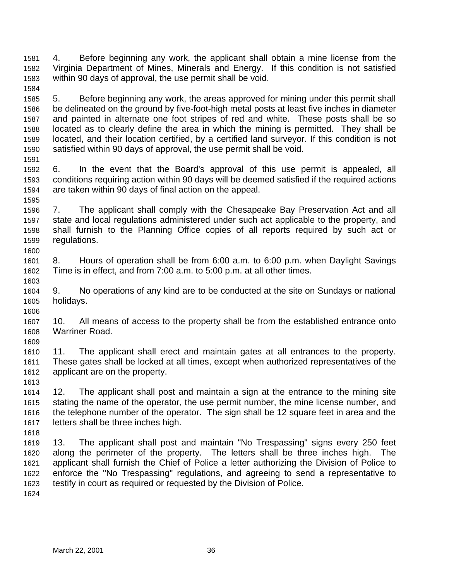4. Before beginning any work, the applicant shall obtain a mine license from the Virginia Department of Mines, Minerals and Energy. If this condition is not satisfied within 90 days of approval, the use permit shall be void. 

 5. Before beginning any work, the areas approved for mining under this permit shall be delineated on the ground by five-foot-high metal posts at least five inches in diameter and painted in alternate one foot stripes of red and white. These posts shall be so located as to clearly define the area in which the mining is permitted. They shall be located, and their location certified, by a certified land surveyor. If this condition is not satisfied within 90 days of approval, the use permit shall be void.

 6. In the event that the Board's approval of this use permit is appealed, all conditions requiring action within 90 days will be deemed satisfied if the required actions are taken within 90 days of final action on the appeal.

 7. The applicant shall comply with the Chesapeake Bay Preservation Act and all state and local regulations administered under such act applicable to the property, and shall furnish to the Planning Office copies of all reports required by such act or regulations. 

 8. Hours of operation shall be from 6:00 a.m. to 6:00 p.m. when Daylight Savings Time is in effect, and from 7:00 a.m. to 5:00 p.m. at all other times.

 9. No operations of any kind are to be conducted at the site on Sundays or national holidays.

 10. All means of access to the property shall be from the established entrance onto Warriner Road.

 11. The applicant shall erect and maintain gates at all entrances to the property. These gates shall be locked at all times, except when authorized representatives of the applicant are on the property.

 12. The applicant shall post and maintain a sign at the entrance to the mining site stating the name of the operator, the use permit number, the mine license number, and the telephone number of the operator. The sign shall be 12 square feet in area and the letters shall be three inches high.

 13. The applicant shall post and maintain "No Trespassing" signs every 250 feet along the perimeter of the property. The letters shall be three inches high. The applicant shall furnish the Chief of Police a letter authorizing the Division of Police to enforce the "No Trespassing" regulations, and agreeing to send a representative to testify in court as required or requested by the Division of Police.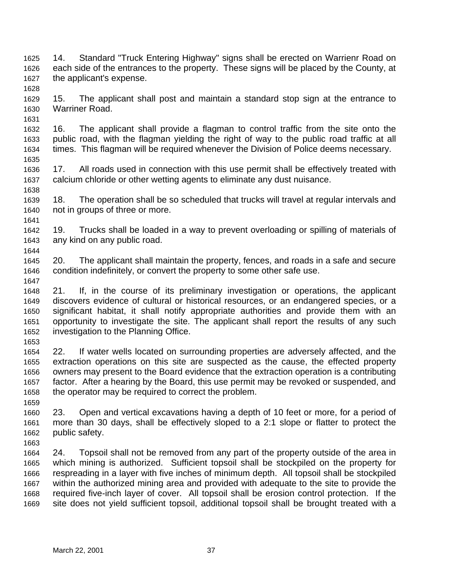- 14. Standard "Truck Entering Highway" signs shall be erected on Warrienr Road on each side of the entrances to the property. These signs will be placed by the County, at the applicant's expense.
- 15. The applicant shall post and maintain a standard stop sign at the entrance to Warriner Road.
- 16. The applicant shall provide a flagman to control traffic from the site onto the public road, with the flagman yielding the right of way to the public road traffic at all times. This flagman will be required whenever the Division of Police deems necessary.
- 17. All roads used in connection with this use permit shall be effectively treated with calcium chloride or other wetting agents to eliminate any dust nuisance.
- 18. The operation shall be so scheduled that trucks will travel at regular intervals and not in groups of three or more.
- 19. Trucks shall be loaded in a way to prevent overloading or spilling of materials of any kind on any public road.
- 20. The applicant shall maintain the property, fences, and roads in a safe and secure condition indefinitely, or convert the property to some other safe use.
- 21. If, in the course of its preliminary investigation or operations, the applicant discovers evidence of cultural or historical resources, or an endangered species, or a significant habitat, it shall notify appropriate authorities and provide them with an opportunity to investigate the site. The applicant shall report the results of any such investigation to the Planning Office.
- 22. If water wells located on surrounding properties are adversely affected, and the extraction operations on this site are suspected as the cause, the effected property owners may present to the Board evidence that the extraction operation is a contributing factor. After a hearing by the Board, this use permit may be revoked or suspended, and the operator may be required to correct the problem.
- 23. Open and vertical excavations having a depth of 10 feet or more, for a period of more than 30 days, shall be effectively sloped to a 2:1 slope or flatter to protect the public safety.
- 24. Topsoil shall not be removed from any part of the property outside of the area in which mining is authorized. Sufficient topsoil shall be stockpiled on the property for respreading in a layer with five inches of minimum depth. All topsoil shall be stockpiled within the authorized mining area and provided with adequate to the site to provide the required five-inch layer of cover. All topsoil shall be erosion control protection. If the site does not yield sufficient topsoil, additional topsoil shall be brought treated with a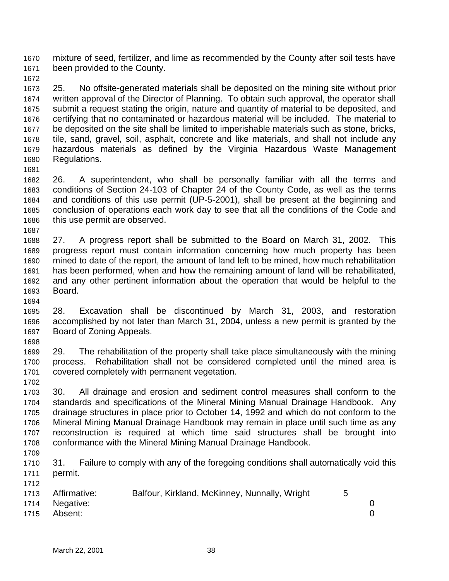mixture of seed, fertilizer, and lime as recommended by the County after soil tests have been provided to the County.

 25. No offsite-generated materials shall be deposited on the mining site without prior written approval of the Director of Planning. To obtain such approval, the operator shall submit a request stating the origin, nature and quantity of material to be deposited, and certifying that no contaminated or hazardous material will be included. The material to be deposited on the site shall be limited to imperishable materials such as stone, bricks, tile, sand, gravel, soil, asphalt, concrete and like materials, and shall not include any hazardous materials as defined by the Virginia Hazardous Waste Management Regulations.

 26. A superintendent, who shall be personally familiar with all the terms and conditions of Section 24-103 of Chapter 24 of the County Code, as well as the terms and conditions of this use permit (UP-5-2001), shall be present at the beginning and conclusion of operations each work day to see that all the conditions of the Code and this use permit are observed.

 27. A progress report shall be submitted to the Board on March 31, 2002. This progress report must contain information concerning how much property has been mined to date of the report, the amount of land left to be mined, how much rehabilitation has been performed, when and how the remaining amount of land will be rehabilitated, and any other pertinent information about the operation that would be helpful to the Board.

- 28. Excavation shall be discontinued by March 31, 2003, and restoration accomplished by not later than March 31, 2004, unless a new permit is granted by the Board of Zoning Appeals.
- 29. The rehabilitation of the property shall take place simultaneously with the mining process. Rehabilitation shall not be considered completed until the mined area is covered completely with permanent vegetation.
- 30. All drainage and erosion and sediment control measures shall conform to the standards and specifications of the Mineral Mining Manual Drainage Handbook. Any drainage structures in place prior to October 14, 1992 and which do not conform to the Mineral Mining Manual Drainage Handbook may remain in place until such time as any reconstruction is required at which time said structures shall be brought into conformance with the Mineral Mining Manual Drainage Handbook.
- 

 31. Failure to comply with any of the foregoing conditions shall automatically void this permit.

|      | 1713 Affirmative: | Balfour, Kirkland, McKinney, Nunnally, Wright |  |
|------|-------------------|-----------------------------------------------|--|
|      | 1714 Negative:    |                                               |  |
| 1715 | Absent:           |                                               |  |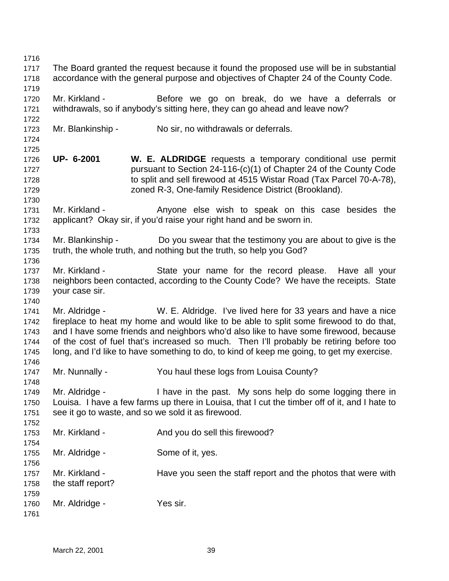The Board granted the request because it found the proposed use will be in substantial accordance with the general purpose and objectives of Chapter 24 of the County Code. Mr. Kirkland - Before we go on break, do we have a deferrals or withdrawals, so if anybody's sitting here, they can go ahead and leave now? Mr. Blankinship - No sir, no withdrawals or deferrals. **UP- 6-2001 W. E. ALDRIDGE** requests a temporary conditional use permit pursuant to Section 24-116-(c)(1) of Chapter 24 of the County Code to split and sell firewood at 4515 Wistar Road (Tax Parcel 70-A-78), zoned R-3, One-family Residence District (Brookland). 1731 Mr. Kirkland - Anyone else wish to speak on this case besides the applicant? Okay sir, if you'd raise your right hand and be sworn in. Mr. Blankinship - Do you swear that the testimony you are about to give is the truth, the whole truth, and nothing but the truth, so help you God? Mr. Kirkland - State your name for the record please. Have all your neighbors been contacted, according to the County Code? We have the receipts. State your case sir. Mr. Aldridge - W. E. Aldridge. I've lived here for 33 years and have a nice fireplace to heat my home and would like to be able to split some firewood to do that, and I have some friends and neighbors who'd also like to have some firewood, because of the cost of fuel that's increased so much. Then I'll probably be retiring before too long, and I'd like to have something to do, to kind of keep me going, to get my exercise. Mr. Nunnally - You haul these logs from Louisa County? Mr. Aldridge - I have in the past. My sons help do some logging there in Louisa. I have a few farms up there in Louisa, that I cut the timber off of it, and I hate to see it go to waste, and so we sold it as firewood. 1753 Mr. Kirkland - And you do sell this firewood? Mr. Aldridge - Some of it, yes. 1757 Mr. Kirkland - Have you seen the staff report and the photos that were with the staff report? 1760 Mr. Aldridge - Yes sir.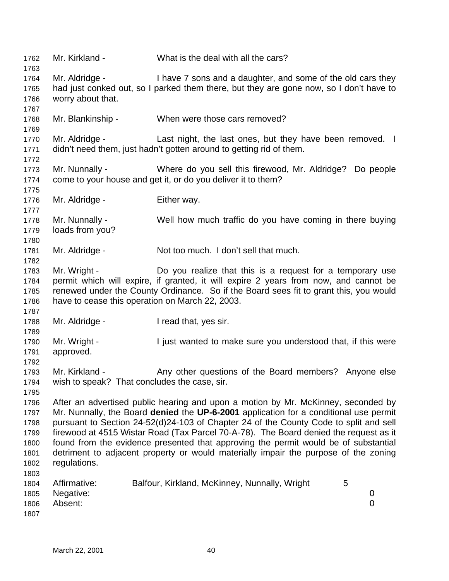Mr. Kirkland - What is the deal with all the cars? Mr. Aldridge - I have 7 sons and a daughter, and some of the old cars they had just conked out, so I parked them there, but they are gone now, so I don't have to worry about that. Mr. Blankinship - When were those cars removed? 1770 Mr. Aldridge - Last night, the last ones, but they have been removed. I didn't need them, just hadn't gotten around to getting rid of them. Mr. Nunnally - Where do you sell this firewood, Mr. Aldridge? Do people come to your house and get it, or do you deliver it to them? 1776 Mr. Aldridge - Either way. Mr. Nunnally - Well how much traffic do you have coming in there buying loads from you? Mr. Aldridge - Not too much. I don't sell that much. Mr. Wright - Do you realize that this is a request for a temporary use permit which will expire, if granted, it will expire 2 years from now, and cannot be renewed under the County Ordinance. So if the Board sees fit to grant this, you would have to cease this operation on March 22, 2003. 1788 Mr. Aldridge - I read that, yes sir. Mr. Wright - I just wanted to make sure you understood that, if this were approved. 1793 Mr. Kirkland - Any other questions of the Board members? Anyone else wish to speak? That concludes the case, sir. After an advertised public hearing and upon a motion by Mr. McKinney, seconded by Mr. Nunnally, the Board **denied** the **UP-6-2001** application for a conditional use permit pursuant to Section 24-52(d)24-103 of Chapter 24 of the County Code to split and sell firewood at 4515 Wistar Road (Tax Parcel 70-A-78). The Board denied the request as it found from the evidence presented that approving the permit would be of substantial detriment to adjacent property or would materially impair the purpose of the zoning regulations. 1804 Affirmative: Balfour, Kirkland, McKinney, Nunnally, Wright 5 Negative: 0 Absent: 0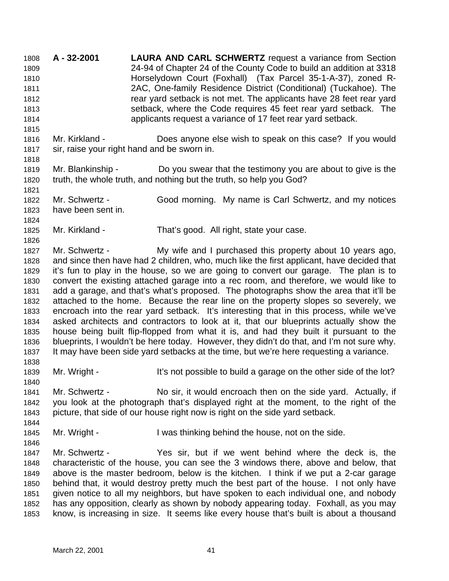**A - 32-2001 LAURA AND CARL SCHWERTZ** request a variance from Section 24-94 of Chapter 24 of the County Code to build an addition at 3318 Horselydown Court (Foxhall) (Tax Parcel 35-1-A-37), zoned R- 2AC, One-family Residence District (Conditional) (Tuckahoe). The rear yard setback is not met. The applicants have 28 feet rear yard setback, where the Code requires 45 feet rear yard setback. The applicants request a variance of 17 feet rear yard setback. Mr. Kirkland - Does anyone else wish to speak on this case? If you would sir, raise your right hand and be sworn in. Mr. Blankinship - Do you swear that the testimony you are about to give is the truth, the whole truth, and nothing but the truth, so help you God? Mr. Schwertz - Good morning. My name is Carl Schwertz, and my notices have been sent in. Mr. Kirkland - That's good. All right, state your case. 1827 Mr. Schwertz - My wife and I purchased this property about 10 years ago, and since then have had 2 children, who, much like the first applicant, have decided that it's fun to play in the house, so we are going to convert our garage. The plan is to convert the existing attached garage into a rec room, and therefore, we would like to add a garage, and that's what's proposed. The photographs show the area that it'll be attached to the home. Because the rear line on the property slopes so severely, we encroach into the rear yard setback. It's interesting that in this process, while we've asked architects and contractors to look at it, that our blueprints actually show the house being built flip-flopped from what it is, and had they built it pursuant to the blueprints, I wouldn't be here today. However, they didn't do that, and I'm not sure why. It may have been side yard setbacks at the time, but we're here requesting a variance. 1839 Mr. Wright - It's not possible to build a garage on the other side of the lot? Mr. Schwertz - No sir, it would encroach then on the side yard. Actually, if you look at the photograph that's displayed right at the moment, to the right of the picture, that side of our house right now is right on the side yard setback. 1845 Mr. Wright - I was thinking behind the house, not on the side. Mr. Schwertz - Yes sir, but if we went behind where the deck is, the characteristic of the house, you can see the 3 windows there, above and below, that above is the master bedroom, below is the kitchen. I think if we put a 2-car garage behind that, it would destroy pretty much the best part of the house. I not only have given notice to all my neighbors, but have spoken to each individual one, and nobody has any opposition, clearly as shown by nobody appearing today. Foxhall, as you may know, is increasing in size. It seems like every house that's built is about a thousand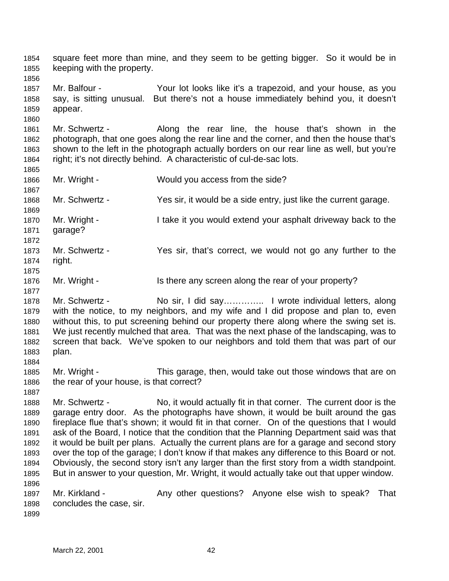square feet more than mine, and they seem to be getting bigger. So it would be in keeping with the property. Mr. Balfour - Your lot looks like it's a trapezoid, and your house, as you say, is sitting unusual. But there's not a house immediately behind you, it doesn't appear. Mr. Schwertz - Along the rear line, the house that's shown in the photograph, that one goes along the rear line and the corner, and then the house that's shown to the left in the photograph actually borders on our rear line as well, but you're right; it's not directly behind. A characteristic of cul-de-sac lots. Mr. Wright - Would you access from the side? Mr. Schwertz - Yes sir, it would be a side entry, just like the current garage. Mr. Wright - I take it you would extend your asphalt driveway back to the garage? Mr. Schwertz - Yes sir, that's correct, we would not go any further to the right. 1876 Mr. Wright - Is there any screen along the rear of your property? 1878 Mr. Schwertz - No sir, I did say.............. I wrote individual letters, along with the notice, to my neighbors, and my wife and I did propose and plan to, even without this, to put screening behind our property there along where the swing set is. We just recently mulched that area. That was the next phase of the landscaping, was to screen that back. We've spoken to our neighbors and told them that was part of our plan. Mr. Wright - This garage, then, would take out those windows that are on the rear of your house, is that correct? Mr. Schwertz - No, it would actually fit in that corner. The current door is the garage entry door. As the photographs have shown, it would be built around the gas fireplace flue that's shown; it would fit in that corner. On of the questions that I would ask of the Board, I notice that the condition that the Planning Department said was that it would be built per plans. Actually the current plans are for a garage and second story over the top of the garage; I don't know if that makes any difference to this Board or not. Obviously, the second story isn't any larger than the first story from a width standpoint. But in answer to your question, Mr. Wright, it would actually take out that upper window. 1897 Mr. Kirkland - Any other questions? Anyone else wish to speak? That concludes the case, sir.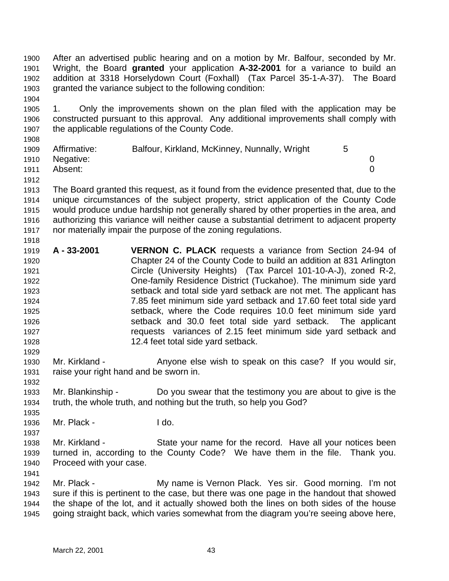After an advertised public hearing and on a motion by Mr. Balfour, seconded by Mr. Wright, the Board **granted** your application **A-32-2001** for a variance to build an addition at 3318 Horselydown Court (Foxhall) (Tax Parcel 35-1-A-37). The Board granted the variance subject to the following condition:

 1. Only the improvements shown on the plan filed with the application may be constructed pursuant to this approval. Any additional improvements shall comply with the applicable regulations of the County Code.

| 1909 | Affirmative:   | Balfour, Kirkland, McKinney, Nunnally, Wright |  |
|------|----------------|-----------------------------------------------|--|
|      | 1910 Negative: |                                               |  |
| 1911 | Absent:        |                                               |  |

- The Board granted this request, as it found from the evidence presented that, due to the unique circumstances of the subject property, strict application of the County Code would produce undue hardship not generally shared by other properties in the area, and authorizing this variance will neither cause a substantial detriment to adjacent property nor materially impair the purpose of the zoning regulations.
- **A 33-2001 VERNON C. PLACK** requests a variance from Section 24-94 of Chapter 24 of the County Code to build an addition at 831 Arlington Circle (University Heights) (Tax Parcel 101-10-A-J), zoned R-2, One-family Residence District (Tuckahoe). The minimum side yard setback and total side yard setback are not met. The applicant has 7.85 feet minimum side yard setback and 17.60 feet total side yard setback, where the Code requires 10.0 feet minimum side yard setback and 30.0 feet total side yard setback. The applicant requests variances of 2.15 feet minimum side yard setback and 12.4 feet total side yard setback.
- 1930 Mr. Kirkland Anyone else wish to speak on this case? If you would sir, raise your right hand and be sworn in.
- Mr. Blankinship Do you swear that the testimony you are about to give is the truth, the whole truth, and nothing but the truth, so help you God?
- Mr. Plack I do.

- Mr. Kirkland State your name for the record. Have all your notices been turned in, according to the County Code? We have them in the file. Thank you. Proceed with your case.
- 1942 Mr. Plack My name is Vernon Plack. Yes sir. Good morning. I'm not sure if this is pertinent to the case, but there was one page in the handout that showed the shape of the lot, and it actually showed both the lines on both sides of the house going straight back, which varies somewhat from the diagram you're seeing above here,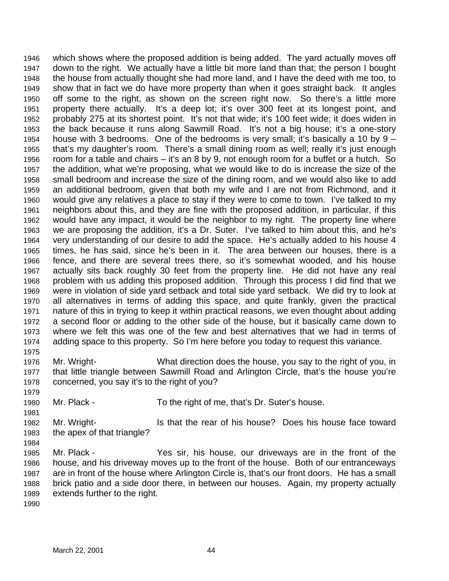which shows where the proposed addition is being added. The yard actually moves off down to the right. We actually have a little bit more land than that; the person I bought the house from actually thought she had more land, and I have the deed with me too, to show that in fact we do have more property than when it goes straight back. It angles off some to the right, as shown on the screen right now. So there's a little more property there actually. It's a deep lot; it's over 300 feet at its longest point, and probably 275 at its shortest point. It's not that wide; it's 100 feet wide; it does widen in the back because it runs along Sawmill Road. It's not a big house; it's a one-story house with 3 bedrooms. One of the bedrooms is very small; it's basically a 10 by 9 – that's my daughter's room. There's a small dining room as well; really it's just enough room for a table and chairs – it's an 8 by 9, not enough room for a buffet or a hutch. So the addition, what we're proposing, what we would like to do is increase the size of the small bedroom and increase the size of the dining room, and we would also like to add an additional bedroom, given that both my wife and I are not from Richmond, and it would give any relatives a place to stay if they were to come to town. I've talked to my neighbors about this, and they are fine with the proposed addition, in particular, if this would have any impact, it would be the neighbor to my right. The property line where we are proposing the addition, it's a Dr. Suter. I've talked to him about this, and he's very understanding of our desire to add the space. He's actually added to his house 4 times, he has said, since he's been in it. The area between our houses, there is a fence, and there are several trees there, so it's somewhat wooded, and his house actually sits back roughly 30 feet from the property line. He did not have any real problem with us adding this proposed addition. Through this process I did find that we were in violation of side yard setback and total side yard setback. We did try to look at all alternatives in terms of adding this space, and quite frankly, given the practical nature of this in trying to keep it within practical reasons, we even thought about adding a second floor or adding to the other side of the house, but it basically came down to where we felt this was one of the few and best alternatives that we had in terms of adding space to this property. So I'm here before you today to request this variance. 

- Mr. Wright- What direction does the house, you say to the right of you, in that little triangle between Sawmill Road and Arlington Circle, that's the house you're concerned, you say it's to the right of you?
- Mr. Plack To the right of me, that's Dr. Suter's house.
- Mr. Wright- Is that the rear of his house? Does his house face toward the apex of that triangle?
- Mr. Plack - Yes sir, his house, our driveways are in the front of the house, and his driveway moves up to the front of the house. Both of our entranceways are in front of the house where Arlington Circle is, that's our front doors. He has a small brick patio and a side door there, in between our houses. Again, my property actually extends further to the right.
-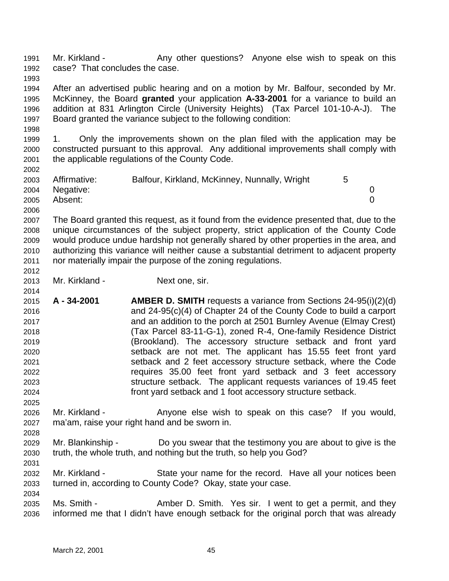1991 Mr. Kirkland - Any other questions? Anyone else wish to speak on this case? That concludes the case. 

 After an advertised public hearing and on a motion by Mr. Balfour, seconded by Mr. McKinney, the Board **granted** your application **A-33-2001** for a variance to build an addition at 831 Arlington Circle (University Heights) (Tax Parcel 101-10-A-J). The Board granted the variance subject to the following condition:

 1. Only the improvements shown on the plan filed with the application may be constructed pursuant to this approval. Any additional improvements shall comply with the applicable regulations of the County Code.

| 2003 | Affirmative:   | Balfour, Kirkland, McKinney, Nunnally, Wright |  |
|------|----------------|-----------------------------------------------|--|
|      | 2004 Negative: |                                               |  |
| 2005 | Absent:        |                                               |  |
| 2006 |                |                                               |  |

 The Board granted this request, as it found from the evidence presented that, due to the unique circumstances of the subject property, strict application of the County Code would produce undue hardship not generally shared by other properties in the area, and authorizing this variance will neither cause a substantial detriment to adjacent property nor materially impair the purpose of the zoning regulations. 

Mr. Kirkland - Next one, sir.

- **A 34-2001 AMBER D. SMITH** requests a variance from Sections 24-95(i)(2)(d) and 24-95(c)(4) of Chapter 24 of the County Code to build a carport and an addition to the porch at 2501 Burnley Avenue (Elmay Crest) (Tax Parcel 83-11-G-1), zoned R-4, One-family Residence District (Brookland). The accessory structure setback and front yard setback are not met. The applicant has 15.55 feet front yard setback and 2 feet accessory structure setback, where the Code requires 35.00 feet front yard setback and 3 feet accessory structure setback. The applicant requests variances of 19.45 feet front yard setback and 1 foot accessory structure setback.
- Mr. Kirkland Anyone else wish to speak on this case? If you would, ma'am, raise your right hand and be sworn in.
- Mr. Blankinship Do you swear that the testimony you are about to give is the truth, the whole truth, and nothing but the truth, so help you God?
- Mr. Kirkland State your name for the record. Have all your notices been turned in, according to County Code? Okay, state your case.
- 2035 Ms. Smith Amber D. Smith. Yes sir. I went to get a permit, and they informed me that I didn't have enough setback for the original porch that was already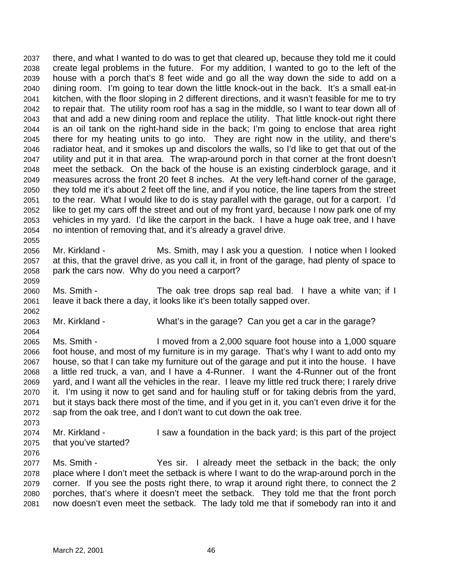there, and what I wanted to do was to get that cleared up, because they told me it could create legal problems in the future. For my addition, I wanted to go to the left of the house with a porch that's 8 feet wide and go all the way down the side to add on a dining room. I'm going to tear down the little knock-out in the back. It's a small eat-in kitchen, with the floor sloping in 2 different directions, and it wasn't feasible for me to try to repair that. The utility room roof has a sag in the middle, so I want to tear down all of that and add a new dining room and replace the utility. That little knock-out right there is an oil tank on the right-hand side in the back; I'm going to enclose that area right there for my heating units to go into. They are right now in the utility, and there's radiator heat, and it smokes up and discolors the walls, so I'd like to get that out of the utility and put it in that area. The wrap-around porch in that corner at the front doesn't meet the setback. On the back of the house is an existing cinderblock garage, and it measures across the front 20 feet 8 inches. At the very left-hand corner of the garage, they told me it's about 2 feet off the line, and if you notice, the line tapers from the street to the rear. What I would like to do is stay parallel with the garage, out for a carport. I'd like to get my cars off the street and out of my front yard, because I now park one of my vehicles in my yard. I'd like the carport in the back. I have a huge oak tree, and I have no intention of removing that, and it's already a gravel drive.

- Mr. Kirkland Ms. Smith, may I ask you a question. I notice when I looked at this, that the gravel drive, as you call it, in front of the garage, had plenty of space to park the cars now. Why do you need a carport?
- Ms. Smith The oak tree drops sap real bad. I have a white van; if I leave it back there a day, it looks like it's been totally sapped over.
- Mr. Kirkland What's in the garage? Can you get a car in the garage?
- Ms. Smith - I moved from a 2,000 square foot house into a 1,000 square foot house, and most of my furniture is in my garage. That's why I want to add onto my house, so that I can take my furniture out of the garage and put it into the house. I have a little red truck, a van, and I have a 4-Runner. I want the 4-Runner out of the front yard, and I want all the vehicles in the rear. I leave my little red truck there; I rarely drive it. I'm using it now to get sand and for hauling stuff or for taking debris from the yard, but it stays back there most of the time, and if you get in it, you can't even drive it for the sap from the oak tree, and I don't want to cut down the oak tree.
- Mr. Kirkland I saw a foundation in the back yard; is this part of the project that you've started?
- 

 Ms. Smith - Yes sir. I already meet the setback in the back; the only place where I don't meet the setback is where I want to do the wrap-around porch in the corner. If you see the posts right there, to wrap it around right there, to connect the 2 porches, that's where it doesn't meet the setback. They told me that the front porch now doesn't even meet the setback. The lady told me that if somebody ran into it and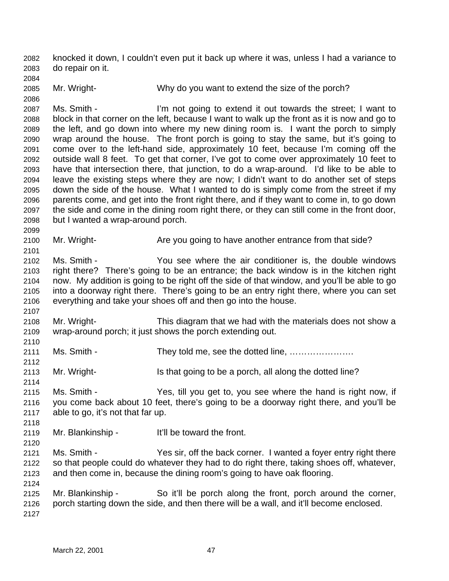knocked it down, I couldn't even put it back up where it was, unless I had a variance to do repair on it.

Mr. Wright- Why do you want to extend the size of the porch?

 Ms. Smith - I'm not going to extend it out towards the street; I want to block in that corner on the left, because I want to walk up the front as it is now and go to the left, and go down into where my new dining room is. I want the porch to simply wrap around the house. The front porch is going to stay the same, but it's going to come over to the left-hand side, approximately 10 feet, because I'm coming off the outside wall 8 feet. To get that corner, I've got to come over approximately 10 feet to have that intersection there, that junction, to do a wrap-around. I'd like to be able to leave the existing steps where they are now; I didn't want to do another set of steps down the side of the house. What I wanted to do is simply come from the street if my parents come, and get into the front right there, and if they want to come in, to go down the side and come in the dining room right there, or they can still come in the front door, but I wanted a wrap-around porch.

Mr. Wright- Are you going to have another entrance from that side?

 Ms. Smith - You see where the air conditioner is, the double windows right there? There's going to be an entrance; the back window is in the kitchen right now. My addition is going to be right off the side of that window, and you'll be able to go into a doorway right there. There's going to be an entry right there, where you can set everything and take your shoes off and then go into the house.

 Mr. Wright- This diagram that we had with the materials does not show a wrap-around porch; it just shows the porch extending out.

Ms. Smith - They told me, see the dotted line, ………………….

2113 Mr. Wright- Is that going to be a porch, all along the dotted line?

 Ms. Smith - Yes, till you get to, you see where the hand is right now, if you come back about 10 feet, there's going to be a doorway right there, and you'll be able to go, it's not that far up.

Mr. Blankinship - It'll be toward the front.

 Ms. Smith - Yes sir, off the back corner. I wanted a foyer entry right there so that people could do whatever they had to do right there, taking shoes off, whatever, and then come in, because the dining room's going to have oak flooring.

 Mr. Blankinship - So it'll be porch along the front, porch around the corner, porch starting down the side, and then there will be a wall, and it'll become enclosed.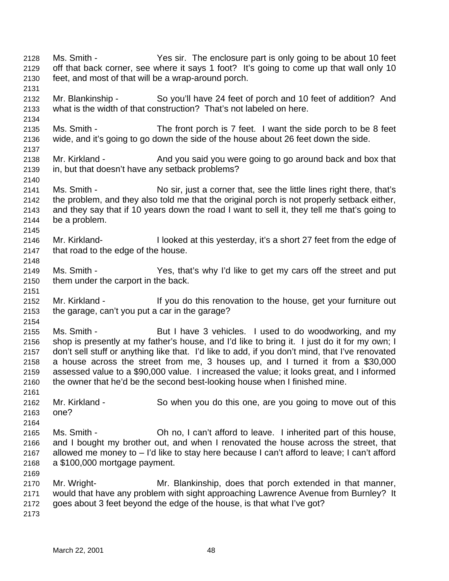Ms. Smith - Yes sir. The enclosure part is only going to be about 10 feet off that back corner, see where it says 1 foot? It's going to come up that wall only 10 feet, and most of that will be a wrap-around porch. Mr. Blankinship - So you'll have 24 feet of porch and 10 feet of addition? And what is the width of that construction? That's not labeled on here. Ms. Smith - The front porch is 7 feet. I want the side porch to be 8 feet wide, and it's going to go down the side of the house about 26 feet down the side. Mr. Kirkland - And you said you were going to go around back and box that in, but that doesn't have any setback problems? Ms. Smith - No sir, just a corner that, see the little lines right there, that's the problem, and they also told me that the original porch is not properly setback either, and they say that if 10 years down the road I want to sell it, they tell me that's going to be a problem. Mr. Kirkland- I looked at this yesterday, it's a short 27 feet from the edge of that road to the edge of the house. Ms. Smith - Yes, that's why I'd like to get my cars off the street and put them under the carport in the back. 2152 Mr. Kirkland - If you do this renovation to the house, get your furniture out the garage, can't you put a car in the garage? 2155 Ms. Smith - But I have 3 vehicles. I used to do woodworking, and my shop is presently at my father's house, and I'd like to bring it. I just do it for my own; I don't sell stuff or anything like that. I'd like to add, if you don't mind, that I've renovated a house across the street from me, 3 houses up, and I turned it from a \$30,000 assessed value to a \$90,000 value. I increased the value; it looks great, and I informed the owner that he'd be the second best-looking house when I finished mine. Mr. Kirkland - So when you do this one, are you going to move out of this one? Ms. Smith - Oh no, I can't afford to leave. I inherited part of this house, and I bought my brother out, and when I renovated the house across the street, that allowed me money to – I'd like to stay here because I can't afford to leave; I can't afford a \$100,000 mortgage payment. Mr. Wright- Mr. Blankinship, does that porch extended in that manner, would that have any problem with sight approaching Lawrence Avenue from Burnley? It goes about 3 feet beyond the edge of the house, is that what I've got?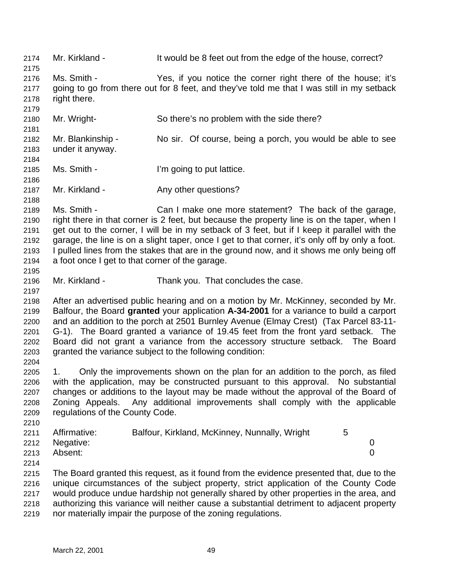2174 Mr. Kirkland - It would be 8 feet out from the edge of the house, correct? Ms. Smith - Yes, if you notice the corner right there of the house; it's going to go from there out for 8 feet, and they've told me that I was still in my setback right there. Mr. Wright- So there's no problem with the side there? Mr. Blankinship - No sir. Of course, being a porch, you would be able to see under it anyway. Ms. Smith - I'm going to put lattice. 2187 Mr. Kirkland - Any other questions? Ms. Smith - Can I make one more statement? The back of the garage, right there in that corner is 2 feet, but because the property line is on the taper, when I get out to the corner, I will be in my setback of 3 feet, but if I keep it parallel with the garage, the line is on a slight taper, once I get to that corner, it's only off by only a foot. I pulled lines from the stakes that are in the ground now, and it shows me only being off a foot once I get to that corner of the garage. Mr. Kirkland - Thank you. That concludes the case. After an advertised public hearing and on a motion by Mr. McKinney, seconded by Mr. Balfour, the Board **granted** your application **A-34-2001** for a variance to build a carport and an addition to the porch at 2501 Burnley Avenue (Elmay Crest) (Tax Parcel 83-11- G-1). The Board granted a variance of 19.45 feet from the front yard setback. The Board did not grant a variance from the accessory structure setback. The Board granted the variance subject to the following condition: 1. Only the improvements shown on the plan for an addition to the porch, as filed with the application, may be constructed pursuant to this approval. No substantial changes or additions to the layout may be made without the approval of the Board of Zoning Appeals. Any additional improvements shall comply with the applicable regulations of the County Code. 2211 Affirmative: Balfour, Kirkland, McKinney, Nunnally, Wright 5 Negative: 0 Absent: 0 The Board granted this request, as it found from the evidence presented that, due to the unique circumstances of the subject property, strict application of the County Code would produce undue hardship not generally shared by other properties in the area, and authorizing this variance will neither cause a substantial detriment to adjacent property nor materially impair the purpose of the zoning regulations.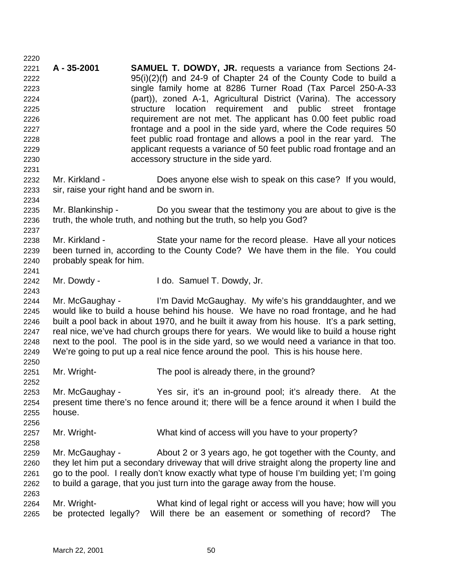**A - 35-2001 SAMUEL T. DOWDY, JR.** requests a variance from Sections 24- 95(i)(2)(f) and 24-9 of Chapter 24 of the County Code to build a single family home at 8286 Turner Road (Tax Parcel 250-A-33 (part)), zoned A-1, Agricultural District (Varina). The accessory structure location requirement and public street frontage requirement are not met. The applicant has 0.00 feet public road frontage and a pool in the side yard, where the Code requires 50 feet public road frontage and allows a pool in the rear yard. The applicant requests a variance of 50 feet public road frontage and an accessory structure in the side yard. Mr. Kirkland - Does anyone else wish to speak on this case? If you would, sir, raise your right hand and be sworn in. Mr. Blankinship - Do you swear that the testimony you are about to give is the truth, the whole truth, and nothing but the truth, so help you God? Mr. Kirkland - State your name for the record please. Have all your notices been turned in, according to the County Code? We have them in the file. You could probably speak for him. Mr. Dowdy - I do. Samuel T. Dowdy, Jr. Mr. McGaughay - I'm David McGaughay. My wife's his granddaughter, and we would like to build a house behind his house. We have no road frontage, and he had built a pool back in about 1970, and he built it away from his house. It's a park setting, real nice, we've had church groups there for years. We would like to build a house right next to the pool. The pool is in the side yard, so we would need a variance in that too. We're going to put up a real nice fence around the pool. This is his house here. Mr. Wright- The pool is already there, in the ground? Mr. McGaughay - Yes sir, it's an in-ground pool; it's already there. At the present time there's no fence around it; there will be a fence around it when I build the house. Mr. Wright- What kind of access will you have to your property? Mr. McGaughay - About 2 or 3 years ago, he got together with the County, and they let him put a secondary driveway that will drive straight along the property line and go to the pool. I really don't know exactly what type of house I'm building yet; I'm going to build a garage, that you just turn into the garage away from the house. Mr. Wright- What kind of legal right or access will you have; how will you be protected legally? Will there be an easement or something of record? The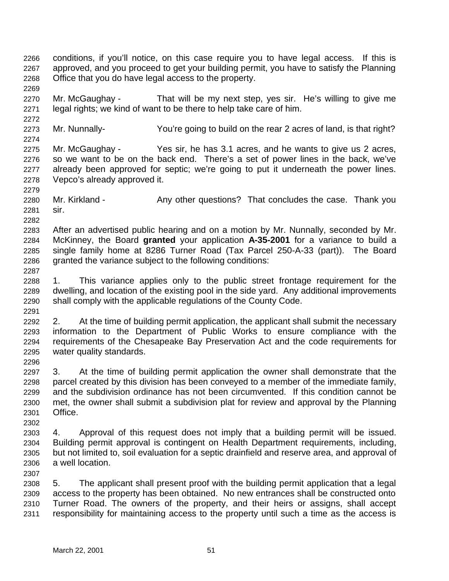conditions, if you'll notice, on this case require you to have legal access. If this is approved, and you proceed to get your building permit, you have to satisfy the Planning Office that you do have legal access to the property.

 Mr. McGaughay - That will be my next step, yes sir. He's willing to give me legal rights; we kind of want to be there to help take care of him.

Mr. Nunnally- You're going to build on the rear 2 acres of land, is that right?

 Mr. McGaughay - Yes sir, he has 3.1 acres, and he wants to give us 2 acres, so we want to be on the back end. There's a set of power lines in the back, we've already been approved for septic; we're going to put it underneath the power lines. Vepco's already approved it.

2280 Mr. Kirkland - Any other questions? That concludes the case. Thank you sir.

 After an advertised public hearing and on a motion by Mr. Nunnally, seconded by Mr. McKinney, the Board **granted** your application **A-35-2001** for a variance to build a single family home at 8286 Turner Road (Tax Parcel 250-A-33 (part)). The Board granted the variance subject to the following conditions:

 1. This variance applies only to the public street frontage requirement for the dwelling, and location of the existing pool in the side yard. Any additional improvements shall comply with the applicable regulations of the County Code. 

 2. At the time of building permit application, the applicant shall submit the necessary information to the Department of Public Works to ensure compliance with the requirements of the Chesapeake Bay Preservation Act and the code requirements for water quality standards.

 3. At the time of building permit application the owner shall demonstrate that the parcel created by this division has been conveyed to a member of the immediate family, and the subdivision ordinance has not been circumvented. If this condition cannot be met, the owner shall submit a subdivision plat for review and approval by the Planning Office.

 4. Approval of this request does not imply that a building permit will be issued. Building permit approval is contingent on Health Department requirements, including, but not limited to, soil evaluation for a septic drainfield and reserve area, and approval of a well location.

 5. The applicant shall present proof with the building permit application that a legal access to the property has been obtained. No new entrances shall be constructed onto Turner Road. The owners of the property, and their heirs or assigns, shall accept responsibility for maintaining access to the property until such a time as the access is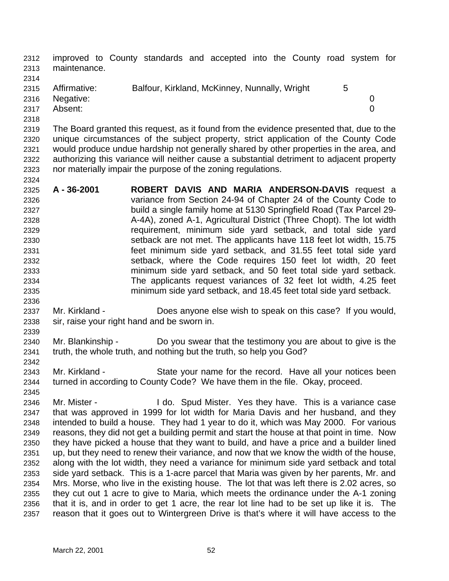improved to County standards and accepted into the County road system for maintenance.

 2315 Affirmative: Balfour, Kirkland, McKinney, Nunnally, Wright 5 Negative: 0 Absent: 0 

 The Board granted this request, as it found from the evidence presented that, due to the unique circumstances of the subject property, strict application of the County Code would produce undue hardship not generally shared by other properties in the area, and authorizing this variance will neither cause a substantial detriment to adjacent property nor materially impair the purpose of the zoning regulations.

- **A 36-2001 ROBERT DAVIS AND MARIA ANDERSON-DAVIS** request a variance from Section 24-94 of Chapter 24 of the County Code to build a single family home at 5130 Springfield Road (Tax Parcel 29- A-4A), zoned A-1, Agricultural District (Three Chopt). The lot width requirement, minimum side yard setback, and total side yard setback are not met. The applicants have 118 feet lot width, 15.75 feet minimum side yard setback, and 31.55 feet total side yard setback, where the Code requires 150 feet lot width, 20 feet minimum side yard setback, and 50 feet total side yard setback. The applicants request variances of 32 feet lot width, 4.25 feet minimum side yard setback, and 18.45 feet total side yard setback.
- Mr. Kirkland Does anyone else wish to speak on this case? If you would, sir, raise your right hand and be sworn in.
- Mr. Blankinship Do you swear that the testimony you are about to give is the truth, the whole truth, and nothing but the truth, so help you God?
- Mr. Kirkland State your name for the record. Have all your notices been turned in according to County Code? We have them in the file. Okay, proceed.
- Mr. Mister I do. Spud Mister. Yes they have. This is a variance case that was approved in 1999 for lot width for Maria Davis and her husband, and they intended to build a house. They had 1 year to do it, which was May 2000. For various reasons, they did not get a building permit and start the house at that point in time. Now they have picked a house that they want to build, and have a price and a builder lined up, but they need to renew their variance, and now that we know the width of the house, along with the lot width, they need a variance for minimum side yard setback and total side yard setback. This is a 1-acre parcel that Maria was given by her parents, Mr. and Mrs. Morse, who live in the existing house. The lot that was left there is 2.02 acres, so they cut out 1 acre to give to Maria, which meets the ordinance under the A-1 zoning that it is, and in order to get 1 acre, the rear lot line had to be set up like it is. The reason that it goes out to Wintergreen Drive is that's where it will have access to the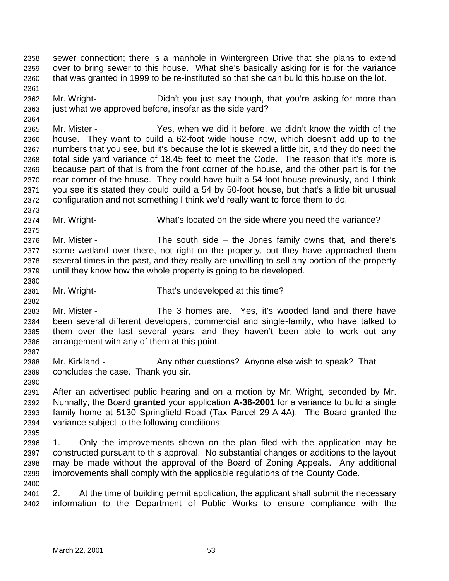sewer connection; there is a manhole in Wintergreen Drive that she plans to extend over to bring sewer to this house. What she's basically asking for is for the variance that was granted in 1999 to be re-instituted so that she can build this house on the lot.

 Mr. Wright- Didn't you just say though, that you're asking for more than 2363 just what we approved before, insofar as the side yard?

 Mr. Mister - Yes, when we did it before, we didn't know the width of the house. They want to build a 62-foot wide house now, which doesn't add up to the numbers that you see, but it's because the lot is skewed a little bit, and they do need the total side yard variance of 18.45 feet to meet the Code. The reason that it's more is because part of that is from the front corner of the house, and the other part is for the rear corner of the house. They could have built a 54-foot house previously, and I think you see it's stated they could build a 54 by 50-foot house, but that's a little bit unusual configuration and not something I think we'd really want to force them to do.

Mr. Wright- What's located on the side where you need the variance?

 Mr. Mister - The south side – the Jones family owns that, and there's some wetland over there, not right on the property, but they have approached them several times in the past, and they really are unwilling to sell any portion of the property until they know how the whole property is going to be developed.

Mr. Wright- That's undeveloped at this time?

 Mr. Mister - The 3 homes are. Yes, it's wooded land and there have been several different developers, commercial and single-family, who have talked to them over the last several years, and they haven't been able to work out any arrangement with any of them at this point.

2388 Mr. Kirkland - Any other questions? Anyone else wish to speak? That concludes the case. Thank you sir.

 After an advertised public hearing and on a motion by Mr. Wright, seconded by Mr. Nunnally, the Board **granted** your application **A-36-2001** for a variance to build a single family home at 5130 Springfield Road (Tax Parcel 29-A-4A). The Board granted the variance subject to the following conditions:

 1. Only the improvements shown on the plan filed with the application may be constructed pursuant to this approval. No substantial changes or additions to the layout may be made without the approval of the Board of Zoning Appeals. Any additional improvements shall comply with the applicable regulations of the County Code.

 2. At the time of building permit application, the applicant shall submit the necessary information to the Department of Public Works to ensure compliance with the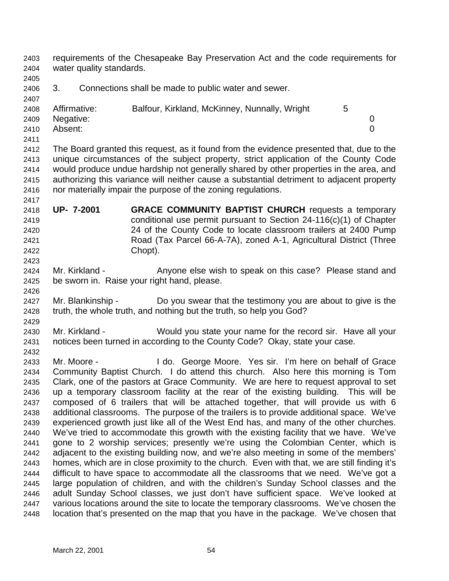requirements of the Chesapeake Bay Preservation Act and the code requirements for water quality standards.

3. Connections shall be made to public water and sewer.

| ____ |                   |                                               |  |
|------|-------------------|-----------------------------------------------|--|
|      | 2408 Affirmative: | Balfour, Kirkland, McKinney, Nunnally, Wright |  |
|      | 2409 Negative:    |                                               |  |
| 2410 | Absent:           |                                               |  |

 The Board granted this request, as it found from the evidence presented that, due to the unique circumstances of the subject property, strict application of the County Code would produce undue hardship not generally shared by other properties in the area, and authorizing this variance will neither cause a substantial detriment to adjacent property nor materially impair the purpose of the zoning regulations.

- **UP- 7-2001 GRACE COMMUNITY BAPTIST CHURCH** requests a temporary conditional use permit pursuant to Section 24-116(c)(1) of Chapter 24 of the County Code to locate classroom trailers at 2400 Pump Road (Tax Parcel 66-A-7A), zoned A-1, Agricultural District (Three Chopt).
- 2424 Mr. Kirkland Anyone else wish to speak on this case? Please stand and be sworn in. Raise your right hand, please.
- 2427 Mr. Blankinship Do you swear that the testimony you are about to give is the truth, the whole truth, and nothing but the truth, so help you God?
- Mr. Kirkland Would you state your name for the record sir. Have all your notices been turned in according to the County Code? Okay, state your case.
- Mr. Moore I do. George Moore. Yes sir. I'm here on behalf of Grace Community Baptist Church. I do attend this church. Also here this morning is Tom Clark, one of the pastors at Grace Community. We are here to request approval to set up a temporary classroom facility at the rear of the existing building. This will be composed of 6 trailers that will be attached together, that will provide us with 6 additional classrooms. The purpose of the trailers is to provide additional space. We've experienced growth just like all of the West End has, and many of the other churches. We've tried to accommodate this growth with the existing facility that we have. We've gone to 2 worship services; presently we're using the Colombian Center, which is adjacent to the existing building now, and we're also meeting in some of the members' homes, which are in close proximity to the church. Even with that, we are still finding it's difficult to have space to accommodate all the classrooms that we need. We've got a large population of children, and with the children's Sunday School classes and the adult Sunday School classes, we just don't have sufficient space. We've looked at various locations around the site to locate the temporary classrooms. We've chosen the location that's presented on the map that you have in the package. We've chosen that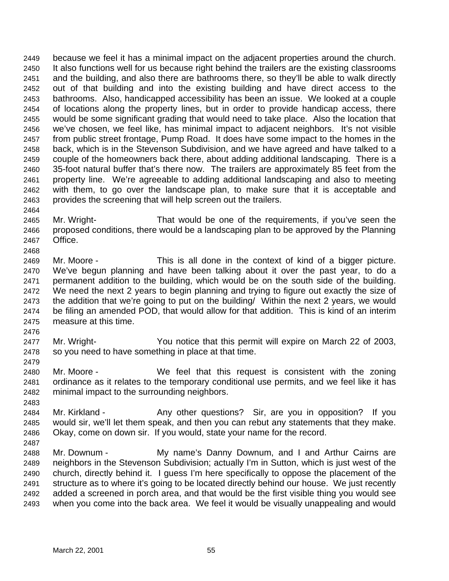because we feel it has a minimal impact on the adjacent properties around the church. It also functions well for us because right behind the trailers are the existing classrooms and the building, and also there are bathrooms there, so they'll be able to walk directly out of that building and into the existing building and have direct access to the bathrooms. Also, handicapped accessibility has been an issue. We looked at a couple of locations along the property lines, but in order to provide handicap access, there would be some significant grading that would need to take place. Also the location that we've chosen, we feel like, has minimal impact to adjacent neighbors. It's not visible from public street frontage, Pump Road. It does have some impact to the homes in the back, which is in the Stevenson Subdivision, and we have agreed and have talked to a couple of the homeowners back there, about adding additional landscaping. There is a 35-foot natural buffer that's there now. The trailers are approximately 85 feet from the property line. We're agreeable to adding additional landscaping and also to meeting with them, to go over the landscape plan, to make sure that it is acceptable and provides the screening that will help screen out the trailers.

- Mr. Wright- That would be one of the requirements, if you've seen the proposed conditions, there would be a landscaping plan to be approved by the Planning Office.
- Mr. Moore This is all done in the context of kind of a bigger picture. We've begun planning and have been talking about it over the past year, to do a permanent addition to the building, which would be on the south side of the building. We need the next 2 years to begin planning and trying to figure out exactly the size of the addition that we're going to put on the building/ Within the next 2 years, we would be filing an amended POD, that would allow for that addition. This is kind of an interim measure at this time.
- 

- Mr. Wright- You notice that this permit will expire on March 22 of 2003, so you need to have something in place at that time.
- Mr. Moore We feel that this request is consistent with the zoning ordinance as it relates to the temporary conditional use permits, and we feel like it has minimal impact to the surrounding neighbors.
- 
- 2484 Mr. Kirkland Any other questions? Sir, are you in opposition? If you would sir, we'll let them speak, and then you can rebut any statements that they make. Okay, come on down sir. If you would, state your name for the record.
- Mr. Downum - My name's Danny Downum, and I and Arthur Cairns are neighbors in the Stevenson Subdivision; actually I'm in Sutton, which is just west of the church, directly behind it. I guess I'm here specifically to oppose the placement of the structure as to where it's going to be located directly behind our house. We just recently added a screened in porch area, and that would be the first visible thing you would see when you come into the back area. We feel it would be visually unappealing and would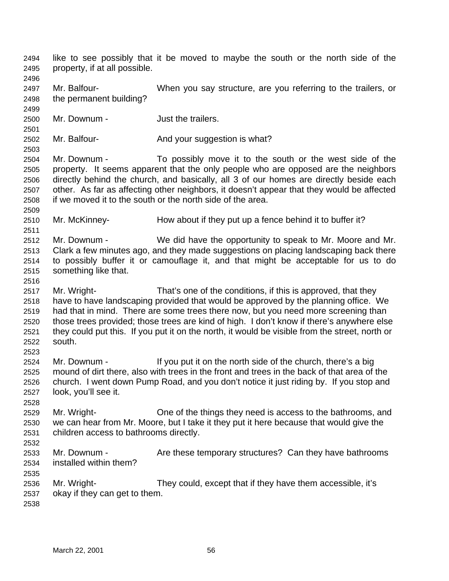like to see possibly that it be moved to maybe the south or the north side of the property, if at all possible. Mr. Balfour- When you say structure, are you referring to the trailers, or the permanent building? Mr. Downum - Just the trailers. 2502 Mr. Balfour- **And your suggestion is what?**  Mr. Downum - To possibly move it to the south or the west side of the property. It seems apparent that the only people who are opposed are the neighbors directly behind the church, and basically, all 3 of our homes are directly beside each other. As far as affecting other neighbors, it doesn't appear that they would be affected if we moved it to the south or the north side of the area. Mr. McKinney- How about if they put up a fence behind it to buffer it? Mr. Downum - We did have the opportunity to speak to Mr. Moore and Mr. Clark a few minutes ago, and they made suggestions on placing landscaping back there to possibly buffer it or camouflage it, and that might be acceptable for us to do something like that. Mr. Wright- That's one of the conditions, if this is approved, that they have to have landscaping provided that would be approved by the planning office. We had that in mind. There are some trees there now, but you need more screening than those trees provided; those trees are kind of high. I don't know if there's anywhere else they could put this. If you put it on the north, it would be visible from the street, north or south. Mr. Downum - If you put it on the north side of the church, there's a big mound of dirt there, also with trees in the front and trees in the back of that area of the church. I went down Pump Road, and you don't notice it just riding by. If you stop and look, you'll see it. Mr. Wright- One of the things they need is access to the bathrooms, and we can hear from Mr. Moore, but I take it they put it here because that would give the children access to bathrooms directly. 2533 Mr. Downum - Are these temporary structures? Can they have bathrooms installed within them? Mr. Wright- They could, except that if they have them accessible, it's okay if they can get to them.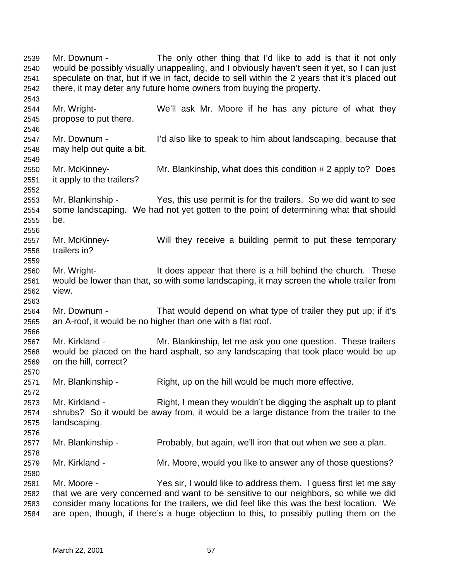Mr. Downum - The only other thing that I'd like to add is that it not only would be possibly visually unappealing, and I obviously haven't seen it yet, so I can just speculate on that, but if we in fact, decide to sell within the 2 years that it's placed out there, it may deter any future home owners from buying the property. Mr. Wright- We'll ask Mr. Moore if he has any picture of what they propose to put there. Mr. Downum - I'd also like to speak to him about landscaping, because that may help out quite a bit. Mr. McKinney- Mr. Blankinship, what does this condition # 2 apply to? Does it apply to the trailers? Mr. Blankinship - Yes, this use permit is for the trailers. So we did want to see some landscaping. We had not yet gotten to the point of determining what that should be. Mr. McKinney- Will they receive a building permit to put these temporary trailers in? Mr. Wright- It does appear that there is a hill behind the church. These would be lower than that, so with some landscaping, it may screen the whole trailer from view. Mr. Downum - That would depend on what type of trailer they put up; if it's an A-roof, it would be no higher than one with a flat roof. Mr. Kirkland - Mr. Blankinship, let me ask you one question. These trailers would be placed on the hard asphalt, so any landscaping that took place would be up on the hill, correct? 2571 Mr. Blankinship - Right, up on the hill would be much more effective. 2573 Mr. Kirkland - Right, I mean they wouldn't be digging the asphalt up to plant shrubs? So it would be away from, it would be a large distance from the trailer to the landscaping. Mr. Blankinship - Probably, but again, we'll iron that out when we see a plan. Mr. Kirkland - Mr. Moore, would you like to answer any of those questions? Mr. Moore - Yes sir, I would like to address them. I guess first let me say that we are very concerned and want to be sensitive to our neighbors, so while we did consider many locations for the trailers, we did feel like this was the best location. We are open, though, if there's a huge objection to this, to possibly putting them on the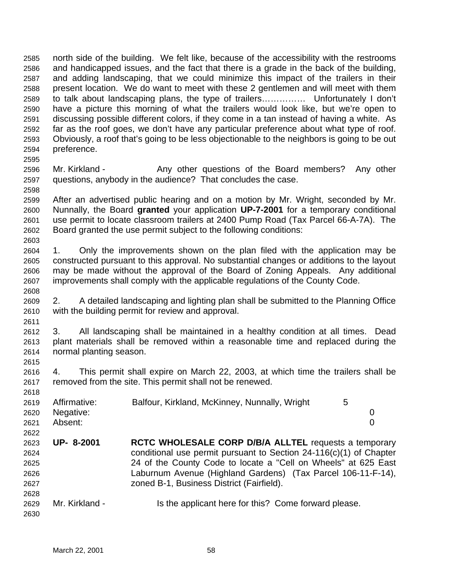north side of the building. We felt like, because of the accessibility with the restrooms and handicapped issues, and the fact that there is a grade in the back of the building, and adding landscaping, that we could minimize this impact of the trailers in their present location. We do want to meet with these 2 gentlemen and will meet with them to talk about landscaping plans, the type of trailers…………… Unfortunately I don't have a picture this morning of what the trailers would look like, but we're open to discussing possible different colors, if they come in a tan instead of having a white. As far as the roof goes, we don't have any particular preference about what type of roof. Obviously, a roof that's going to be less objectionable to the neighbors is going to be out preference.

- 2596 Mr. Kirkland Any other questions of the Board members? Any other questions, anybody in the audience? That concludes the case.
- After an advertised public hearing and on a motion by Mr. Wright, seconded by Mr. Nunnally, the Board **granted** your application **UP-7-2001** for a temporary conditional use permit to locate classroom trailers at 2400 Pump Road (Tax Parcel 66-A-7A). The Board granted the use permit subject to the following conditions:
- 1. Only the improvements shown on the plan filed with the application may be constructed pursuant to this approval. No substantial changes or additions to the layout may be made without the approval of the Board of Zoning Appeals. Any additional improvements shall comply with the applicable regulations of the County Code.
- 2. A detailed landscaping and lighting plan shall be submitted to the Planning Office with the building permit for review and approval.
- 3. All landscaping shall be maintained in a healthy condition at all times. Dead plant materials shall be removed within a reasonable time and replaced during the normal planting season.
- 4. This permit shall expire on March 22, 2003, at which time the trailers shall be removed from the site. This permit shall not be renewed.

| 2018 |                |                                                                      |   |
|------|----------------|----------------------------------------------------------------------|---|
| 2619 | Affirmative:   | Balfour, Kirkland, McKinney, Nunnally, Wright                        | 5 |
| 2620 | Negative:      |                                                                      | 0 |
| 2621 | Absent:        |                                                                      | 0 |
| 2622 |                |                                                                      |   |
| 2623 | UP- 8-2001     | <b>RCTC WHOLESALE CORP D/B/A ALLTEL requests a temporary</b>         |   |
| 2624 |                | conditional use permit pursuant to Section $24-116(c)(1)$ of Chapter |   |
| 2625 |                | 24 of the County Code to locate a "Cell on Wheels" at 625 East       |   |
| 2626 |                | Laburnum Avenue (Highland Gardens) (Tax Parcel 106-11-F-14),         |   |
| 2627 |                | zoned B-1, Business District (Fairfield).                            |   |
| 2628 |                |                                                                      |   |
| 2629 | Mr. Kirkland - | Is the applicant here for this? Come forward please.                 |   |
| 2630 |                |                                                                      |   |

 $0.228$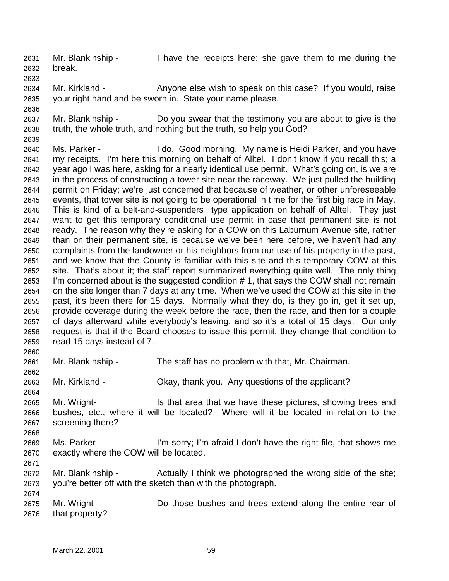Mr. Blankinship - I have the receipts here; she gave them to me during the break.

 Mr. Kirkland - Anyone else wish to speak on this case? If you would, raise your right hand and be sworn in. State your name please.

 Mr. Blankinship - Do you swear that the testimony you are about to give is the truth, the whole truth, and nothing but the truth, so help you God?

 Ms. Parker - I do. Good morning. My name is Heidi Parker, and you have my receipts. I'm here this morning on behalf of Alltel. I don't know if you recall this; a year ago I was here, asking for a nearly identical use permit. What's going on, is we are in the process of constructing a tower site near the raceway. We just pulled the building permit on Friday; we're just concerned that because of weather, or other unforeseeable events, that tower site is not going to be operational in time for the first big race in May. This is kind of a belt-and-suspenders type application on behalf of Alltel. They just want to get this temporary conditional use permit in case that permanent site is not ready. The reason why they're asking for a COW on this Laburnum Avenue site, rather than on their permanent site, is because we've been here before, we haven't had any complaints from the landowner or his neighbors from our use of his property in the past, and we know that the County is familiar with this site and this temporary COW at this site. That's about it; the staff report summarized everything quite well. The only thing I'm concerned about is the suggested condition # 1, that says the COW shall not remain on the site longer than 7 days at any time. When we've used the COW at this site in the past, it's been there for 15 days. Normally what they do, is they go in, get it set up, provide coverage during the week before the race, then the race, and then for a couple of days afterward while everybody's leaving, and so it's a total of 15 days. Our only request is that if the Board chooses to issue this permit, they change that condition to read 15 days instead of 7.

Mr. Blankinship - The staff has no problem with that, Mr. Chairman.

Mr. Kirkland - Okay, thank you. Any questions of the applicant?

 Mr. Wright- Is that area that we have these pictures, showing trees and bushes, etc., where it will be located? Where will it be located in relation to the screening there?

 Ms. Parker - I'm sorry; I'm afraid I don't have the right file, that shows me exactly where the COW will be located.

2672 Mr. Blankinship - Actually I think we photographed the wrong side of the site; you're better off with the sketch than with the photograph.

 Mr. Wright- Do those bushes and trees extend along the entire rear of that property?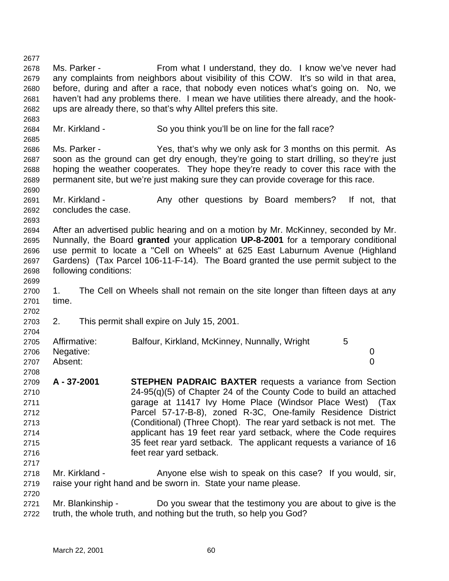Ms. Parker - From what I understand, they do. I know we've never had any complaints from neighbors about visibility of this COW. It's so wild in that area, before, during and after a race, that nobody even notices what's going on. No, we haven't had any problems there. I mean we have utilities there already, and the hook- ups are already there, so that's why Alltel prefers this site. 2684 Mr. Kirkland - So you think you'll be on line for the fall race? Ms. Parker - Yes, that's why we only ask for 3 months on this permit. As soon as the ground can get dry enough, they're going to start drilling, so they're just hoping the weather cooperates. They hope they're ready to cover this race with the permanent site, but we're just making sure they can provide coverage for this race. 2691 Mr. Kirkland - Any other questions by Board members? If not, that concludes the case. After an advertised public hearing and on a motion by Mr. McKinney, seconded by Mr. Nunnally, the Board **granted** your application **UP-8-2001** for a temporary conditional use permit to locate a "Cell on Wheels" at 625 East Laburnum Avenue (Highland Gardens) (Tax Parcel 106-11-F-14). The Board granted the use permit subject to the following conditions: 1. The Cell on Wheels shall not remain on the site longer than fifteen days at any time. 2. This permit shall expire on July 15, 2001. 2705 Affirmative: Balfour, Kirkland, McKinney, Nunnally, Wright 5 Negative: 0 Absent: 0 **A - 37-2001 STEPHEN PADRAIC BAXTER** requests a variance from Section 24-95(q)(5) of Chapter 24 of the County Code to build an attached garage at 11417 Ivy Home Place (Windsor Place West) (Tax Parcel 57-17-B-8), zoned R-3C, One-family Residence District (Conditional) (Three Chopt). The rear yard setback is not met. The applicant has 19 feet rear yard setback, where the Code requires 35 feet rear yard setback. The applicant requests a variance of 16 feet rear yard setback. 2718 Mr. Kirkland - Anyone else wish to speak on this case? If you would, sir, raise your right hand and be sworn in. State your name please. Mr. Blankinship - Do you swear that the testimony you are about to give is the truth, the whole truth, and nothing but the truth, so help you God?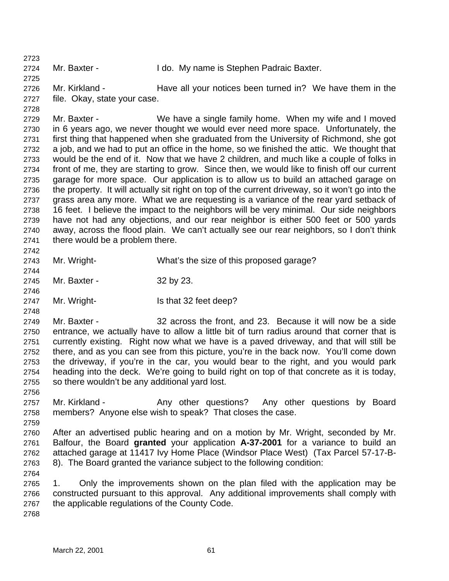Mr. Baxter - I do. My name is Stephen Padraic Baxter.

2726 Mr. Kirkland - Have all your notices been turned in? We have them in the file. Okay, state your case.

 Mr. Baxter - We have a single family home. When my wife and I moved in 6 years ago, we never thought we would ever need more space. Unfortunately, the first thing that happened when she graduated from the University of Richmond, she got a job, and we had to put an office in the home, so we finished the attic. We thought that would be the end of it. Now that we have 2 children, and much like a couple of folks in front of me, they are starting to grow. Since then, we would like to finish off our current garage for more space. Our application is to allow us to build an attached garage on the property. It will actually sit right on top of the current driveway, so it won't go into the grass area any more. What we are requesting is a variance of the rear yard setback of 16 feet. I believe the impact to the neighbors will be very minimal. Our side neighbors have not had any objections, and our rear neighbor is either 500 feet or 500 yards away, across the flood plain. We can't actually see our rear neighbors, so I don't think there would be a problem there. 

Mr. Wright- What's the size of this proposed garage?

- Mr. Baxter 32 by 23.
- 2747 Mr. Wright- Is that 32 feet deep?

 Mr. Baxter - 32 across the front, and 23. Because it will now be a side entrance, we actually have to allow a little bit of turn radius around that corner that is currently existing. Right now what we have is a paved driveway, and that will still be there, and as you can see from this picture, you're in the back now. You'll come down the driveway, if you're in the car, you would bear to the right, and you would park heading into the deck. We're going to build right on top of that concrete as it is today, so there wouldn't be any additional yard lost.

- 2757 Mr. Kirkland Any other questions? Any other questions by Board members? Anyone else wish to speak? That closes the case.
- After an advertised public hearing and on a motion by Mr. Wright, seconded by Mr. Balfour, the Board **granted** your application **A-37-2001** for a variance to build an attached garage at 11417 Ivy Home Place (Windsor Place West) (Tax Parcel 57-17-B-8). The Board granted the variance subject to the following condition:
- 

- 1. Only the improvements shown on the plan filed with the application may be constructed pursuant to this approval. Any additional improvements shall comply with the applicable regulations of the County Code.
-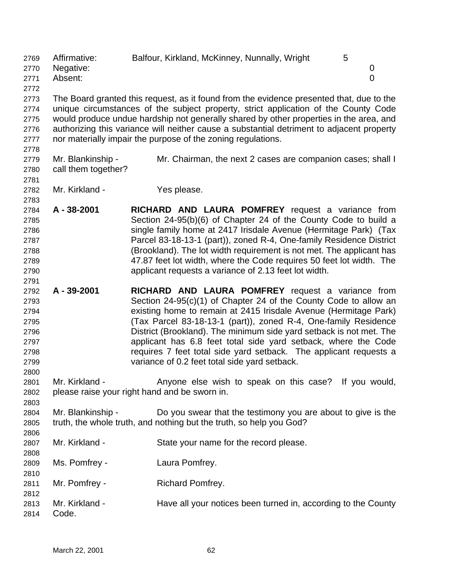Affirmative: Balfour, Kirkland, McKinney, Nunnally, Wright 5 Negative: 0 Absent: 0 

 The Board granted this request, as it found from the evidence presented that, due to the unique circumstances of the subject property, strict application of the County Code would produce undue hardship not generally shared by other properties in the area, and authorizing this variance will neither cause a substantial detriment to adjacent property nor materially impair the purpose of the zoning regulations.

- Mr. Blankinship Mr. Chairman, the next 2 cases are companion cases; shall I call them together?
- 

- Mr. Kirkland Yes please.
- **A 38-2001 RICHARD AND LAURA POMFREY** request a variance from Section 24-95(b)(6) of Chapter 24 of the County Code to build a single family home at 2417 Irisdale Avenue (Hermitage Park) (Tax Parcel 83-18-13-1 (part)), zoned R-4, One-family Residence District (Brookland). The lot width requirement is not met. The applicant has 47.87 feet lot width, where the Code requires 50 feet lot width. The applicant requests a variance of 2.13 feet lot width.
- **A 39-2001 RICHARD AND LAURA POMFREY** request a variance from Section 24-95(c)(1) of Chapter 24 of the County Code to allow an existing home to remain at 2415 Irisdale Avenue (Hermitage Park) (Tax Parcel 83-18-13-1 (part)), zoned R-4, One-family Residence District (Brookland). The minimum side yard setback is not met. The applicant has 6.8 feet total side yard setback, where the Code requires 7 feet total side yard setback. The applicant requests a variance of 0.2 feet total side yard setback.
- 2801 Mr. Kirkland Anyone else wish to speak on this case? If you would, please raise your right hand and be sworn in.
- Mr. Blankinship Do you swear that the testimony you are about to give is the truth, the whole truth, and nothing but the truth, so help you God?
- Mr. Kirkland State your name for the record please. Ms. Pomfrey - Laura Pomfrey. 2811 Mr. Pomfrey - Richard Pomfrey. Mr. Kirkland - Have all your notices been turned in, according to the County
- Code.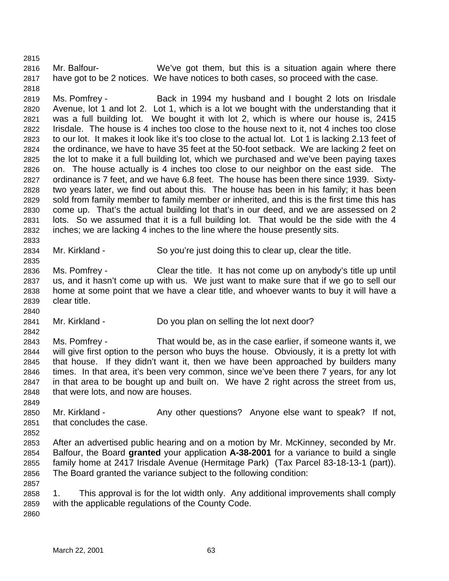Mr. Balfour- We've got them, but this is a situation again where there have got to be 2 notices. We have notices to both cases, so proceed with the case.

 Ms. Pomfrey - Back in 1994 my husband and I bought 2 lots on Irisdale Avenue, lot 1 and lot 2. Lot 1, which is a lot we bought with the understanding that it was a full building lot. We bought it with lot 2, which is where our house is, 2415 Irisdale. The house is 4 inches too close to the house next to it, not 4 inches too close to our lot. It makes it look like it's too close to the actual lot. Lot 1 is lacking 2.13 feet of the ordinance, we have to have 35 feet at the 50-foot setback. We are lacking 2 feet on the lot to make it a full building lot, which we purchased and we've been paying taxes on. The house actually is 4 inches too close to our neighbor on the east side. The ordinance is 7 feet, and we have 6.8 feet. The house has been there since 1939. Sixty- two years later, we find out about this. The house has been in his family; it has been sold from family member to family member or inherited, and this is the first time this has come up. That's the actual building lot that's in our deed, and we are assessed on 2 lots. So we assumed that it is a full building lot. That would be the side with the 4 inches; we are lacking 4 inches to the line where the house presently sits.

Mr. Kirkland - So you're just doing this to clear up, clear the title.

 Ms. Pomfrey - Clear the title. It has not come up on anybody's title up until us, and it hasn't come up with us. We just want to make sure that if we go to sell our home at some point that we have a clear title, and whoever wants to buy it will have a clear title.

Mr. Kirkland - Do you plan on selling the lot next door?

 Ms. Pomfrey - That would be, as in the case earlier, if someone wants it, we will give first option to the person who buys the house. Obviously, it is a pretty lot with that house. If they didn't want it, then we have been approached by builders many times. In that area, it's been very common, since we've been there 7 years, for any lot in that area to be bought up and built on. We have 2 right across the street from us, that were lots, and now are houses.

2850 Mr. Kirkland - Any other questions? Anyone else want to speak? If not, that concludes the case.

 After an advertised public hearing and on a motion by Mr. McKinney, seconded by Mr. Balfour, the Board **granted** your application **A-38-2001** for a variance to build a single family home at 2417 Irisdale Avenue (Hermitage Park) (Tax Parcel 83-18-13-1 (part)). The Board granted the variance subject to the following condition:

 1. This approval is for the lot width only. Any additional improvements shall comply with the applicable regulations of the County Code. 

March 22, 2001 63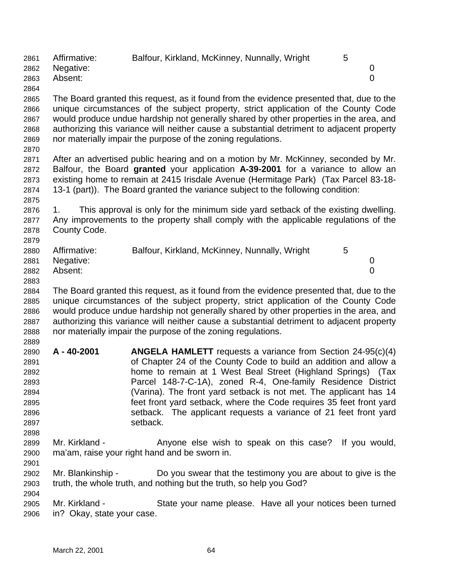| 2861 | Affirmative: | Balfour, Kirkland, McKinney, Nunnally, Wright                                            | 5            |  |
|------|--------------|------------------------------------------------------------------------------------------|--------------|--|
| 2862 | Negative:    |                                                                                          | $\mathbf{0}$ |  |
| 2863 | Absent:      |                                                                                          | $\Omega$     |  |
| 2864 |              |                                                                                          |              |  |
| 2865 |              | The Board granted this request, as it found from the evidence presented that, due to the |              |  |

 unique circumstances of the subject property, strict application of the County Code would produce undue hardship not generally shared by other properties in the area, and authorizing this variance will neither cause a substantial detriment to adjacent property nor materially impair the purpose of the zoning regulations. 

 After an advertised public hearing and on a motion by Mr. McKinney, seconded by Mr. Balfour, the Board **granted** your application **A-39-2001** for a variance to allow an existing home to remain at 2415 Irisdale Avenue (Hermitage Park) (Tax Parcel 83-18- 13-1 (part)). The Board granted the variance subject to the following condition: 

 1. This approval is only for the minimum side yard setback of the existing dwelling. Any improvements to the property shall comply with the applicable regulations of the County Code.

| 2880 | Affirmative:   | Balfour, Kirkland, McKinney, Nunnally, Wright |  |
|------|----------------|-----------------------------------------------|--|
|      | 2881 Negative: |                                               |  |
| 2882 | Absent:        |                                               |  |

 The Board granted this request, as it found from the evidence presented that, due to the unique circumstances of the subject property, strict application of the County Code would produce undue hardship not generally shared by other properties in the area, and authorizing this variance will neither cause a substantial detriment to adjacent property nor materially impair the purpose of the zoning regulations. 

- **A 40-2001 ANGELA HAMLETT** requests a variance from Section 24-95(c)(4) of Chapter 24 of the County Code to build an addition and allow a home to remain at 1 West Beal Street (Highland Springs) (Tax Parcel 148-7-C-1A), zoned R-4, One-family Residence District (Varina). The front yard setback is not met. The applicant has 14 feet front yard setback, where the Code requires 35 feet front yard setback. The applicant requests a variance of 21 feet front yard setback.
- 2899 Mr. Kirkland Anyone else wish to speak on this case? If you would, ma'am, raise your right hand and be sworn in.
- Mr. Blankinship Do you swear that the testimony you are about to give is the truth, the whole truth, and nothing but the truth, so help you God?

 Mr. Kirkland - State your name please. Have all your notices been turned in? Okay, state your case.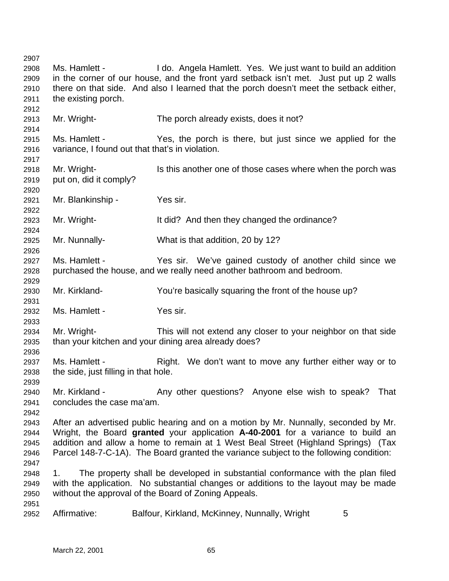| 2907 |                                      |                                                                                        |
|------|--------------------------------------|----------------------------------------------------------------------------------------|
| 2908 | Ms. Hamlett -                        | I do. Angela Hamlett. Yes. We just want to build an addition                           |
| 2909 |                                      | in the corner of our house, and the front yard setback isn't met. Just put up 2 walls  |
| 2910 |                                      | there on that side. And also I learned that the porch doesn't meet the setback either, |
| 2911 | the existing porch.                  |                                                                                        |
| 2912 |                                      |                                                                                        |
| 2913 | Mr. Wright-                          | The porch already exists, does it not?                                                 |
| 2914 |                                      |                                                                                        |
| 2915 | Ms. Hamlett -                        | Yes, the porch is there, but just since we applied for the                             |
| 2916 |                                      | variance, I found out that that's in violation.                                        |
| 2917 |                                      |                                                                                        |
| 2918 | Mr. Wright-                          | Is this another one of those cases where when the porch was                            |
| 2919 | put on, did it comply?               |                                                                                        |
| 2920 |                                      |                                                                                        |
| 2921 | Mr. Blankinship -                    | Yes sir.                                                                               |
| 2922 |                                      |                                                                                        |
| 2923 | Mr. Wright-                          | It did? And then they changed the ordinance?                                           |
| 2924 |                                      |                                                                                        |
| 2925 | Mr. Nunnally-                        | What is that addition, 20 by 12?                                                       |
| 2926 |                                      |                                                                                        |
| 2927 | Ms. Hamlett -                        | Yes sir. We've gained custody of another child since we                                |
| 2928 |                                      | purchased the house, and we really need another bathroom and bedroom.                  |
| 2929 |                                      |                                                                                        |
| 2930 | Mr. Kirkland-                        | You're basically squaring the front of the house up?                                   |
| 2931 |                                      |                                                                                        |
| 2932 | Ms. Hamlett -                        | Yes sir.                                                                               |
| 2933 |                                      |                                                                                        |
| 2934 | Mr. Wright-                          | This will not extend any closer to your neighbor on that side                          |
| 2935 |                                      | than your kitchen and your dining area already does?                                   |
|      |                                      |                                                                                        |
| 2936 | Ms. Hamlett -                        |                                                                                        |
| 2937 |                                      | Right. We don't want to move any further either way or to                              |
| 2938 | the side, just filling in that hole. |                                                                                        |
| 2939 |                                      |                                                                                        |
| 2940 | Mr. Kirkland -                       | Any other questions? Anyone else wish to speak?<br>That                                |
| 2941 | concludes the case ma'am.            |                                                                                        |
| 2942 |                                      |                                                                                        |
| 2943 |                                      | After an advertised public hearing and on a motion by Mr. Nunnally, seconded by Mr.    |
| 2944 |                                      | Wright, the Board granted your application A-40-2001 for a variance to build an        |
| 2945 |                                      | addition and allow a home to remain at 1 West Beal Street (Highland Springs) (Tax      |
| 2946 |                                      | Parcel 148-7-C-1A). The Board granted the variance subject to the following condition: |
| 2947 |                                      |                                                                                        |
| 2948 | 1.                                   | The property shall be developed in substantial conformance with the plan filed         |
| 2949 |                                      | with the application. No substantial changes or additions to the layout may be made    |
| 2950 |                                      | without the approval of the Board of Zoning Appeals.                                   |
| 2951 |                                      |                                                                                        |
| 2952 | Affirmative:                         | Balfour, Kirkland, McKinney, Nunnally, Wright<br>5                                     |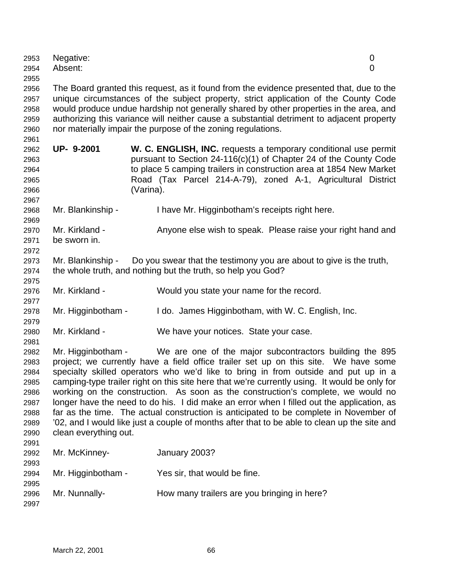| 2953<br>2954 | Negative:<br>Absent:                                                                     | 0<br>0                                                                                        |  |  |
|--------------|------------------------------------------------------------------------------------------|-----------------------------------------------------------------------------------------------|--|--|
| 2955         |                                                                                          |                                                                                               |  |  |
| 2956         | The Board granted this request, as it found from the evidence presented that, due to the |                                                                                               |  |  |
| 2957         |                                                                                          | unique circumstances of the subject property, strict application of the County Code           |  |  |
| 2958         |                                                                                          | would produce undue hardship not generally shared by other properties in the area, and        |  |  |
| 2959         |                                                                                          | authorizing this variance will neither cause a substantial detriment to adjacent property     |  |  |
| 2960         |                                                                                          | nor materially impair the purpose of the zoning regulations.                                  |  |  |
| 2961         |                                                                                          |                                                                                               |  |  |
| 2962         | UP- 9-2001                                                                               | W. C. ENGLISH, INC. requests a temporary conditional use permit                               |  |  |
| 2963         |                                                                                          | pursuant to Section 24-116(c)(1) of Chapter 24 of the County Code                             |  |  |
| 2964         |                                                                                          | to place 5 camping trailers in construction area at 1854 New Market                           |  |  |
| 2965         |                                                                                          | Road (Tax Parcel 214-A-79), zoned A-1, Agricultural District                                  |  |  |
| 2966         |                                                                                          | (Varina).                                                                                     |  |  |
| 2967         |                                                                                          |                                                                                               |  |  |
| 2968         | Mr. Blankinship -                                                                        | I have Mr. Higginbotham's receipts right here.                                                |  |  |
| 2969         |                                                                                          |                                                                                               |  |  |
| 2970         | Mr. Kirkland -                                                                           | Anyone else wish to speak. Please raise your right hand and                                   |  |  |
| 2971         | be sworn in.                                                                             |                                                                                               |  |  |
| 2972         |                                                                                          |                                                                                               |  |  |
| 2973         | Mr. Blankinship -                                                                        | Do you swear that the testimony you are about to give is the truth,                           |  |  |
| 2974         |                                                                                          | the whole truth, and nothing but the truth, so help you God?                                  |  |  |
| 2975         |                                                                                          |                                                                                               |  |  |
| 2976         | Mr. Kirkland -                                                                           | Would you state your name for the record.                                                     |  |  |
| 2977         |                                                                                          |                                                                                               |  |  |
| 2978         | Mr. Higginbotham -                                                                       | I do. James Higginbotham, with W. C. English, Inc.                                            |  |  |
| 2979         |                                                                                          |                                                                                               |  |  |
| 2980         | Mr. Kirkland -                                                                           | We have your notices. State your case.                                                        |  |  |
| 2981         |                                                                                          |                                                                                               |  |  |
| 2982         |                                                                                          | Mr. Higginbotham - We are one of the major subcontractors building the 895                    |  |  |
| 2983         |                                                                                          | project; we currently have a field office trailer set up on this site. We have some           |  |  |
| 2984         |                                                                                          | specialty skilled operators who we'd like to bring in from outside and put up in a            |  |  |
| 2985         |                                                                                          | camping-type trailer right on this site here that we're currently using. It would be only for |  |  |
| 2986         |                                                                                          | working on the construction. As soon as the construction's complete, we would no              |  |  |
| 2987         |                                                                                          | longer have the need to do his. I did make an error when I filled out the application, as     |  |  |
| 2988         |                                                                                          | far as the time. The actual construction is anticipated to be complete in November of         |  |  |
| 2989         |                                                                                          | '02, and I would like just a couple of months after that to be able to clean up the site and  |  |  |
| 2990         | clean everything out.                                                                    |                                                                                               |  |  |
| 2991         |                                                                                          |                                                                                               |  |  |
| 2992         | Mr. McKinney-                                                                            | January 2003?                                                                                 |  |  |
| 2993         |                                                                                          |                                                                                               |  |  |
| 2994         | Mr. Higginbotham -                                                                       | Yes sir, that would be fine.                                                                  |  |  |
| 2995         |                                                                                          |                                                                                               |  |  |
| 2996         | Mr. Nunnally-                                                                            | How many trailers are you bringing in here?                                                   |  |  |
| 2997         |                                                                                          |                                                                                               |  |  |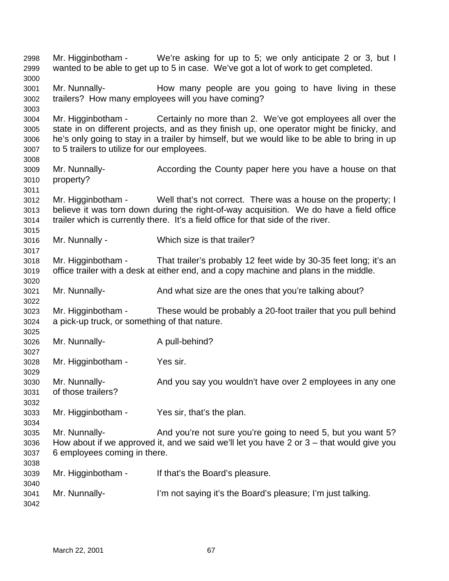Mr. Higginbotham - We're asking for up to 5; we only anticipate 2 or 3, but I wanted to be able to get up to 5 in case. We've got a lot of work to get completed. Mr. Nunnally- How many people are you going to have living in these trailers? How many employees will you have coming? Mr. Higginbotham - Certainly no more than 2. We've got employees all over the state in on different projects, and as they finish up, one operator might be finicky, and he's only going to stay in a trailer by himself, but we would like to be able to bring in up to 5 trailers to utilize for our employees. Mr. Nunnally- According the County paper here you have a house on that property? Mr. Higginbotham - Well that's not correct. There was a house on the property; I believe it was torn down during the right-of-way acquisition. We do have a field office trailer which is currently there. It's a field office for that side of the river. Mr. Nunnally - Which size is that trailer? Mr. Higginbotham - That trailer's probably 12 feet wide by 30-35 feet long; it's an office trailer with a desk at either end, and a copy machine and plans in the middle. Mr. Nunnally- And what size are the ones that you're talking about? Mr. Higginbotham - These would be probably a 20-foot trailer that you pull behind a pick-up truck, or something of that nature. 3026 Mr. Nunnally-<br>
A pull-behind? Mr. Higginbotham - Yes sir. Mr. Nunnally- And you say you wouldn't have over 2 employees in any one of those trailers? Mr. Higginbotham - Yes sir, that's the plan. Mr. Nunnally- And you're not sure you're going to need 5, but you want 5? How about if we approved it, and we said we'll let you have 2 or 3 – that would give you 6 employees coming in there. Mr. Higginbotham - If that's the Board's pleasure. Mr. Nunnally- I'm not saying it's the Board's pleasure; I'm just talking.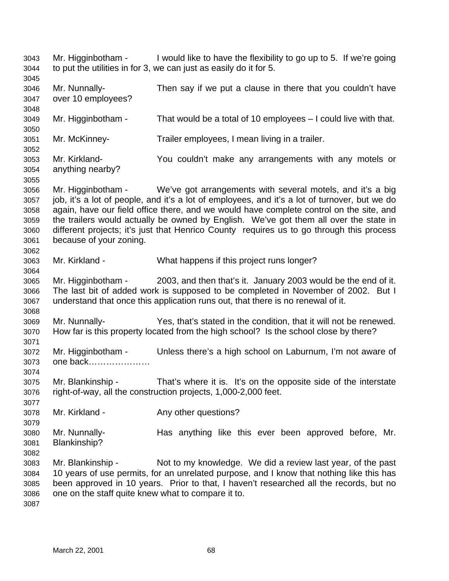Mr. Higginbotham - I would like to have the flexibility to go up to 5. If we're going to put the utilities in for 3, we can just as easily do it for 5. Mr. Nunnally- Then say if we put a clause in there that you couldn't have over 10 employees? Mr. Higginbotham - That would be a total of 10 employees – I could live with that. Mr. McKinney- Trailer employees, I mean living in a trailer. Mr. Kirkland- You couldn't make any arrangements with any motels or anything nearby? Mr. Higginbotham - We've got arrangements with several motels, and it's a big job, it's a lot of people, and it's a lot of employees, and it's a lot of turnover, but we do again, have our field office there, and we would have complete control on the site, and the trailers would actually be owned by English. We've got them all over the state in different projects; it's just that Henrico County requires us to go through this process because of your zoning. Mr. Kirkland - What happens if this project runs longer? Mr. Higginbotham - 2003, and then that's it. January 2003 would be the end of it. The last bit of added work is supposed to be completed in November of 2002. But I understand that once this application runs out, that there is no renewal of it. Mr. Nunnally- Yes, that's stated in the condition, that it will not be renewed. How far is this property located from the high school? Is the school close by there? Mr. Higginbotham - Unless there's a high school on Laburnum, I'm not aware of one back………………… Mr. Blankinship - That's where it is. It's on the opposite side of the interstate right-of-way, all the construction projects, 1,000-2,000 feet. 3078 Mr. Kirkland - Any other questions? Mr. Nunnally- Has anything like this ever been approved before, Mr. Blankinship? Mr. Blankinship - Not to my knowledge. We did a review last year, of the past 10 years of use permits, for an unrelated purpose, and I know that nothing like this has been approved in 10 years. Prior to that, I haven't researched all the records, but no one on the staff quite knew what to compare it to.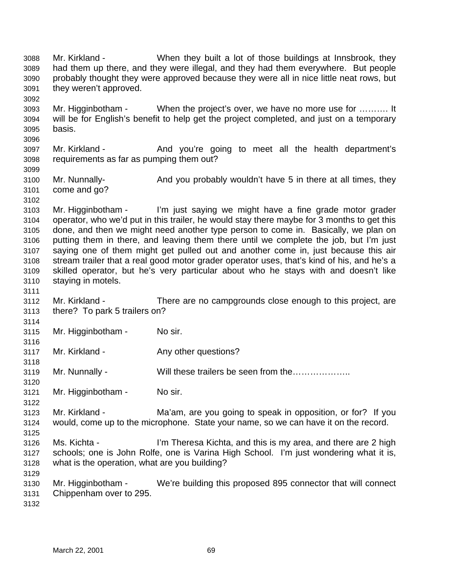Mr. Kirkland - When they built a lot of those buildings at Innsbrook, they had them up there, and they were illegal, and they had them everywhere. But people probably thought they were approved because they were all in nice little neat rows, but they weren't approved. Mr. Higginbotham - When the project's over, we have no more use for ………. It will be for English's benefit to help get the project completed, and just on a temporary basis. 3097 Mr. Kirkland - And you're going to meet all the health department's requirements as far as pumping them out? Mr. Nunnally- And you probably wouldn't have 5 in there at all times, they come and go? Mr. Higginbotham - I'm just saying we might have a fine grade motor grader operator, who we'd put in this trailer, he would stay there maybe for 3 months to get this done, and then we might need another type person to come in. Basically, we plan on putting them in there, and leaving them there until we complete the job, but I'm just saying one of them might get pulled out and another come in, just because this air stream trailer that a real good motor grader operator uses, that's kind of his, and he's a skilled operator, but he's very particular about who he stays with and doesn't like staying in motels. Mr. Kirkland - There are no campgrounds close enough to this project, are there? To park 5 trailers on? Mr. Higginbotham - No sir. 3117 Mr. Kirkland - Any other questions? Mr. Nunnally - Will these trailers be seen from the……………….. Mr. Higginbotham - No sir. Mr. Kirkland - Ma'am, are you going to speak in opposition, or for? If you would, come up to the microphone. State your name, so we can have it on the record. Ms. Kichta - I'm Theresa Kichta, and this is my area, and there are 2 high schools; one is John Rolfe, one is Varina High School. I'm just wondering what it is, what is the operation, what are you building? Mr. Higginbotham - We're building this proposed 895 connector that will connect Chippenham over to 295.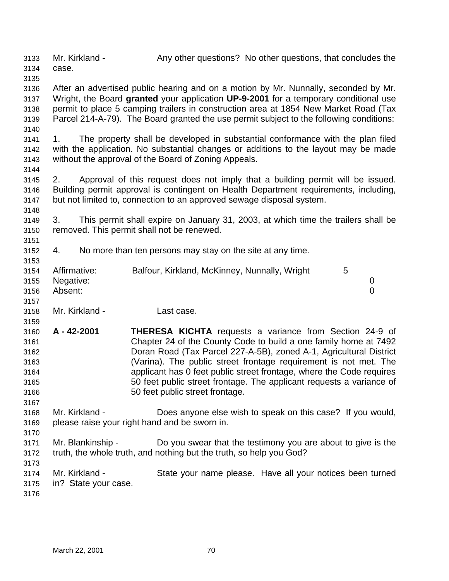Mr. Kirkland - Any other questions? No other questions, that concludes the case.

 After an advertised public hearing and on a motion by Mr. Nunnally, seconded by Mr. Wright, the Board **granted** your application **UP-9-2001** for a temporary conditional use permit to place 5 camping trailers in construction area at 1854 New Market Road (Tax Parcel 214-A-79). The Board granted the use permit subject to the following conditions: 

 1. The property shall be developed in substantial conformance with the plan filed with the application. No substantial changes or additions to the layout may be made without the approval of the Board of Zoning Appeals.

 2. Approval of this request does not imply that a building permit will be issued. Building permit approval is contingent on Health Department requirements, including, but not limited to, connection to an approved sewage disposal system.

 3. This permit shall expire on January 31, 2003, at which time the trailers shall be removed. This permit shall not be renewed.

4. No more than ten persons may stay on the site at any time.

|      | 3154 Affirmative: | Balfour, Kirkland, McKinney, Nunnally, Wright | 5 |  |
|------|-------------------|-----------------------------------------------|---|--|
|      | 3155 Negative:    |                                               |   |  |
| 3156 | Absent:           |                                               |   |  |
| 3157 |                   |                                               |   |  |

- Mr. Kirkland Last case.
- **A 42-2001 THERESA KICHTA** requests a variance from Section 24-9 of Chapter 24 of the County Code to build a one family home at 7492 Doran Road (Tax Parcel 227-A-5B), zoned A-1, Agricultural District (Varina). The public street frontage requirement is not met. The applicant has 0 feet public street frontage, where the Code requires 50 feet public street frontage. The applicant requests a variance of 50 feet public street frontage.
- Mr. Kirkland Does anyone else wish to speak on this case? If you would, please raise your right hand and be sworn in.
- Mr. Blankinship Do you swear that the testimony you are about to give is the truth, the whole truth, and nothing but the truth, so help you God?
- Mr. Kirkland State your name please. Have all your notices been turned in? State your case.
-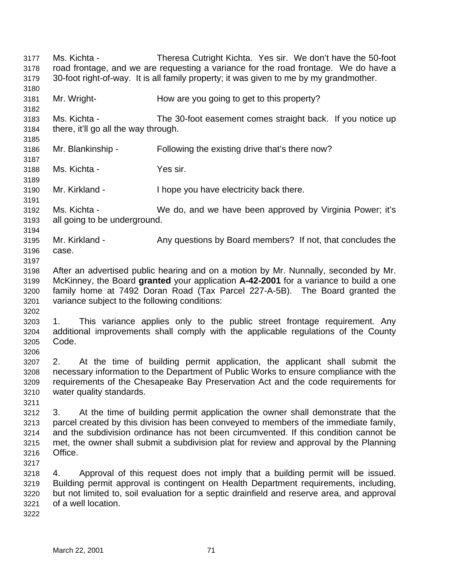Ms. Kichta - Theresa Cutright Kichta. Yes sir. We don't have the 50-foot road frontage, and we are requesting a variance for the road frontage. We do have a 30-foot right-of-way. It is all family property; it was given to me by my grandmother. Mr. Wright- How are you going to get to this property? Ms. Kichta - The 30-foot easement comes straight back. If you notice up there, it'll go all the way through. Mr. Blankinship - Following the existing drive that's there now? Ms. Kichta - Yes sir. Mr. Kirkland - I hope you have electricity back there. Ms. Kichta - We do, and we have been approved by Virginia Power; it's all going to be underground. Mr. Kirkland - Any questions by Board members? If not, that concludes the case. After an advertised public hearing and on a motion by Mr. Nunnally, seconded by Mr. McKinney, the Board **granted** your application **A-42-2001** for a variance to build a one family home at 7492 Doran Road (Tax Parcel 227-A-5B). The Board granted the variance subject to the following conditions: 1. This variance applies only to the public street frontage requirement. Any additional improvements shall comply with the applicable regulations of the County Code. 2. At the time of building permit application, the applicant shall submit the necessary information to the Department of Public Works to ensure compliance with the requirements of the Chesapeake Bay Preservation Act and the code requirements for water quality standards. 3. At the time of building permit application the owner shall demonstrate that the parcel created by this division has been conveyed to members of the immediate family, and the subdivision ordinance has not been circumvented. If this condition cannot be met, the owner shall submit a subdivision plat for review and approval by the Planning Office. 4. Approval of this request does not imply that a building permit will be issued. Building permit approval is contingent on Health Department requirements, including, but not limited to, soil evaluation for a septic drainfield and reserve area, and approval of a well location.